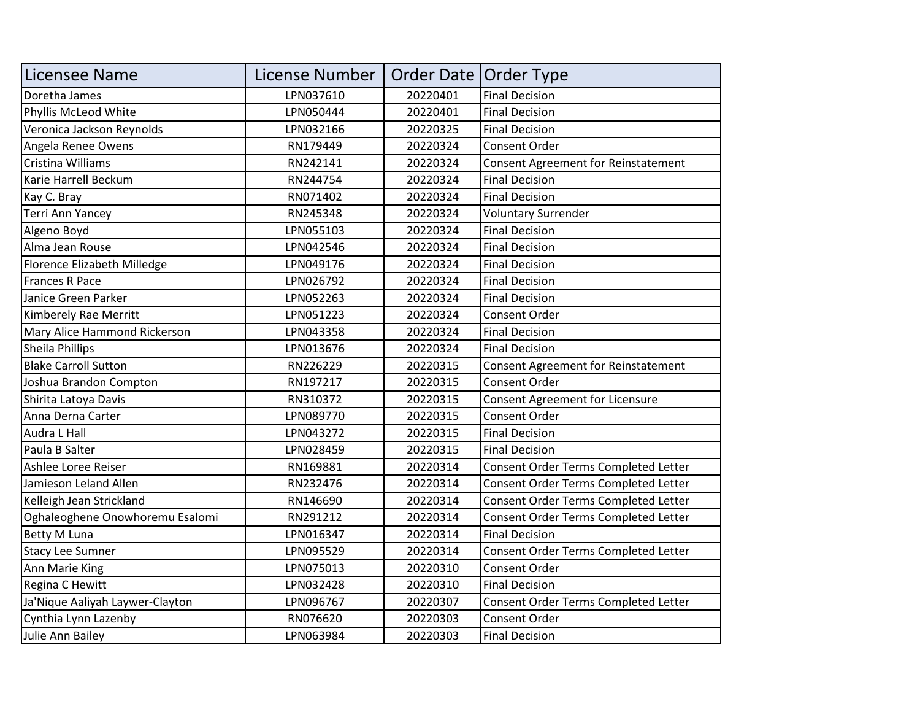| Licensee Name                   | License Number | Order Date   Order Type |                                      |
|---------------------------------|----------------|-------------------------|--------------------------------------|
| Doretha James                   | LPN037610      | 20220401                | <b>Final Decision</b>                |
| Phyllis McLeod White            | LPN050444      | 20220401                | <b>Final Decision</b>                |
| Veronica Jackson Reynolds       | LPN032166      | 20220325                | <b>Final Decision</b>                |
| Angela Renee Owens              | RN179449       | 20220324                | <b>Consent Order</b>                 |
| Cristina Williams               | RN242141       | 20220324                | Consent Agreement for Reinstatement  |
| Karie Harrell Beckum            | RN244754       | 20220324                | <b>Final Decision</b>                |
| Kay C. Bray                     | RN071402       | 20220324                | <b>Final Decision</b>                |
| <b>Terri Ann Yancey</b>         | RN245348       | 20220324                | <b>Voluntary Surrender</b>           |
| Algeno Boyd                     | LPN055103      | 20220324                | <b>Final Decision</b>                |
| Alma Jean Rouse                 | LPN042546      | 20220324                | <b>Final Decision</b>                |
| Florence Elizabeth Milledge     | LPN049176      | 20220324                | <b>Final Decision</b>                |
| <b>Frances R Pace</b>           | LPN026792      | 20220324                | <b>Final Decision</b>                |
| Janice Green Parker             | LPN052263      | 20220324                | <b>Final Decision</b>                |
| Kimberely Rae Merritt           | LPN051223      | 20220324                | Consent Order                        |
| Mary Alice Hammond Rickerson    | LPN043358      | 20220324                | <b>Final Decision</b>                |
| Sheila Phillips                 | LPN013676      | 20220324                | <b>Final Decision</b>                |
| <b>Blake Carroll Sutton</b>     | RN226229       | 20220315                | Consent Agreement for Reinstatement  |
| Joshua Brandon Compton          | RN197217       | 20220315                | Consent Order                        |
| Shirita Latoya Davis            | RN310372       | 20220315                | Consent Agreement for Licensure      |
| Anna Derna Carter               | LPN089770      | 20220315                | <b>Consent Order</b>                 |
| Audra L Hall                    | LPN043272      | 20220315                | <b>Final Decision</b>                |
| Paula B Salter                  | LPN028459      | 20220315                | <b>Final Decision</b>                |
| Ashlee Loree Reiser             | RN169881       | 20220314                | Consent Order Terms Completed Letter |
| Jamieson Leland Allen           | RN232476       | 20220314                | Consent Order Terms Completed Letter |
| Kelleigh Jean Strickland        | RN146690       | 20220314                | Consent Order Terms Completed Letter |
| Oghaleoghene Onowhoremu Esalomi | RN291212       | 20220314                | Consent Order Terms Completed Letter |
| <b>Betty M Luna</b>             | LPN016347      | 20220314                | <b>Final Decision</b>                |
| <b>Stacy Lee Sumner</b>         | LPN095529      | 20220314                | Consent Order Terms Completed Letter |
| Ann Marie King                  | LPN075013      | 20220310                | <b>Consent Order</b>                 |
| Regina C Hewitt                 | LPN032428      | 20220310                | <b>Final Decision</b>                |
| Ja'Nique Aaliyah Laywer-Clayton | LPN096767      | 20220307                | Consent Order Terms Completed Letter |
| Cynthia Lynn Lazenby            | RN076620       | 20220303                | Consent Order                        |
| Julie Ann Bailey                | LPN063984      | 20220303                | <b>Final Decision</b>                |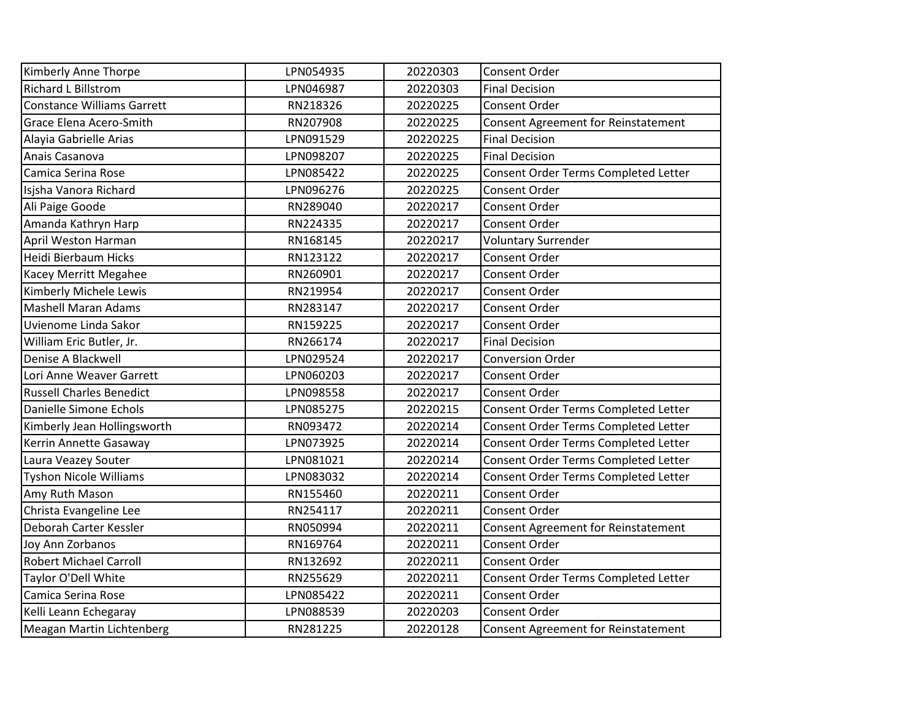| Kimberly Anne Thorpe              | LPN054935 | 20220303 | Consent Order                              |
|-----------------------------------|-----------|----------|--------------------------------------------|
| <b>Richard L Billstrom</b>        | LPN046987 | 20220303 | <b>Final Decision</b>                      |
| <b>Constance Williams Garrett</b> | RN218326  | 20220225 | Consent Order                              |
| Grace Elena Acero-Smith           | RN207908  | 20220225 | Consent Agreement for Reinstatement        |
| Alayia Gabrielle Arias            | LPN091529 | 20220225 | <b>Final Decision</b>                      |
| Anais Casanova                    | LPN098207 | 20220225 | <b>Final Decision</b>                      |
| Camica Serina Rose                | LPN085422 | 20220225 | Consent Order Terms Completed Letter       |
| Isjsha Vanora Richard             | LPN096276 | 20220225 | Consent Order                              |
| Ali Paige Goode                   | RN289040  | 20220217 | Consent Order                              |
| Amanda Kathryn Harp               | RN224335  | 20220217 | <b>Consent Order</b>                       |
| April Weston Harman               | RN168145  | 20220217 | <b>Voluntary Surrender</b>                 |
| Heidi Bierbaum Hicks              | RN123122  | 20220217 | Consent Order                              |
| Kacey Merritt Megahee             | RN260901  | 20220217 | Consent Order                              |
| Kimberly Michele Lewis            | RN219954  | 20220217 | <b>Consent Order</b>                       |
| <b>Mashell Maran Adams</b>        | RN283147  | 20220217 | <b>Consent Order</b>                       |
| Uvienome Linda Sakor              | RN159225  | 20220217 | Consent Order                              |
| William Eric Butler, Jr.          | RN266174  | 20220217 | <b>Final Decision</b>                      |
| Denise A Blackwell                | LPN029524 | 20220217 | <b>Conversion Order</b>                    |
| Lori Anne Weaver Garrett          | LPN060203 | 20220217 | Consent Order                              |
| <b>Russell Charles Benedict</b>   | LPN098558 | 20220217 | <b>Consent Order</b>                       |
| Danielle Simone Echols            | LPN085275 | 20220215 | Consent Order Terms Completed Letter       |
| Kimberly Jean Hollingsworth       | RN093472  | 20220214 | Consent Order Terms Completed Letter       |
| Kerrin Annette Gasaway            | LPN073925 | 20220214 | Consent Order Terms Completed Letter       |
| Laura Veazey Souter               | LPN081021 | 20220214 | Consent Order Terms Completed Letter       |
| <b>Tyshon Nicole Williams</b>     | LPN083032 | 20220214 | Consent Order Terms Completed Letter       |
| Amy Ruth Mason                    | RN155460  | 20220211 | <b>Consent Order</b>                       |
| Christa Evangeline Lee            | RN254117  | 20220211 | Consent Order                              |
| Deborah Carter Kessler            | RN050994  | 20220211 | <b>Consent Agreement for Reinstatement</b> |
| Joy Ann Zorbanos                  | RN169764  | 20220211 | Consent Order                              |
| <b>Robert Michael Carroll</b>     | RN132692  | 20220211 | <b>Consent Order</b>                       |
| Taylor O'Dell White               | RN255629  | 20220211 | Consent Order Terms Completed Letter       |
| Camica Serina Rose                | LPN085422 | 20220211 | Consent Order                              |
| Kelli Leann Echegaray             | LPN088539 | 20220203 | Consent Order                              |
| Meagan Martin Lichtenberg         | RN281225  | 20220128 | <b>Consent Agreement for Reinstatement</b> |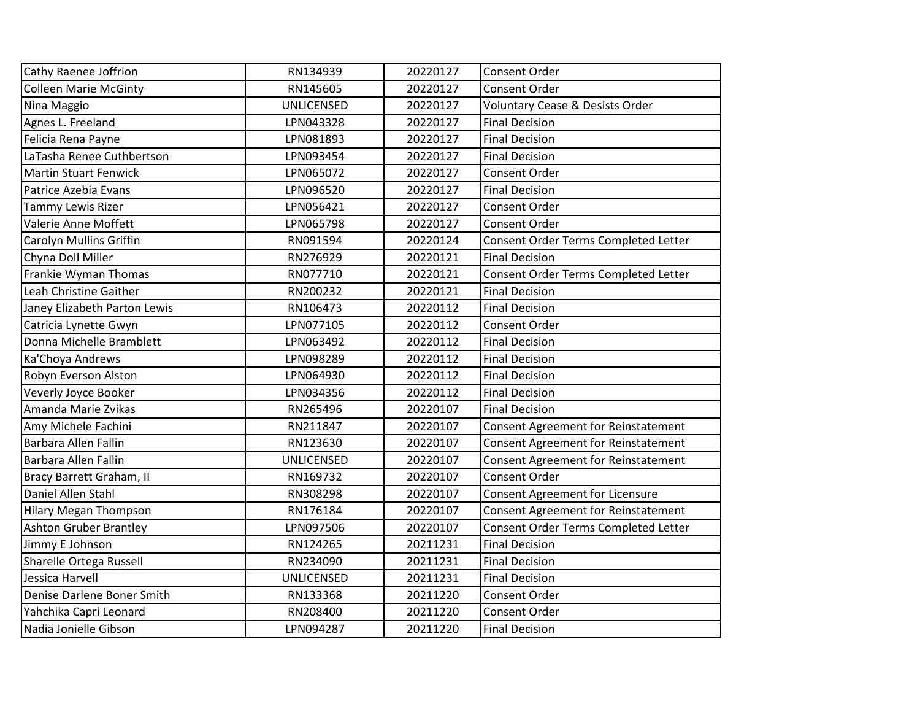| Cathy Raenee Joffrion         | RN134939          | 20220127 | Consent Order                              |
|-------------------------------|-------------------|----------|--------------------------------------------|
| <b>Colleen Marie McGinty</b>  | RN145605          | 20220127 | Consent Order                              |
| Nina Maggio                   | <b>UNLICENSED</b> | 20220127 | <b>Voluntary Cease &amp; Desists Order</b> |
| Agnes L. Freeland             | LPN043328         | 20220127 | <b>Final Decision</b>                      |
| Felicia Rena Payne            | LPN081893         | 20220127 | <b>Final Decision</b>                      |
| LaTasha Renee Cuthbertson     | LPN093454         | 20220127 | <b>Final Decision</b>                      |
| <b>Martin Stuart Fenwick</b>  | LPN065072         | 20220127 | Consent Order                              |
| Patrice Azebia Evans          | LPN096520         | 20220127 | <b>Final Decision</b>                      |
| <b>Tammy Lewis Rizer</b>      | LPN056421         | 20220127 | <b>Consent Order</b>                       |
| Valerie Anne Moffett          | LPN065798         | 20220127 | Consent Order                              |
| Carolyn Mullins Griffin       | RN091594          | 20220124 | Consent Order Terms Completed Letter       |
| Chyna Doll Miller             | RN276929          | 20220121 | <b>Final Decision</b>                      |
| Frankie Wyman Thomas          | RN077710          | 20220121 | Consent Order Terms Completed Letter       |
| Leah Christine Gaither        | RN200232          | 20220121 | <b>Final Decision</b>                      |
| Janey Elizabeth Parton Lewis  | RN106473          | 20220112 | <b>Final Decision</b>                      |
| Catricia Lynette Gwyn         | LPN077105         | 20220112 | Consent Order                              |
| Donna Michelle Bramblett      | LPN063492         | 20220112 | <b>Final Decision</b>                      |
| Ka'Choya Andrews              | LPN098289         | 20220112 | <b>Final Decision</b>                      |
| Robyn Everson Alston          | LPN064930         | 20220112 | <b>Final Decision</b>                      |
| Veverly Joyce Booker          | LPN034356         | 20220112 | <b>Final Decision</b>                      |
| Amanda Marie Zvikas           | RN265496          | 20220107 | <b>Final Decision</b>                      |
| Amy Michele Fachini           | RN211847          | 20220107 | Consent Agreement for Reinstatement        |
| Barbara Allen Fallin          | RN123630          | 20220107 | <b>Consent Agreement for Reinstatement</b> |
| Barbara Allen Fallin          | <b>UNLICENSED</b> | 20220107 | Consent Agreement for Reinstatement        |
| Bracy Barrett Graham, II      | RN169732          | 20220107 | Consent Order                              |
| Daniel Allen Stahl            | RN308298          | 20220107 | Consent Agreement for Licensure            |
| <b>Hilary Megan Thompson</b>  | RN176184          | 20220107 | <b>Consent Agreement for Reinstatement</b> |
| <b>Ashton Gruber Brantley</b> | LPN097506         | 20220107 | Consent Order Terms Completed Letter       |
| Jimmy E Johnson               | RN124265          | 20211231 | <b>Final Decision</b>                      |
| Sharelle Ortega Russell       | RN234090          | 20211231 | <b>Final Decision</b>                      |
| Jessica Harvell               | <b>UNLICENSED</b> | 20211231 | <b>Final Decision</b>                      |
| Denise Darlene Boner Smith    | RN133368          | 20211220 | Consent Order                              |
| Yahchika Capri Leonard        | RN208400          | 20211220 | Consent Order                              |
| Nadia Jonielle Gibson         | LPN094287         | 20211220 | <b>Final Decision</b>                      |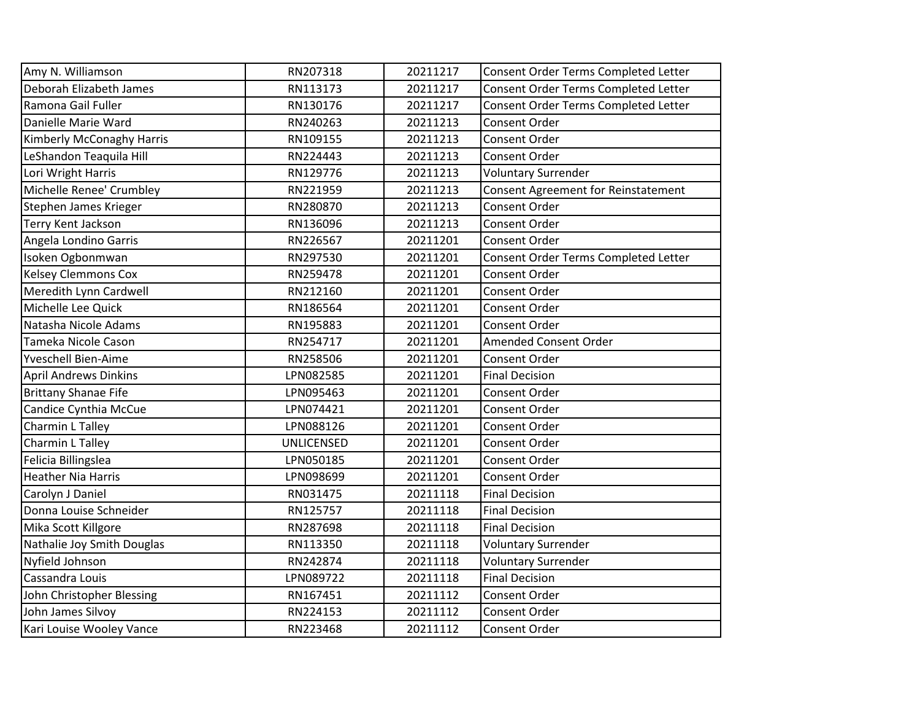| Amy N. Williamson            | RN207318          | 20211217 | Consent Order Terms Completed Letter |
|------------------------------|-------------------|----------|--------------------------------------|
| Deborah Elizabeth James      | RN113173          | 20211217 | Consent Order Terms Completed Letter |
| Ramona Gail Fuller           | RN130176          | 20211217 | Consent Order Terms Completed Letter |
| Danielle Marie Ward          | RN240263          | 20211213 | Consent Order                        |
| Kimberly McConaghy Harris    | RN109155          | 20211213 | <b>Consent Order</b>                 |
| LeShandon Teaquila Hill      | RN224443          | 20211213 | Consent Order                        |
| Lori Wright Harris           | RN129776          | 20211213 | <b>Voluntary Surrender</b>           |
| Michelle Renee' Crumbley     | RN221959          | 20211213 | Consent Agreement for Reinstatement  |
| Stephen James Krieger        | RN280870          | 20211213 | Consent Order                        |
| <b>Terry Kent Jackson</b>    | RN136096          | 20211213 | <b>Consent Order</b>                 |
| Angela Londino Garris        | RN226567          | 20211201 | Consent Order                        |
| Isoken Ogbonmwan             | RN297530          | 20211201 | Consent Order Terms Completed Letter |
| <b>Kelsey Clemmons Cox</b>   | RN259478          | 20211201 | Consent Order                        |
| Meredith Lynn Cardwell       | RN212160          | 20211201 | <b>Consent Order</b>                 |
| Michelle Lee Quick           | RN186564          | 20211201 | <b>Consent Order</b>                 |
| Natasha Nicole Adams         | RN195883          | 20211201 | Consent Order                        |
| Tameka Nicole Cason          | RN254717          | 20211201 | <b>Amended Consent Order</b>         |
| <b>Yveschell Bien-Aime</b>   | RN258506          | 20211201 | Consent Order                        |
| <b>April Andrews Dinkins</b> | LPN082585         | 20211201 | <b>Final Decision</b>                |
| <b>Brittany Shanae Fife</b>  | LPN095463         | 20211201 | <b>Consent Order</b>                 |
| Candice Cynthia McCue        | LPN074421         | 20211201 | Consent Order                        |
| Charmin L Talley             | LPN088126         | 20211201 | <b>Consent Order</b>                 |
| Charmin L Talley             | <b>UNLICENSED</b> | 20211201 | Consent Order                        |
| Felicia Billingslea          | LPN050185         | 20211201 | <b>Consent Order</b>                 |
| <b>Heather Nia Harris</b>    | LPN098699         | 20211201 | <b>Consent Order</b>                 |
| Carolyn J Daniel             | RN031475          | 20211118 | <b>Final Decision</b>                |
| Donna Louise Schneider       | RN125757          | 20211118 | <b>Final Decision</b>                |
| Mika Scott Killgore          | RN287698          | 20211118 | <b>Final Decision</b>                |
| Nathalie Joy Smith Douglas   | RN113350          | 20211118 | <b>Voluntary Surrender</b>           |
| Nyfield Johnson              | RN242874          | 20211118 | <b>Voluntary Surrender</b>           |
| Cassandra Louis              | LPN089722         | 20211118 | <b>Final Decision</b>                |
| John Christopher Blessing    | RN167451          | 20211112 | Consent Order                        |
| John James Silvoy            | RN224153          | 20211112 | Consent Order                        |
| Kari Louise Wooley Vance     | RN223468          | 20211112 | <b>Consent Order</b>                 |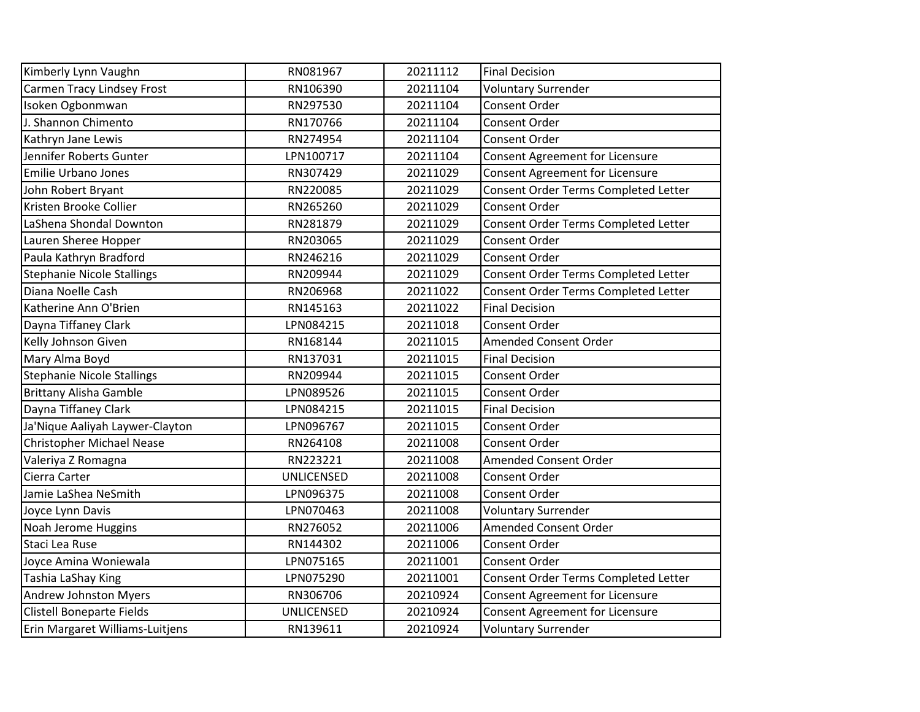| Kimberly Lynn Vaughn              | RN081967          | 20211112 | <b>Final Decision</b>                  |
|-----------------------------------|-------------------|----------|----------------------------------------|
| <b>Carmen Tracy Lindsey Frost</b> | RN106390          | 20211104 | <b>Voluntary Surrender</b>             |
| Isoken Ogbonmwan                  | RN297530          | 20211104 | Consent Order                          |
| J. Shannon Chimento               | RN170766          | 20211104 | Consent Order                          |
| Kathryn Jane Lewis                | RN274954          | 20211104 | Consent Order                          |
| Jennifer Roberts Gunter           | LPN100717         | 20211104 | Consent Agreement for Licensure        |
| <b>Emilie Urbano Jones</b>        | RN307429          | 20211029 | Consent Agreement for Licensure        |
| John Robert Bryant                | RN220085          | 20211029 | Consent Order Terms Completed Letter   |
| Kristen Brooke Collier            | RN265260          | 20211029 | Consent Order                          |
| LaShena Shondal Downton           | RN281879          | 20211029 | Consent Order Terms Completed Letter   |
| Lauren Sheree Hopper              | RN203065          | 20211029 | Consent Order                          |
| Paula Kathryn Bradford            | RN246216          | 20211029 | Consent Order                          |
| <b>Stephanie Nicole Stallings</b> | RN209944          | 20211029 | Consent Order Terms Completed Letter   |
| Diana Noelle Cash                 | RN206968          | 20211022 | Consent Order Terms Completed Letter   |
| Katherine Ann O'Brien             | RN145163          | 20211022 | <b>Final Decision</b>                  |
| Dayna Tiffaney Clark              | LPN084215         | 20211018 | Consent Order                          |
| Kelly Johnson Given               | RN168144          | 20211015 | <b>Amended Consent Order</b>           |
| Mary Alma Boyd                    | RN137031          | 20211015 | <b>Final Decision</b>                  |
| <b>Stephanie Nicole Stallings</b> | RN209944          | 20211015 | <b>Consent Order</b>                   |
| <b>Brittany Alisha Gamble</b>     | LPN089526         | 20211015 | Consent Order                          |
| Dayna Tiffaney Clark              | LPN084215         | 20211015 | <b>Final Decision</b>                  |
| Ja'Nique Aaliyah Laywer-Clayton   | LPN096767         | 20211015 | Consent Order                          |
| <b>Christopher Michael Nease</b>  | RN264108          | 20211008 | Consent Order                          |
| Valeriya Z Romagna                | RN223221          | 20211008 | Amended Consent Order                  |
| Cierra Carter                     | UNLICENSED        | 20211008 | Consent Order                          |
| Jamie LaShea NeSmith              | LPN096375         | 20211008 | Consent Order                          |
| Joyce Lynn Davis                  | LPN070463         | 20211008 | <b>Voluntary Surrender</b>             |
| Noah Jerome Huggins               | RN276052          | 20211006 | Amended Consent Order                  |
| Staci Lea Ruse                    | RN144302          | 20211006 | Consent Order                          |
| Joyce Amina Woniewala             | LPN075165         | 20211001 | <b>Consent Order</b>                   |
| Tashia LaShay King                | LPN075290         | 20211001 | Consent Order Terms Completed Letter   |
| <b>Andrew Johnston Myers</b>      | RN306706          | 20210924 | <b>Consent Agreement for Licensure</b> |
| <b>Clistell Boneparte Fields</b>  | <b>UNLICENSED</b> | 20210924 | <b>Consent Agreement for Licensure</b> |
| Erin Margaret Williams-Luitjens   | RN139611          | 20210924 | <b>Voluntary Surrender</b>             |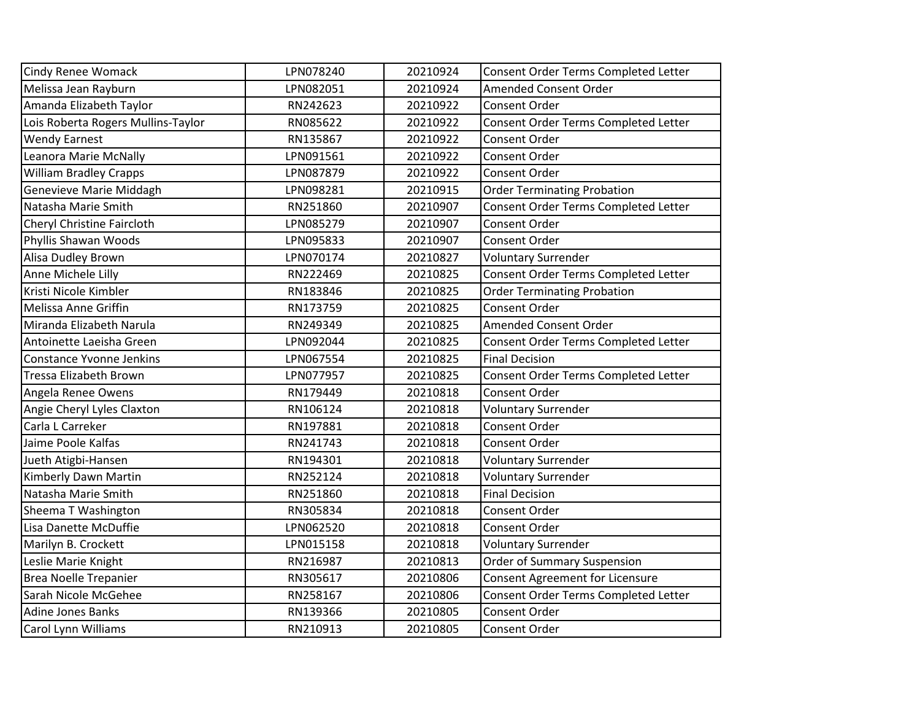| <b>Cindy Renee Womack</b>          | LPN078240 | 20210924 | Consent Order Terms Completed Letter   |
|------------------------------------|-----------|----------|----------------------------------------|
| Melissa Jean Rayburn               | LPN082051 | 20210924 | <b>Amended Consent Order</b>           |
| Amanda Elizabeth Taylor            | RN242623  | 20210922 | <b>Consent Order</b>                   |
| Lois Roberta Rogers Mullins-Taylor | RN085622  | 20210922 | Consent Order Terms Completed Letter   |
| <b>Wendy Earnest</b>               | RN135867  | 20210922 | <b>Consent Order</b>                   |
| Leanora Marie McNally              | LPN091561 | 20210922 | Consent Order                          |
| <b>William Bradley Crapps</b>      | LPN087879 | 20210922 | Consent Order                          |
| Genevieve Marie Middagh            | LPN098281 | 20210915 | <b>Order Terminating Probation</b>     |
| Natasha Marie Smith                | RN251860  | 20210907 | Consent Order Terms Completed Letter   |
| Cheryl Christine Faircloth         | LPN085279 | 20210907 | <b>Consent Order</b>                   |
| Phyllis Shawan Woods               | LPN095833 | 20210907 | <b>Consent Order</b>                   |
| Alisa Dudley Brown                 | LPN070174 | 20210827 | <b>Voluntary Surrender</b>             |
| Anne Michele Lilly                 | RN222469  | 20210825 | Consent Order Terms Completed Letter   |
| Kristi Nicole Kimbler              | RN183846  | 20210825 | <b>Order Terminating Probation</b>     |
| Melissa Anne Griffin               | RN173759  | 20210825 | <b>Consent Order</b>                   |
| Miranda Elizabeth Narula           | RN249349  | 20210825 | <b>Amended Consent Order</b>           |
| Antoinette Laeisha Green           | LPN092044 | 20210825 | Consent Order Terms Completed Letter   |
| <b>Constance Yvonne Jenkins</b>    | LPN067554 | 20210825 | <b>Final Decision</b>                  |
| <b>Tressa Elizabeth Brown</b>      | LPN077957 | 20210825 | Consent Order Terms Completed Letter   |
| Angela Renee Owens                 | RN179449  | 20210818 | <b>Consent Order</b>                   |
| Angie Cheryl Lyles Claxton         | RN106124  | 20210818 | <b>Voluntary Surrender</b>             |
| Carla L Carreker                   | RN197881  | 20210818 | Consent Order                          |
| Jaime Poole Kalfas                 | RN241743  | 20210818 | Consent Order                          |
| Jueth Atigbi-Hansen                | RN194301  | 20210818 | <b>Voluntary Surrender</b>             |
| Kimberly Dawn Martin               | RN252124  | 20210818 | <b>Voluntary Surrender</b>             |
| Natasha Marie Smith                | RN251860  | 20210818 | <b>Final Decision</b>                  |
| Sheema T Washington                | RN305834  | 20210818 | Consent Order                          |
| Lisa Danette McDuffie              | LPN062520 | 20210818 | Consent Order                          |
| Marilyn B. Crockett                | LPN015158 | 20210818 | <b>Voluntary Surrender</b>             |
| Leslie Marie Knight                | RN216987  | 20210813 | <b>Order of Summary Suspension</b>     |
| <b>Brea Noelle Trepanier</b>       | RN305617  | 20210806 | <b>Consent Agreement for Licensure</b> |
| Sarah Nicole McGehee               | RN258167  | 20210806 | Consent Order Terms Completed Letter   |
| <b>Adine Jones Banks</b>           | RN139366  | 20210805 | Consent Order                          |
| Carol Lynn Williams                | RN210913  | 20210805 | <b>Consent Order</b>                   |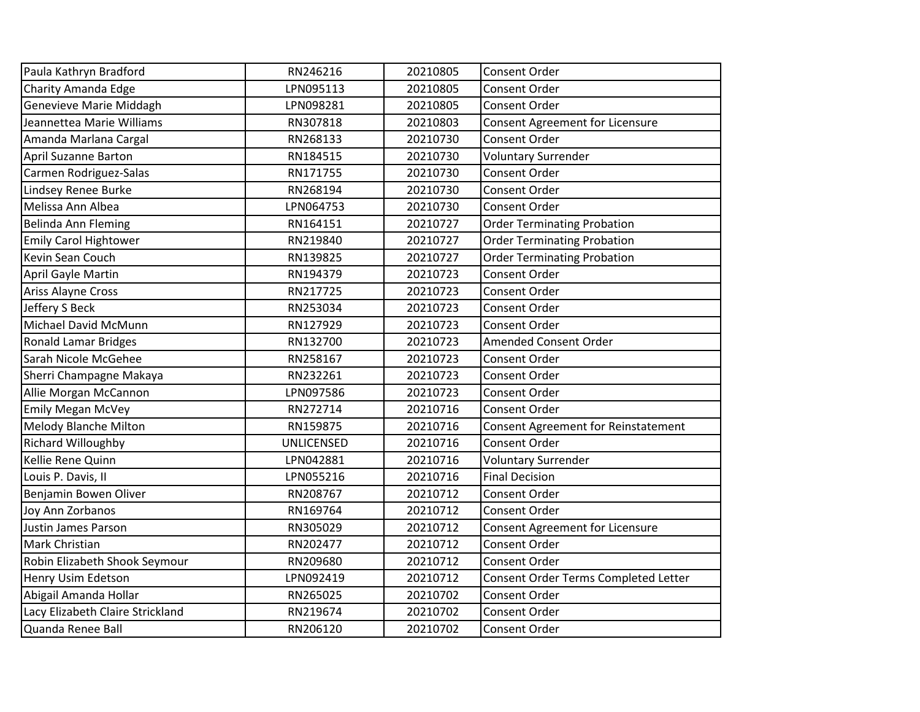| Paula Kathryn Bradford           | RN246216          | 20210805 | Consent Order                              |
|----------------------------------|-------------------|----------|--------------------------------------------|
| Charity Amanda Edge              | LPN095113         | 20210805 | Consent Order                              |
| Genevieve Marie Middagh          | LPN098281         | 20210805 | Consent Order                              |
| Jeannettea Marie Williams        | RN307818          | 20210803 | <b>Consent Agreement for Licensure</b>     |
| Amanda Marlana Cargal            | RN268133          | 20210730 | Consent Order                              |
| <b>April Suzanne Barton</b>      | RN184515          | 20210730 | <b>Voluntary Surrender</b>                 |
| Carmen Rodriguez-Salas           | RN171755          | 20210730 | Consent Order                              |
| Lindsey Renee Burke              | RN268194          | 20210730 | Consent Order                              |
| Melissa Ann Albea                | LPN064753         | 20210730 | Consent Order                              |
| Belinda Ann Fleming              | RN164151          | 20210727 | <b>Order Terminating Probation</b>         |
| <b>Emily Carol Hightower</b>     | RN219840          | 20210727 | <b>Order Terminating Probation</b>         |
| Kevin Sean Couch                 | RN139825          | 20210727 | <b>Order Terminating Probation</b>         |
| April Gayle Martin               | RN194379          | 20210723 | Consent Order                              |
| Ariss Alayne Cross               | RN217725          | 20210723 | Consent Order                              |
| Jeffery S Beck                   | RN253034          | 20210723 | Consent Order                              |
| Michael David McMunn             | RN127929          | 20210723 | <b>Consent Order</b>                       |
| <b>Ronald Lamar Bridges</b>      | RN132700          | 20210723 | Amended Consent Order                      |
| Sarah Nicole McGehee             | RN258167          | 20210723 | Consent Order                              |
| Sherri Champagne Makaya          | RN232261          | 20210723 | Consent Order                              |
| Allie Morgan McCannon            | LPN097586         | 20210723 | Consent Order                              |
| <b>Emily Megan McVey</b>         | RN272714          | 20210716 | Consent Order                              |
| Melody Blanche Milton            | RN159875          | 20210716 | <b>Consent Agreement for Reinstatement</b> |
| <b>Richard Willoughby</b>        | <b>UNLICENSED</b> | 20210716 | <b>Consent Order</b>                       |
| Kellie Rene Quinn                | LPN042881         | 20210716 | <b>Voluntary Surrender</b>                 |
| Louis P. Davis, II               | LPN055216         | 20210716 | <b>Final Decision</b>                      |
| Benjamin Bowen Oliver            | RN208767          | 20210712 | Consent Order                              |
| Joy Ann Zorbanos                 | RN169764          | 20210712 | Consent Order                              |
| Justin James Parson              | RN305029          | 20210712 | Consent Agreement for Licensure            |
| <b>Mark Christian</b>            | RN202477          | 20210712 | Consent Order                              |
| Robin Elizabeth Shook Seymour    | RN209680          | 20210712 | Consent Order                              |
| Henry Usim Edetson               | LPN092419         | 20210712 | Consent Order Terms Completed Letter       |
| Abigail Amanda Hollar            | RN265025          | 20210702 | Consent Order                              |
| Lacy Elizabeth Claire Strickland | RN219674          | 20210702 | Consent Order                              |
| Quanda Renee Ball                | RN206120          | 20210702 | Consent Order                              |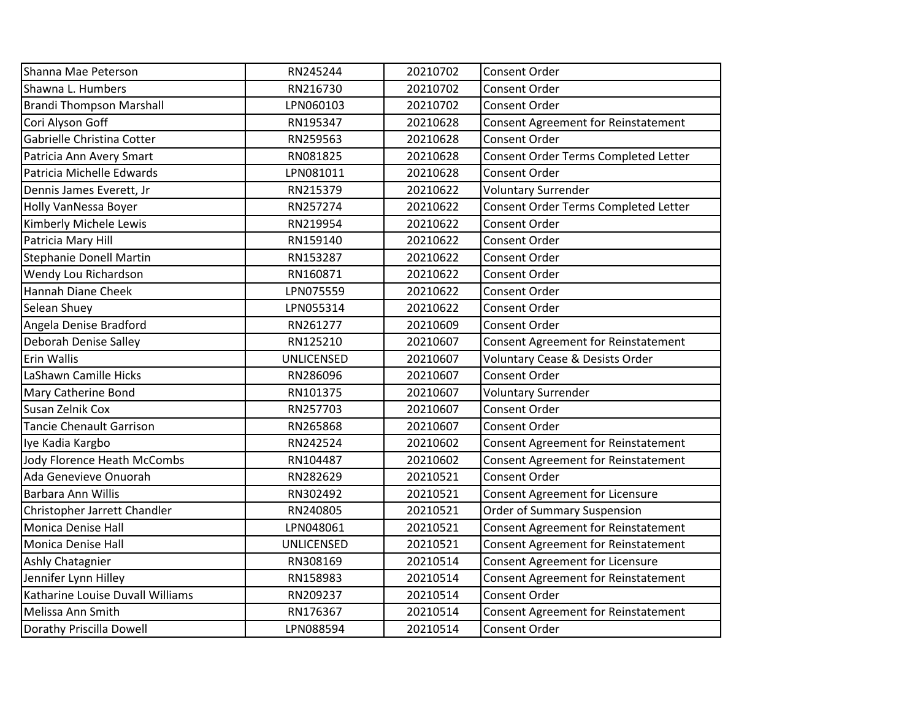| Shanna Mae Peterson              | RN245244          | 20210702 | Consent Order                              |
|----------------------------------|-------------------|----------|--------------------------------------------|
| Shawna L. Humbers                | RN216730          | 20210702 | Consent Order                              |
| <b>Brandi Thompson Marshall</b>  | LPN060103         | 20210702 | <b>Consent Order</b>                       |
| Cori Alyson Goff                 | RN195347          | 20210628 | Consent Agreement for Reinstatement        |
| Gabrielle Christina Cotter       | RN259563          | 20210628 | Consent Order                              |
| Patricia Ann Avery Smart         | RN081825          | 20210628 | Consent Order Terms Completed Letter       |
| Patricia Michelle Edwards        | LPN081011         | 20210628 | Consent Order                              |
| Dennis James Everett, Jr         | RN215379          | 20210622 | <b>Voluntary Surrender</b>                 |
| Holly VanNessa Boyer             | RN257274          | 20210622 | Consent Order Terms Completed Letter       |
| Kimberly Michele Lewis           | RN219954          | 20210622 | Consent Order                              |
| Patricia Mary Hill               | RN159140          | 20210622 | Consent Order                              |
| <b>Stephanie Donell Martin</b>   | RN153287          | 20210622 | Consent Order                              |
| Wendy Lou Richardson             | RN160871          | 20210622 | Consent Order                              |
| Hannah Diane Cheek               | LPN075559         | 20210622 | <b>Consent Order</b>                       |
| Selean Shuey                     | LPN055314         | 20210622 | <b>Consent Order</b>                       |
| Angela Denise Bradford           | RN261277          | 20210609 | Consent Order                              |
| Deborah Denise Salley            | RN125210          | 20210607 | <b>Consent Agreement for Reinstatement</b> |
| Erin Wallis                      | <b>UNLICENSED</b> | 20210607 | Voluntary Cease & Desists Order            |
| LaShawn Camille Hicks            | RN286096          | 20210607 | <b>Consent Order</b>                       |
| Mary Catherine Bond              | RN101375          | 20210607 | <b>Voluntary Surrender</b>                 |
| Susan Zelnik Cox                 | RN257703          | 20210607 | <b>Consent Order</b>                       |
| <b>Tancie Chenault Garrison</b>  | RN265868          | 20210607 | Consent Order                              |
| Iye Kadia Kargbo                 | RN242524          | 20210602 | <b>Consent Agreement for Reinstatement</b> |
| Jody Florence Heath McCombs      | RN104487          | 20210602 | <b>Consent Agreement for Reinstatement</b> |
| Ada Genevieve Onuorah            | RN282629          | 20210521 | <b>Consent Order</b>                       |
| Barbara Ann Willis               | RN302492          | 20210521 | Consent Agreement for Licensure            |
| Christopher Jarrett Chandler     | RN240805          | 20210521 | <b>Order of Summary Suspension</b>         |
| Monica Denise Hall               | LPN048061         | 20210521 | <b>Consent Agreement for Reinstatement</b> |
| Monica Denise Hall               | <b>UNLICENSED</b> | 20210521 | <b>Consent Agreement for Reinstatement</b> |
| Ashly Chatagnier                 | RN308169          | 20210514 | Consent Agreement for Licensure            |
| Jennifer Lynn Hilley             | RN158983          | 20210514 | <b>Consent Agreement for Reinstatement</b> |
| Katharine Louise Duvall Williams | RN209237          | 20210514 | Consent Order                              |
| Melissa Ann Smith                | RN176367          | 20210514 | Consent Agreement for Reinstatement        |
| Dorathy Priscilla Dowell         | LPN088594         | 20210514 | Consent Order                              |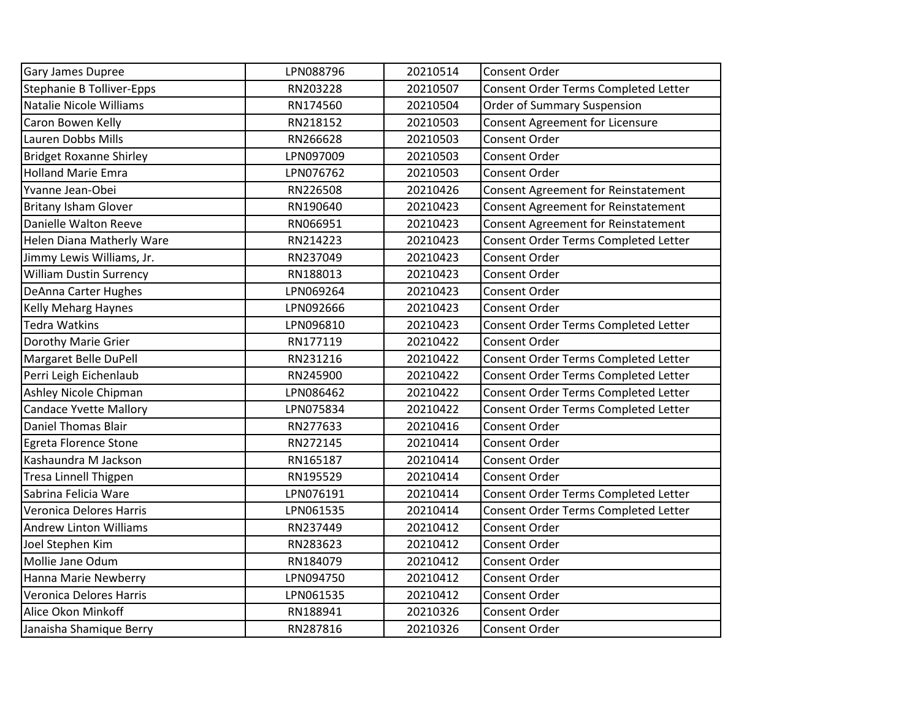| Gary James Dupree              | LPN088796 | 20210514 | <b>Consent Order</b>                 |
|--------------------------------|-----------|----------|--------------------------------------|
| Stephanie B Tolliver-Epps      | RN203228  | 20210507 | Consent Order Terms Completed Letter |
| Natalie Nicole Williams        | RN174560  | 20210504 | <b>Order of Summary Suspension</b>   |
| Caron Bowen Kelly              | RN218152  | 20210503 | Consent Agreement for Licensure      |
| Lauren Dobbs Mills             | RN266628  | 20210503 | Consent Order                        |
| <b>Bridget Roxanne Shirley</b> | LPN097009 | 20210503 | Consent Order                        |
| <b>Holland Marie Emra</b>      | LPN076762 | 20210503 | <b>Consent Order</b>                 |
| Yvanne Jean-Obei               | RN226508  | 20210426 | Consent Agreement for Reinstatement  |
| <b>Britany Isham Glover</b>    | RN190640  | 20210423 | Consent Agreement for Reinstatement  |
| Danielle Walton Reeve          | RN066951  | 20210423 | Consent Agreement for Reinstatement  |
| Helen Diana Matherly Ware      | RN214223  | 20210423 | Consent Order Terms Completed Letter |
| Jimmy Lewis Williams, Jr.      | RN237049  | 20210423 | Consent Order                        |
| <b>William Dustin Surrency</b> | RN188013  | 20210423 | Consent Order                        |
| DeAnna Carter Hughes           | LPN069264 | 20210423 | <b>Consent Order</b>                 |
| <b>Kelly Meharg Haynes</b>     | LPN092666 | 20210423 | <b>Consent Order</b>                 |
| <b>Tedra Watkins</b>           | LPN096810 | 20210423 | Consent Order Terms Completed Letter |
| Dorothy Marie Grier            | RN177119  | 20210422 | <b>Consent Order</b>                 |
| Margaret Belle DuPell          | RN231216  | 20210422 | Consent Order Terms Completed Letter |
| Perri Leigh Eichenlaub         | RN245900  | 20210422 | Consent Order Terms Completed Letter |
| Ashley Nicole Chipman          | LPN086462 | 20210422 | Consent Order Terms Completed Letter |
| <b>Candace Yvette Mallory</b>  | LPN075834 | 20210422 | Consent Order Terms Completed Letter |
| <b>Daniel Thomas Blair</b>     | RN277633  | 20210416 | Consent Order                        |
| Egreta Florence Stone          | RN272145  | 20210414 | Consent Order                        |
| Kashaundra M Jackson           | RN165187  | 20210414 | <b>Consent Order</b>                 |
| <b>Tresa Linnell Thigpen</b>   | RN195529  | 20210414 | <b>Consent Order</b>                 |
| Sabrina Felicia Ware           | LPN076191 | 20210414 | Consent Order Terms Completed Letter |
| Veronica Delores Harris        | LPN061535 | 20210414 | Consent Order Terms Completed Letter |
| <b>Andrew Linton Williams</b>  | RN237449  | 20210412 | Consent Order                        |
| Joel Stephen Kim               | RN283623  | 20210412 | <b>Consent Order</b>                 |
| Mollie Jane Odum               | RN184079  | 20210412 | Consent Order                        |
| Hanna Marie Newberry           | LPN094750 | 20210412 | <b>Consent Order</b>                 |
| Veronica Delores Harris        | LPN061535 | 20210412 | Consent Order                        |
| Alice Okon Minkoff             | RN188941  | 20210326 | Consent Order                        |
| Janaisha Shamique Berry        | RN287816  | 20210326 | <b>Consent Order</b>                 |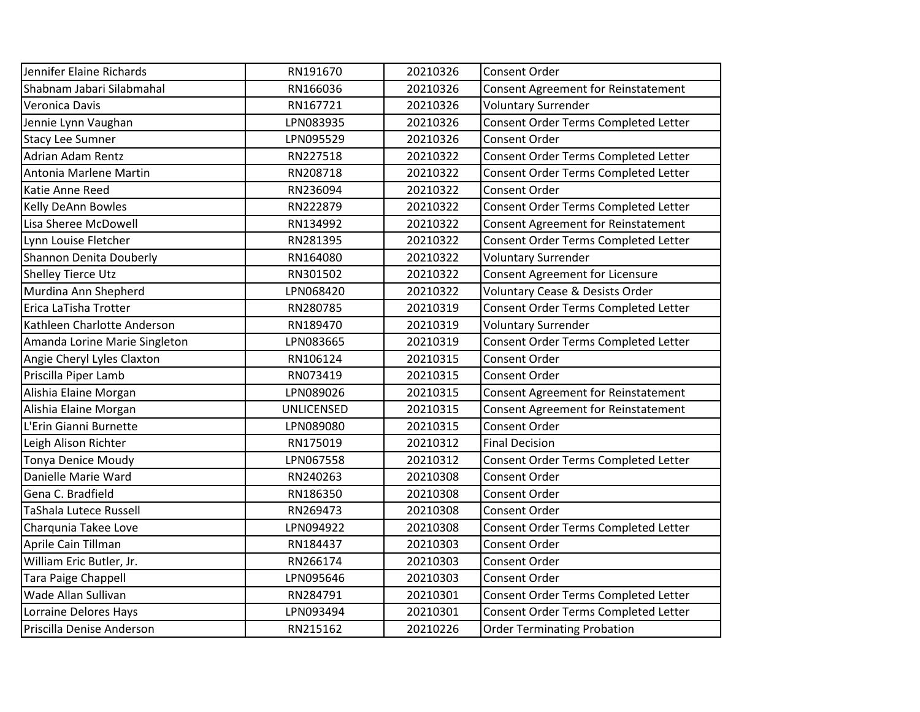| Jennifer Elaine Richards      | RN191670          | 20210326 | Consent Order                              |
|-------------------------------|-------------------|----------|--------------------------------------------|
| Shabnam Jabari Silabmahal     | RN166036          | 20210326 | <b>Consent Agreement for Reinstatement</b> |
| Veronica Davis                | RN167721          | 20210326 | <b>Voluntary Surrender</b>                 |
| Jennie Lynn Vaughan           | LPN083935         | 20210326 | Consent Order Terms Completed Letter       |
| <b>Stacy Lee Sumner</b>       | LPN095529         | 20210326 | Consent Order                              |
| <b>Adrian Adam Rentz</b>      | RN227518          | 20210322 | Consent Order Terms Completed Letter       |
| Antonia Marlene Martin        | RN208718          | 20210322 | Consent Order Terms Completed Letter       |
| Katie Anne Reed               | RN236094          | 20210322 | <b>Consent Order</b>                       |
| <b>Kelly DeAnn Bowles</b>     | RN222879          | 20210322 | Consent Order Terms Completed Letter       |
| Lisa Sheree McDowell          | RN134992          | 20210322 | <b>Consent Agreement for Reinstatement</b> |
| Lynn Louise Fletcher          | RN281395          | 20210322 | Consent Order Terms Completed Letter       |
| Shannon Denita Douberly       | RN164080          | 20210322 | <b>Voluntary Surrender</b>                 |
| <b>Shelley Tierce Utz</b>     | RN301502          | 20210322 | <b>Consent Agreement for Licensure</b>     |
| Murdina Ann Shepherd          | LPN068420         | 20210322 | <b>Voluntary Cease &amp; Desists Order</b> |
| Erica LaTisha Trotter         | RN280785          | 20210319 | Consent Order Terms Completed Letter       |
| Kathleen Charlotte Anderson   | RN189470          | 20210319 | <b>Voluntary Surrender</b>                 |
| Amanda Lorine Marie Singleton | LPN083665         | 20210319 | Consent Order Terms Completed Letter       |
| Angie Cheryl Lyles Claxton    | RN106124          | 20210315 | <b>Consent Order</b>                       |
| Priscilla Piper Lamb          | RN073419          | 20210315 | <b>Consent Order</b>                       |
| Alishia Elaine Morgan         | LPN089026         | 20210315 | Consent Agreement for Reinstatement        |
| Alishia Elaine Morgan         | <b>UNLICENSED</b> | 20210315 | <b>Consent Agreement for Reinstatement</b> |
| L'Erin Gianni Burnette        | LPN089080         | 20210315 | Consent Order                              |
| Leigh Alison Richter          | RN175019          | 20210312 | <b>Final Decision</b>                      |
| <b>Tonya Denice Moudy</b>     | LPN067558         | 20210312 | Consent Order Terms Completed Letter       |
| Danielle Marie Ward           | RN240263          | 20210308 | <b>Consent Order</b>                       |
| Gena C. Bradfield             | RN186350          | 20210308 | Consent Order                              |
| TaShala Lutece Russell        | RN269473          | 20210308 | Consent Order                              |
| Charqunia Takee Love          | LPN094922         | 20210308 | Consent Order Terms Completed Letter       |
| Aprile Cain Tillman           | RN184437          | 20210303 | <b>Consent Order</b>                       |
| William Eric Butler, Jr.      | RN266174          | 20210303 | <b>Consent Order</b>                       |
| <b>Tara Paige Chappell</b>    | LPN095646         | 20210303 | Consent Order                              |
| Wade Allan Sullivan           | RN284791          | 20210301 | Consent Order Terms Completed Letter       |
| Lorraine Delores Hays         | LPN093494         | 20210301 | Consent Order Terms Completed Letter       |
| Priscilla Denise Anderson     | RN215162          | 20210226 | <b>Order Terminating Probation</b>         |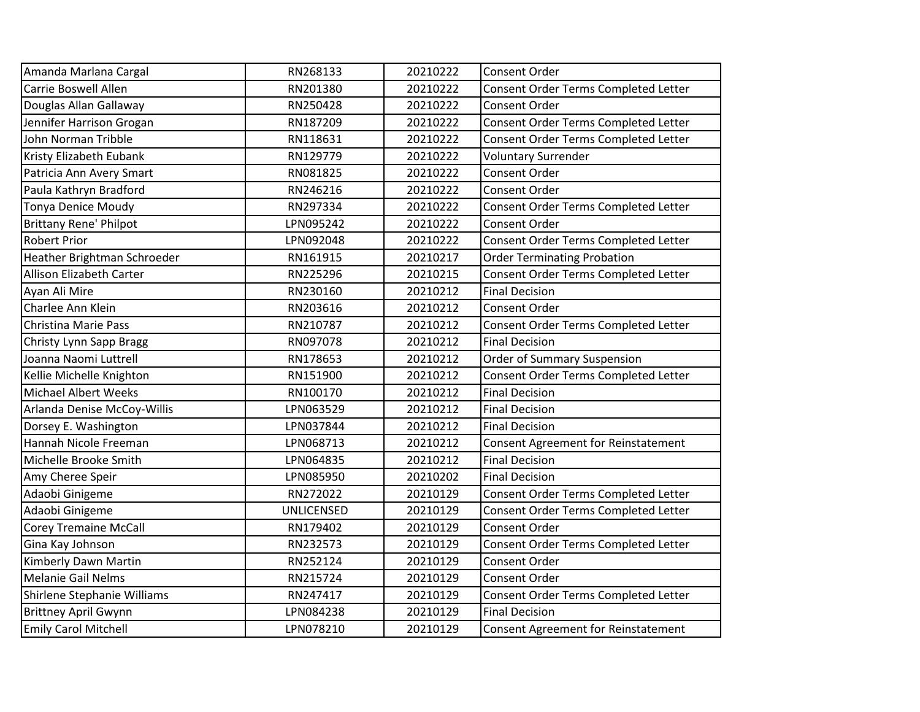| Amanda Marlana Cargal         | RN268133          | 20210222 | <b>Consent Order</b>                 |
|-------------------------------|-------------------|----------|--------------------------------------|
| Carrie Boswell Allen          | RN201380          | 20210222 | Consent Order Terms Completed Letter |
| Douglas Allan Gallaway        | RN250428          | 20210222 | <b>Consent Order</b>                 |
| Jennifer Harrison Grogan      | RN187209          | 20210222 | Consent Order Terms Completed Letter |
| John Norman Tribble           | RN118631          | 20210222 | Consent Order Terms Completed Letter |
| Kristy Elizabeth Eubank       | RN129779          | 20210222 | <b>Voluntary Surrender</b>           |
| Patricia Ann Avery Smart      | RN081825          | 20210222 | Consent Order                        |
| Paula Kathryn Bradford        | RN246216          | 20210222 | <b>Consent Order</b>                 |
| <b>Tonya Denice Moudy</b>     | RN297334          | 20210222 | Consent Order Terms Completed Letter |
| <b>Brittany Rene' Philpot</b> | LPN095242         | 20210222 | <b>Consent Order</b>                 |
| <b>Robert Prior</b>           | LPN092048         | 20210222 | Consent Order Terms Completed Letter |
| Heather Brightman Schroeder   | RN161915          | 20210217 | <b>Order Terminating Probation</b>   |
| Allison Elizabeth Carter      | RN225296          | 20210215 | Consent Order Terms Completed Letter |
| Ayan Ali Mire                 | RN230160          | 20210212 | <b>Final Decision</b>                |
| Charlee Ann Klein             | RN203616          | 20210212 | <b>Consent Order</b>                 |
| <b>Christina Marie Pass</b>   | RN210787          | 20210212 | Consent Order Terms Completed Letter |
| Christy Lynn Sapp Bragg       | RN097078          | 20210212 | <b>Final Decision</b>                |
| Joanna Naomi Luttrell         | RN178653          | 20210212 | Order of Summary Suspension          |
| Kellie Michelle Knighton      | RN151900          | 20210212 | Consent Order Terms Completed Letter |
| <b>Michael Albert Weeks</b>   | RN100170          | 20210212 | <b>Final Decision</b>                |
| Arlanda Denise McCoy-Willis   | LPN063529         | 20210212 | <b>Final Decision</b>                |
| Dorsey E. Washington          | LPN037844         | 20210212 | <b>Final Decision</b>                |
| Hannah Nicole Freeman         | LPN068713         | 20210212 | Consent Agreement for Reinstatement  |
| Michelle Brooke Smith         | LPN064835         | 20210212 | <b>Final Decision</b>                |
| Amy Cheree Speir              | LPN085950         | 20210202 | <b>Final Decision</b>                |
| Adaobi Ginigeme               | RN272022          | 20210129 | Consent Order Terms Completed Letter |
| Adaobi Ginigeme               | <b>UNLICENSED</b> | 20210129 | Consent Order Terms Completed Letter |
| <b>Corey Tremaine McCall</b>  | RN179402          | 20210129 | <b>Consent Order</b>                 |
| Gina Kay Johnson              | RN232573          | 20210129 | Consent Order Terms Completed Letter |
| Kimberly Dawn Martin          | RN252124          | 20210129 | <b>Consent Order</b>                 |
| <b>Melanie Gail Nelms</b>     | RN215724          | 20210129 | Consent Order                        |
| Shirlene Stephanie Williams   | RN247417          | 20210129 | Consent Order Terms Completed Letter |
| <b>Brittney April Gwynn</b>   | LPN084238         | 20210129 | <b>Final Decision</b>                |
| <b>Emily Carol Mitchell</b>   | LPN078210         | 20210129 | Consent Agreement for Reinstatement  |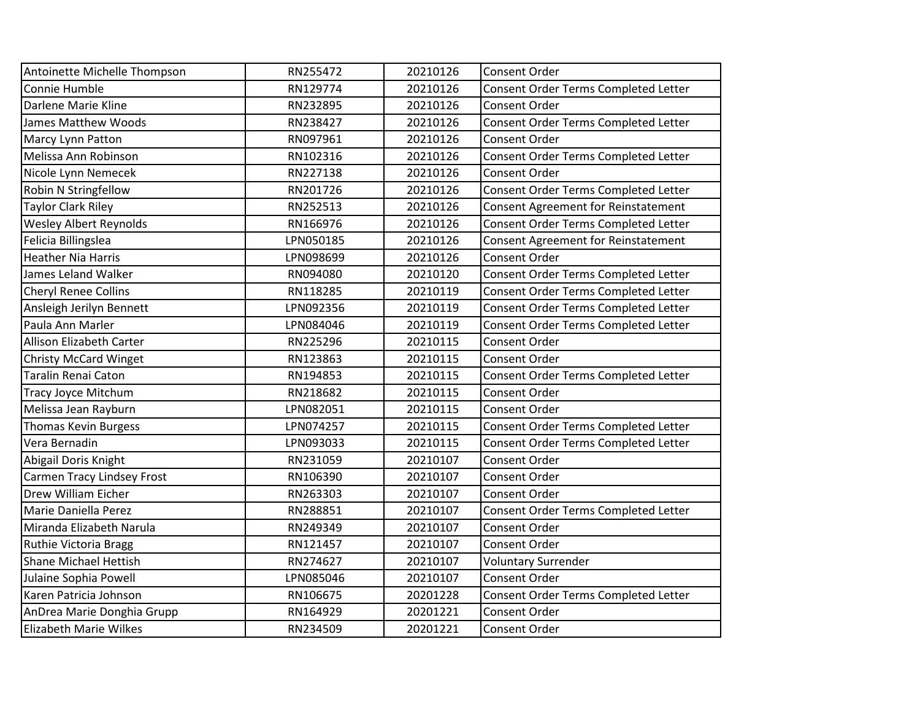| Antoinette Michelle Thompson      | RN255472  | 20210126 | Consent Order                              |
|-----------------------------------|-----------|----------|--------------------------------------------|
| Connie Humble                     | RN129774  | 20210126 | Consent Order Terms Completed Letter       |
| Darlene Marie Kline               | RN232895  | 20210126 | Consent Order                              |
| <b>James Matthew Woods</b>        | RN238427  | 20210126 | Consent Order Terms Completed Letter       |
| Marcy Lynn Patton                 | RN097961  | 20210126 | Consent Order                              |
| Melissa Ann Robinson              | RN102316  | 20210126 | Consent Order Terms Completed Letter       |
| Nicole Lynn Nemecek               | RN227138  | 20210126 | Consent Order                              |
| Robin N Stringfellow              | RN201726  | 20210126 | Consent Order Terms Completed Letter       |
| <b>Taylor Clark Riley</b>         | RN252513  | 20210126 | <b>Consent Agreement for Reinstatement</b> |
| <b>Wesley Albert Reynolds</b>     | RN166976  | 20210126 | Consent Order Terms Completed Letter       |
| Felicia Billingslea               | LPN050185 | 20210126 | Consent Agreement for Reinstatement        |
| <b>Heather Nia Harris</b>         | LPN098699 | 20210126 | Consent Order                              |
| James Leland Walker               | RN094080  | 20210120 | Consent Order Terms Completed Letter       |
| Cheryl Renee Collins              | RN118285  | 20210119 | Consent Order Terms Completed Letter       |
| Ansleigh Jerilyn Bennett          | LPN092356 | 20210119 | Consent Order Terms Completed Letter       |
| Paula Ann Marler                  | LPN084046 | 20210119 | Consent Order Terms Completed Letter       |
| Allison Elizabeth Carter          | RN225296  | 20210115 | Consent Order                              |
| <b>Christy McCard Winget</b>      | RN123863  | 20210115 | Consent Order                              |
| Taralin Renai Caton               | RN194853  | 20210115 | Consent Order Terms Completed Letter       |
| <b>Tracy Joyce Mitchum</b>        | RN218682  | 20210115 | Consent Order                              |
| Melissa Jean Rayburn              | LPN082051 | 20210115 | Consent Order                              |
| <b>Thomas Kevin Burgess</b>       | LPN074257 | 20210115 | Consent Order Terms Completed Letter       |
| Vera Bernadin                     | LPN093033 | 20210115 | Consent Order Terms Completed Letter       |
| Abigail Doris Knight              | RN231059  | 20210107 | Consent Order                              |
| <b>Carmen Tracy Lindsey Frost</b> | RN106390  | 20210107 | Consent Order                              |
| Drew William Eicher               | RN263303  | 20210107 | Consent Order                              |
| Marie Daniella Perez              | RN288851  | 20210107 | Consent Order Terms Completed Letter       |
| Miranda Elizabeth Narula          | RN249349  | 20210107 | <b>Consent Order</b>                       |
| Ruthie Victoria Bragg             | RN121457  | 20210107 | Consent Order                              |
| <b>Shane Michael Hettish</b>      | RN274627  | 20210107 | <b>Voluntary Surrender</b>                 |
| Julaine Sophia Powell             | LPN085046 | 20210107 | <b>Consent Order</b>                       |
| Karen Patricia Johnson            | RN106675  | 20201228 | Consent Order Terms Completed Letter       |
| AnDrea Marie Donghia Grupp        | RN164929  | 20201221 | Consent Order                              |
| <b>Elizabeth Marie Wilkes</b>     | RN234509  | 20201221 | Consent Order                              |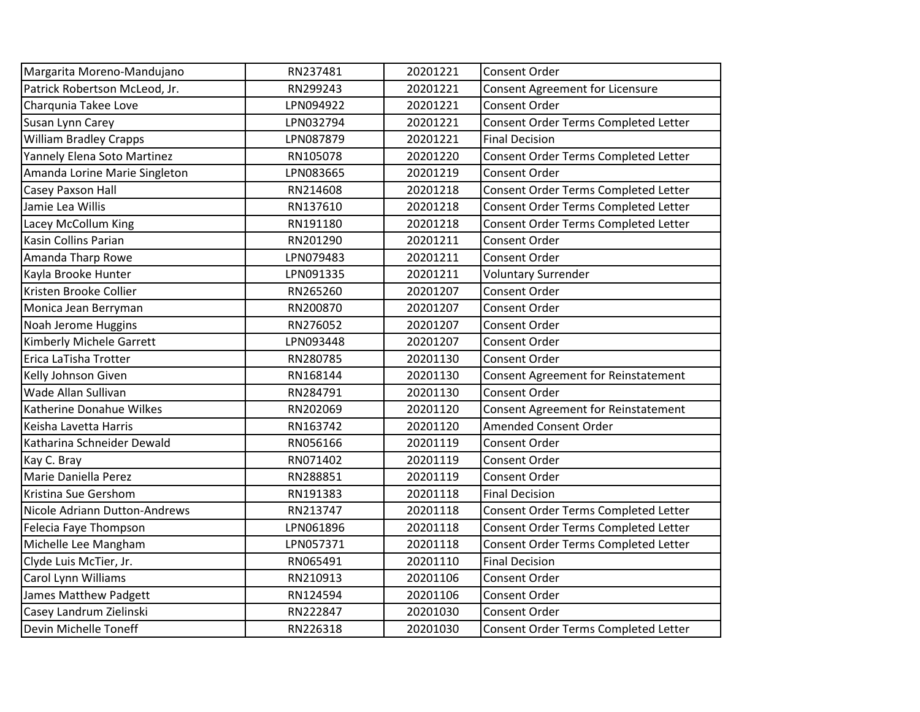| Margarita Moreno-Mandujano    | RN237481  | 20201221 | Consent Order                              |
|-------------------------------|-----------|----------|--------------------------------------------|
| Patrick Robertson McLeod, Jr. | RN299243  | 20201221 | <b>Consent Agreement for Licensure</b>     |
| Charqunia Takee Love          | LPN094922 | 20201221 | <b>Consent Order</b>                       |
| Susan Lynn Carey              | LPN032794 | 20201221 | Consent Order Terms Completed Letter       |
| <b>William Bradley Crapps</b> | LPN087879 | 20201221 | <b>Final Decision</b>                      |
| Yannely Elena Soto Martinez   | RN105078  | 20201220 | Consent Order Terms Completed Letter       |
| Amanda Lorine Marie Singleton | LPN083665 | 20201219 | Consent Order                              |
| Casey Paxson Hall             | RN214608  | 20201218 | Consent Order Terms Completed Letter       |
| Jamie Lea Willis              | RN137610  | 20201218 | Consent Order Terms Completed Letter       |
| Lacey McCollum King           | RN191180  | 20201218 | Consent Order Terms Completed Letter       |
| <b>Kasin Collins Parian</b>   | RN201290  | 20201211 | Consent Order                              |
| Amanda Tharp Rowe             | LPN079483 | 20201211 | <b>Consent Order</b>                       |
| Kayla Brooke Hunter           | LPN091335 | 20201211 | <b>Voluntary Surrender</b>                 |
| Kristen Brooke Collier        | RN265260  | 20201207 | <b>Consent Order</b>                       |
| Monica Jean Berryman          | RN200870  | 20201207 | Consent Order                              |
| Noah Jerome Huggins           | RN276052  | 20201207 | Consent Order                              |
| Kimberly Michele Garrett      | LPN093448 | 20201207 | <b>Consent Order</b>                       |
| Erica LaTisha Trotter         | RN280785  | 20201130 | <b>Consent Order</b>                       |
|                               |           |          |                                            |
| Kelly Johnson Given           | RN168144  | 20201130 | Consent Agreement for Reinstatement        |
| Wade Allan Sullivan           | RN284791  | 20201130 | Consent Order                              |
| Katherine Donahue Wilkes      | RN202069  | 20201120 | <b>Consent Agreement for Reinstatement</b> |
| Keisha Lavetta Harris         | RN163742  | 20201120 | <b>Amended Consent Order</b>               |
| Katharina Schneider Dewald    | RN056166  | 20201119 | Consent Order                              |
| Kay C. Bray                   | RN071402  | 20201119 | <b>Consent Order</b>                       |
| Marie Daniella Perez          | RN288851  | 20201119 | Consent Order                              |
| Kristina Sue Gershom          | RN191383  | 20201118 | <b>Final Decision</b>                      |
| Nicole Adriann Dutton-Andrews | RN213747  | 20201118 | Consent Order Terms Completed Letter       |
| Felecia Faye Thompson         | LPN061896 | 20201118 | Consent Order Terms Completed Letter       |
| Michelle Lee Mangham          | LPN057371 | 20201118 | Consent Order Terms Completed Letter       |
| Clyde Luis McTier, Jr.        | RN065491  | 20201110 | <b>Final Decision</b>                      |
| Carol Lynn Williams           | RN210913  | 20201106 | Consent Order                              |
| James Matthew Padgett         | RN124594  | 20201106 | Consent Order                              |
| Casey Landrum Zielinski       | RN222847  | 20201030 | Consent Order                              |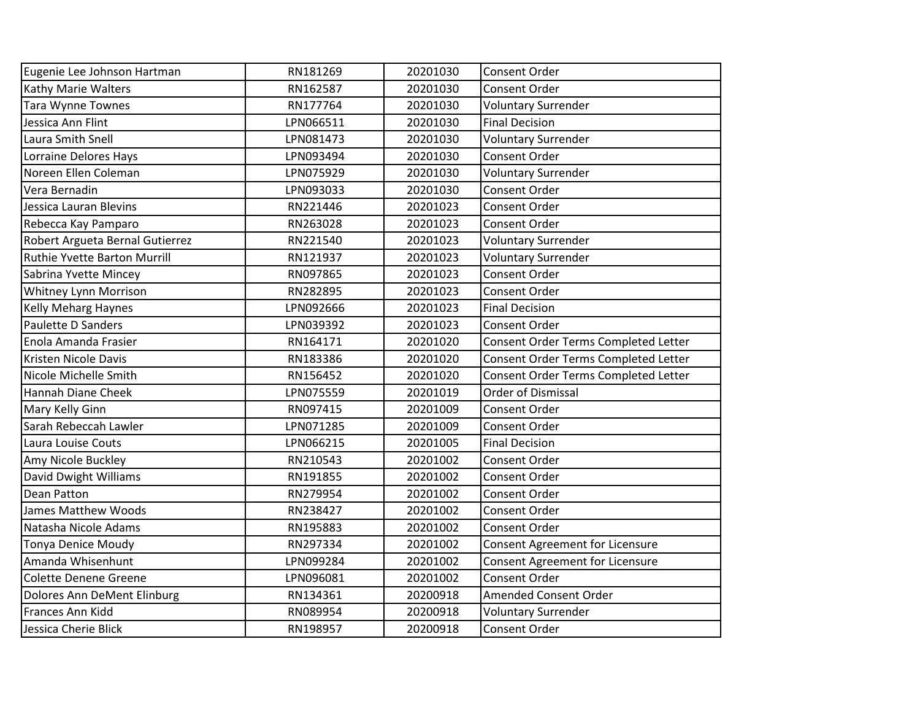| Eugenie Lee Johnson Hartman                   | RN181269  | 20201030 | Consent Order                                       |
|-----------------------------------------------|-----------|----------|-----------------------------------------------------|
|                                               | RN162587  | 20201030 | Consent Order                                       |
| Kathy Marie Walters                           | RN177764  | 20201030 |                                                     |
| <b>Tara Wynne Townes</b><br>Jessica Ann Flint | LPN066511 | 20201030 | <b>Voluntary Surrender</b><br><b>Final Decision</b> |
|                                               |           |          |                                                     |
| Laura Smith Snell                             | LPN081473 | 20201030 | <b>Voluntary Surrender</b>                          |
| Lorraine Delores Hays                         | LPN093494 | 20201030 | Consent Order                                       |
| Noreen Ellen Coleman                          | LPN075929 | 20201030 | <b>Voluntary Surrender</b>                          |
| Vera Bernadin                                 | LPN093033 | 20201030 | <b>Consent Order</b>                                |
| Jessica Lauran Blevins                        | RN221446  | 20201023 | <b>Consent Order</b>                                |
| Rebecca Kay Pamparo                           | RN263028  | 20201023 | <b>Consent Order</b>                                |
| Robert Argueta Bernal Gutierrez               | RN221540  | 20201023 | <b>Voluntary Surrender</b>                          |
| Ruthie Yvette Barton Murrill                  | RN121937  | 20201023 | <b>Voluntary Surrender</b>                          |
| Sabrina Yvette Mincey                         | RN097865  | 20201023 | Consent Order                                       |
| Whitney Lynn Morrison                         | RN282895  | 20201023 | Consent Order                                       |
| Kelly Meharg Haynes                           | LPN092666 | 20201023 | <b>Final Decision</b>                               |
| Paulette D Sanders                            | LPN039392 | 20201023 | Consent Order                                       |
| Enola Amanda Frasier                          | RN164171  | 20201020 | Consent Order Terms Completed Letter                |
| Kristen Nicole Davis                          | RN183386  | 20201020 | Consent Order Terms Completed Letter                |
| Nicole Michelle Smith                         | RN156452  | 20201020 | Consent Order Terms Completed Letter                |
| Hannah Diane Cheek                            | LPN075559 | 20201019 | Order of Dismissal                                  |
| Mary Kelly Ginn                               | RN097415  | 20201009 | <b>Consent Order</b>                                |
| Sarah Rebeccah Lawler                         | LPN071285 | 20201009 | Consent Order                                       |
| Laura Louise Couts                            | LPN066215 | 20201005 | <b>Final Decision</b>                               |
| Amy Nicole Buckley                            | RN210543  | 20201002 | <b>Consent Order</b>                                |
| David Dwight Williams                         | RN191855  | 20201002 | <b>Consent Order</b>                                |
| Dean Patton                                   | RN279954  | 20201002 | <b>Consent Order</b>                                |
| James Matthew Woods                           | RN238427  | 20201002 | Consent Order                                       |
| Natasha Nicole Adams                          | RN195883  | 20201002 | <b>Consent Order</b>                                |
| <b>Tonya Denice Moudy</b>                     | RN297334  | 20201002 | Consent Agreement for Licensure                     |
| Amanda Whisenhunt                             | LPN099284 | 20201002 | Consent Agreement for Licensure                     |
| <b>Colette Denene Greene</b>                  | LPN096081 | 20201002 | Consent Order                                       |
| Dolores Ann DeMent Elinburg                   | RN134361  | 20200918 | <b>Amended Consent Order</b>                        |
| Frances Ann Kidd                              | RN089954  | 20200918 | <b>Voluntary Surrender</b>                          |
| Jessica Cherie Blick                          | RN198957  | 20200918 | <b>Consent Order</b>                                |
|                                               |           |          |                                                     |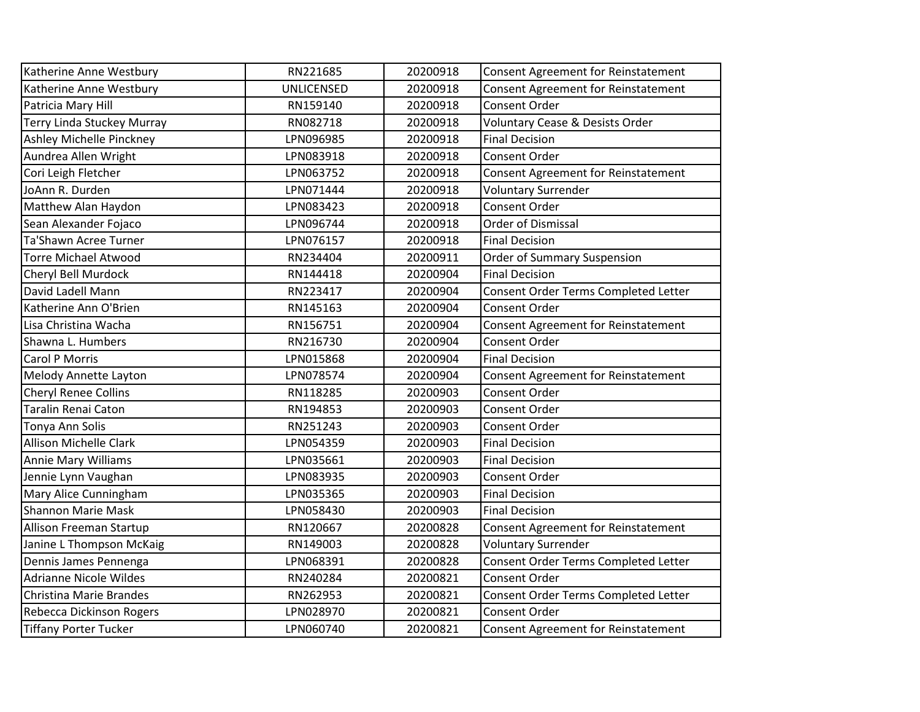| Katherine Anne Westbury           | RN221685   | 20200918 | Consent Agreement for Reinstatement        |
|-----------------------------------|------------|----------|--------------------------------------------|
| Katherine Anne Westbury           | UNLICENSED | 20200918 | <b>Consent Agreement for Reinstatement</b> |
| Patricia Mary Hill                | RN159140   | 20200918 | Consent Order                              |
| <b>Terry Linda Stuckey Murray</b> | RN082718   | 20200918 | Voluntary Cease & Desists Order            |
| Ashley Michelle Pinckney          | LPN096985  | 20200918 | <b>Final Decision</b>                      |
| Aundrea Allen Wright              | LPN083918  | 20200918 | Consent Order                              |
| Cori Leigh Fletcher               | LPN063752  | 20200918 | <b>Consent Agreement for Reinstatement</b> |
| JoAnn R. Durden                   | LPN071444  | 20200918 | <b>Voluntary Surrender</b>                 |
| Matthew Alan Haydon               | LPN083423  | 20200918 | Consent Order                              |
| Sean Alexander Fojaco             | LPN096744  | 20200918 | <b>Order of Dismissal</b>                  |
| Ta'Shawn Acree Turner             | LPN076157  | 20200918 | <b>Final Decision</b>                      |
| <b>Torre Michael Atwood</b>       | RN234404   | 20200911 | <b>Order of Summary Suspension</b>         |
| Cheryl Bell Murdock               | RN144418   | 20200904 | <b>Final Decision</b>                      |
| David Ladell Mann                 | RN223417   | 20200904 | Consent Order Terms Completed Letter       |
| Katherine Ann O'Brien             | RN145163   | 20200904 | <b>Consent Order</b>                       |
| Lisa Christina Wacha              | RN156751   | 20200904 | Consent Agreement for Reinstatement        |
| Shawna L. Humbers                 | RN216730   | 20200904 | Consent Order                              |
| <b>Carol P Morris</b>             | LPN015868  | 20200904 | <b>Final Decision</b>                      |
| Melody Annette Layton             | LPN078574  | 20200904 | Consent Agreement for Reinstatement        |
| <b>Cheryl Renee Collins</b>       | RN118285   | 20200903 | <b>Consent Order</b>                       |
| <b>Taralin Renai Caton</b>        | RN194853   | 20200903 | Consent Order                              |
| Tonya Ann Solis                   | RN251243   | 20200903 | Consent Order                              |
| <b>Allison Michelle Clark</b>     | LPN054359  | 20200903 | <b>Final Decision</b>                      |
| <b>Annie Mary Williams</b>        | LPN035661  | 20200903 | <b>Final Decision</b>                      |
| Jennie Lynn Vaughan               | LPN083935  | 20200903 | <b>Consent Order</b>                       |
| Mary Alice Cunningham             | LPN035365  | 20200903 | <b>Final Decision</b>                      |
| <b>Shannon Marie Mask</b>         | LPN058430  | 20200903 | <b>Final Decision</b>                      |
| Allison Freeman Startup           | RN120667   | 20200828 | <b>Consent Agreement for Reinstatement</b> |
| Janine L Thompson McKaig          | RN149003   | 20200828 | <b>Voluntary Surrender</b>                 |
| Dennis James Pennenga             | LPN068391  | 20200828 | Consent Order Terms Completed Letter       |
| <b>Adrianne Nicole Wildes</b>     | RN240284   | 20200821 | Consent Order                              |
| Christina Marie Brandes           | RN262953   | 20200821 | Consent Order Terms Completed Letter       |
| Rebecca Dickinson Rogers          | LPN028970  | 20200821 | Consent Order                              |
| <b>Tiffany Porter Tucker</b>      | LPN060740  | 20200821 | Consent Agreement for Reinstatement        |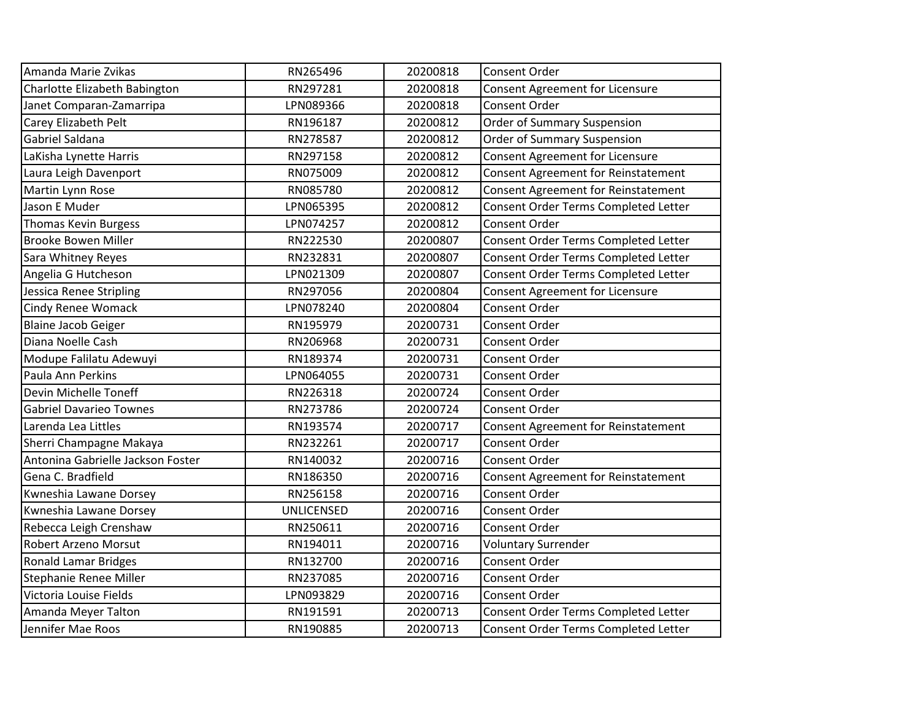| Amanda Marie Zvikas               | RN265496          | 20200818 | Consent Order                              |
|-----------------------------------|-------------------|----------|--------------------------------------------|
| Charlotte Elizabeth Babington     | RN297281          | 20200818 | <b>Consent Agreement for Licensure</b>     |
| Janet Comparan-Zamarripa          | LPN089366         | 20200818 | Consent Order                              |
| Carey Elizabeth Pelt              | RN196187          | 20200812 | Order of Summary Suspension                |
| Gabriel Saldana                   | RN278587          | 20200812 | <b>Order of Summary Suspension</b>         |
| LaKisha Lynette Harris            | RN297158          | 20200812 | <b>Consent Agreement for Licensure</b>     |
| Laura Leigh Davenport             | RN075009          | 20200812 | <b>Consent Agreement for Reinstatement</b> |
| Martin Lynn Rose                  | RN085780          | 20200812 | <b>Consent Agreement for Reinstatement</b> |
| Jason E Muder                     | LPN065395         | 20200812 | Consent Order Terms Completed Letter       |
| <b>Thomas Kevin Burgess</b>       | LPN074257         | 20200812 | Consent Order                              |
| <b>Brooke Bowen Miller</b>        | RN222530          | 20200807 | Consent Order Terms Completed Letter       |
| Sara Whitney Reyes                | RN232831          | 20200807 | Consent Order Terms Completed Letter       |
| Angelia G Hutcheson               | LPN021309         | 20200807 | Consent Order Terms Completed Letter       |
| Jessica Renee Stripling           | RN297056          | 20200804 | <b>Consent Agreement for Licensure</b>     |
| <b>Cindy Renee Womack</b>         | LPN078240         | 20200804 | Consent Order                              |
| <b>Blaine Jacob Geiger</b>        | RN195979          | 20200731 | Consent Order                              |
| Diana Noelle Cash                 | RN206968          | 20200731 | Consent Order                              |
| Modupe Falilatu Adewuyi           | RN189374          | 20200731 | Consent Order                              |
| Paula Ann Perkins                 | LPN064055         | 20200731 | Consent Order                              |
| Devin Michelle Toneff             | RN226318          | 20200724 | Consent Order                              |
| <b>Gabriel Davarieo Townes</b>    | RN273786          | 20200724 | Consent Order                              |
| Larenda Lea Littles               | RN193574          | 20200717 | <b>Consent Agreement for Reinstatement</b> |
| Sherri Champagne Makaya           | RN232261          | 20200717 | Consent Order                              |
| Antonina Gabrielle Jackson Foster | RN140032          | 20200716 | Consent Order                              |
| Gena C. Bradfield                 | RN186350          | 20200716 | <b>Consent Agreement for Reinstatement</b> |
| Kwneshia Lawane Dorsey            | RN256158          | 20200716 | <b>Consent Order</b>                       |
| Kwneshia Lawane Dorsey            | <b>UNLICENSED</b> | 20200716 | Consent Order                              |
| Rebecca Leigh Crenshaw            | RN250611          | 20200716 | Consent Order                              |
| Robert Arzeno Morsut              | RN194011          | 20200716 | <b>Voluntary Surrender</b>                 |
| Ronald Lamar Bridges              | RN132700          | 20200716 | <b>Consent Order</b>                       |
| Stephanie Renee Miller            | RN237085          | 20200716 | Consent Order                              |
| Victoria Louise Fields            | LPN093829         | 20200716 | Consent Order                              |
| Amanda Meyer Talton               | RN191591          | 20200713 | Consent Order Terms Completed Letter       |
| Jennifer Mae Roos                 | RN190885          | 20200713 | Consent Order Terms Completed Letter       |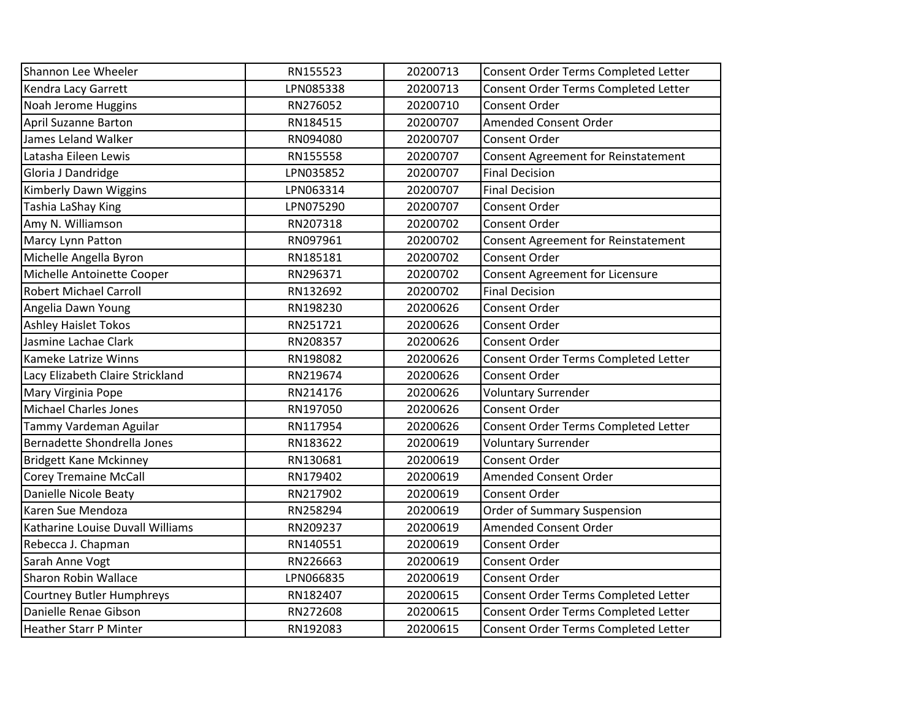| Shannon Lee Wheeler              | RN155523  | 20200713 | Consent Order Terms Completed Letter       |
|----------------------------------|-----------|----------|--------------------------------------------|
| Kendra Lacy Garrett              | LPN085338 | 20200713 | Consent Order Terms Completed Letter       |
| Noah Jerome Huggins              | RN276052  | 20200710 | Consent Order                              |
| <b>April Suzanne Barton</b>      | RN184515  | 20200707 | Amended Consent Order                      |
| James Leland Walker              | RN094080  | 20200707 | Consent Order                              |
| Latasha Eileen Lewis             | RN155558  | 20200707 | <b>Consent Agreement for Reinstatement</b> |
| Gloria J Dandridge               | LPN035852 | 20200707 | <b>Final Decision</b>                      |
| Kimberly Dawn Wiggins            | LPN063314 | 20200707 | <b>Final Decision</b>                      |
| Tashia LaShay King               | LPN075290 | 20200707 | Consent Order                              |
| Amy N. Williamson                | RN207318  | 20200702 | Consent Order                              |
| Marcy Lynn Patton                | RN097961  | 20200702 | Consent Agreement for Reinstatement        |
| Michelle Angella Byron           | RN185181  | 20200702 | Consent Order                              |
| Michelle Antoinette Cooper       | RN296371  | 20200702 | <b>Consent Agreement for Licensure</b>     |
| <b>Robert Michael Carroll</b>    | RN132692  | 20200702 | <b>Final Decision</b>                      |
| Angelia Dawn Young               | RN198230  | 20200626 | Consent Order                              |
| <b>Ashley Haislet Tokos</b>      | RN251721  | 20200626 | Consent Order                              |
| Jasmine Lachae Clark             | RN208357  | 20200626 | Consent Order                              |
| Kameke Latrize Winns             | RN198082  | 20200626 | Consent Order Terms Completed Letter       |
| Lacy Elizabeth Claire Strickland | RN219674  | 20200626 | Consent Order                              |
| Mary Virginia Pope               | RN214176  | 20200626 | <b>Voluntary Surrender</b>                 |
| <b>Michael Charles Jones</b>     | RN197050  | 20200626 | Consent Order                              |
| Tammy Vardeman Aguilar           | RN117954  | 20200626 | Consent Order Terms Completed Letter       |
| Bernadette Shondrella Jones      | RN183622  | 20200619 | <b>Voluntary Surrender</b>                 |
| <b>Bridgett Kane Mckinney</b>    | RN130681  | 20200619 | Consent Order                              |
| <b>Corey Tremaine McCall</b>     | RN179402  | 20200619 | Amended Consent Order                      |
| Danielle Nicole Beaty            | RN217902  | 20200619 | Consent Order                              |
| Karen Sue Mendoza                | RN258294  | 20200619 | <b>Order of Summary Suspension</b>         |
| Katharine Louise Duvall Williams | RN209237  | 20200619 | Amended Consent Order                      |
| Rebecca J. Chapman               | RN140551  | 20200619 | Consent Order                              |
| Sarah Anne Vogt                  | RN226663  | 20200619 | Consent Order                              |
| <b>Sharon Robin Wallace</b>      | LPN066835 | 20200619 | Consent Order                              |
| Courtney Butler Humphreys        | RN182407  | 20200615 | Consent Order Terms Completed Letter       |
| Danielle Renae Gibson            | RN272608  | 20200615 | Consent Order Terms Completed Letter       |
| <b>Heather Starr P Minter</b>    | RN192083  | 20200615 | Consent Order Terms Completed Letter       |
|                                  |           |          |                                            |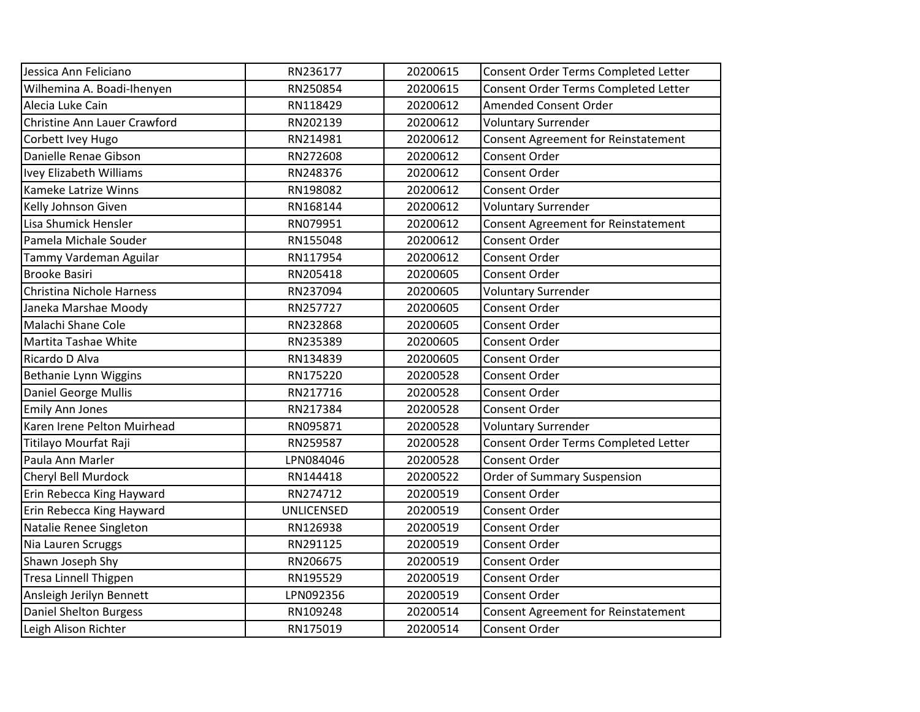| Jessica Ann Feliciano         | RN236177          | 20200615 | Consent Order Terms Completed Letter       |
|-------------------------------|-------------------|----------|--------------------------------------------|
| Wilhemina A. Boadi-Ihenyen    | RN250854          | 20200615 | Consent Order Terms Completed Letter       |
| Alecia Luke Cain              | RN118429          | 20200612 | Amended Consent Order                      |
| Christine Ann Lauer Crawford  | RN202139          | 20200612 | <b>Voluntary Surrender</b>                 |
| Corbett Ivey Hugo             | RN214981          | 20200612 | <b>Consent Agreement for Reinstatement</b> |
| Danielle Renae Gibson         | RN272608          | 20200612 | Consent Order                              |
| Ivey Elizabeth Williams       | RN248376          | 20200612 | Consent Order                              |
| Kameke Latrize Winns          | RN198082          | 20200612 | Consent Order                              |
| Kelly Johnson Given           | RN168144          | 20200612 | <b>Voluntary Surrender</b>                 |
| Lisa Shumick Hensler          | RN079951          | 20200612 | <b>Consent Agreement for Reinstatement</b> |
| Pamela Michale Souder         | RN155048          | 20200612 | Consent Order                              |
| Tammy Vardeman Aguilar        | RN117954          | 20200612 | Consent Order                              |
| <b>Brooke Basiri</b>          | RN205418          | 20200605 | Consent Order                              |
| Christina Nichole Harness     | RN237094          | 20200605 | <b>Voluntary Surrender</b>                 |
| Janeka Marshae Moody          | RN257727          | 20200605 | Consent Order                              |
| Malachi Shane Cole            | RN232868          | 20200605 | Consent Order                              |
| Martita Tashae White          | RN235389          | 20200605 | <b>Consent Order</b>                       |
| Ricardo D Alva                | RN134839          | 20200605 | Consent Order                              |
| Bethanie Lynn Wiggins         | RN175220          | 20200528 | Consent Order                              |
| Daniel George Mullis          | RN217716          | 20200528 | Consent Order                              |
| <b>Emily Ann Jones</b>        | RN217384          | 20200528 | Consent Order                              |
| Karen Irene Pelton Muirhead   | RN095871          | 20200528 | <b>Voluntary Surrender</b>                 |
| Titilayo Mourfat Raji         | RN259587          | 20200528 | Consent Order Terms Completed Letter       |
| Paula Ann Marler              | LPN084046         | 20200528 | Consent Order                              |
| Cheryl Bell Murdock           | RN144418          | 20200522 | <b>Order of Summary Suspension</b>         |
| Erin Rebecca King Hayward     | RN274712          | 20200519 | Consent Order                              |
| Erin Rebecca King Hayward     | <b>UNLICENSED</b> | 20200519 | <b>Consent Order</b>                       |
| Natalie Renee Singleton       | RN126938          | 20200519 | Consent Order                              |
| Nia Lauren Scruggs            | RN291125          | 20200519 | Consent Order                              |
| Shawn Joseph Shy              | RN206675          | 20200519 | Consent Order                              |
| <b>Tresa Linnell Thigpen</b>  | RN195529          | 20200519 | Consent Order                              |
| Ansleigh Jerilyn Bennett      | LPN092356         | 20200519 | Consent Order                              |
| <b>Daniel Shelton Burgess</b> | RN109248          | 20200514 | <b>Consent Agreement for Reinstatement</b> |
| Leigh Alison Richter          | RN175019          | 20200514 | Consent Order                              |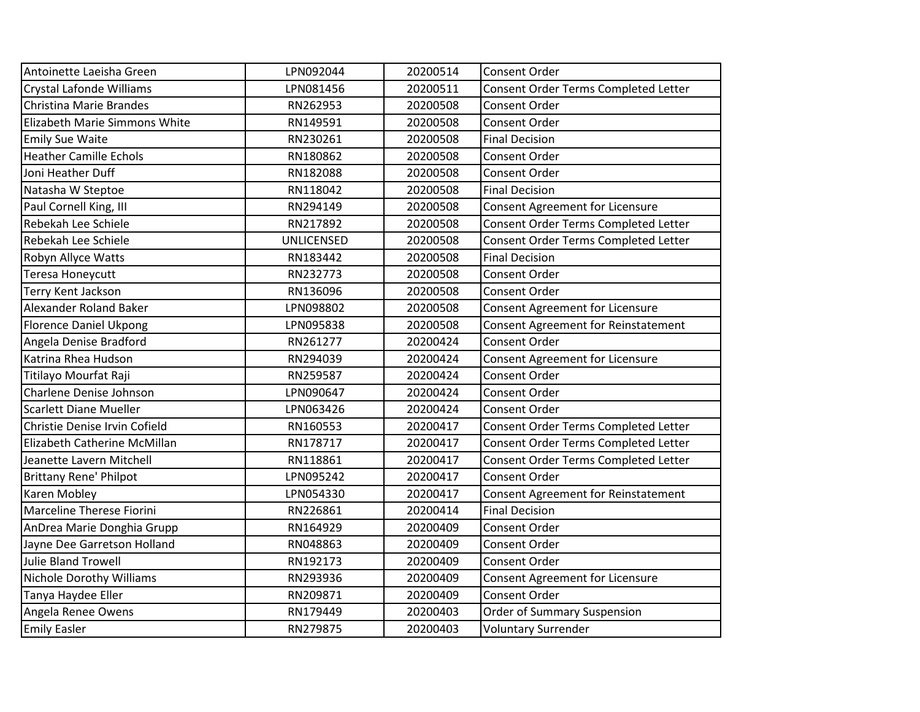| Antoinette Laeisha Green        | LPN092044         | 20200514 | Consent Order                              |
|---------------------------------|-------------------|----------|--------------------------------------------|
| <b>Crystal Lafonde Williams</b> | LPN081456         | 20200511 | Consent Order Terms Completed Letter       |
| Christina Marie Brandes         | RN262953          | 20200508 | Consent Order                              |
| Elizabeth Marie Simmons White   | RN149591          | 20200508 | Consent Order                              |
| <b>Emily Sue Waite</b>          | RN230261          | 20200508 | <b>Final Decision</b>                      |
| <b>Heather Camille Echols</b>   | RN180862          | 20200508 | Consent Order                              |
| Joni Heather Duff               | RN182088          | 20200508 | Consent Order                              |
| Natasha W Steptoe               | RN118042          | 20200508 | <b>Final Decision</b>                      |
| Paul Cornell King, III          | RN294149          | 20200508 | Consent Agreement for Licensure            |
| Rebekah Lee Schiele             | RN217892          | 20200508 | Consent Order Terms Completed Letter       |
| Rebekah Lee Schiele             | <b>UNLICENSED</b> | 20200508 | Consent Order Terms Completed Letter       |
| Robyn Allyce Watts              | RN183442          | 20200508 | <b>Final Decision</b>                      |
| Teresa Honeycutt                | RN232773          | 20200508 | Consent Order                              |
| Terry Kent Jackson              | RN136096          | 20200508 | Consent Order                              |
| Alexander Roland Baker          | LPN098802         | 20200508 | <b>Consent Agreement for Licensure</b>     |
| <b>Florence Daniel Ukpong</b>   | LPN095838         | 20200508 | <b>Consent Agreement for Reinstatement</b> |
| Angela Denise Bradford          | RN261277          | 20200424 | Consent Order                              |
| Katrina Rhea Hudson             | RN294039          | 20200424 | <b>Consent Agreement for Licensure</b>     |
| Titilayo Mourfat Raji           | RN259587          | 20200424 | Consent Order                              |
| Charlene Denise Johnson         | LPN090647         | 20200424 | <b>Consent Order</b>                       |
| <b>Scarlett Diane Mueller</b>   | LPN063426         | 20200424 | Consent Order                              |
| Christie Denise Irvin Cofield   | RN160553          | 20200417 | Consent Order Terms Completed Letter       |
| Elizabeth Catherine McMillan    | RN178717          | 20200417 | Consent Order Terms Completed Letter       |
| Jeanette Lavern Mitchell        | RN118861          | 20200417 | Consent Order Terms Completed Letter       |
| <b>Brittany Rene' Philpot</b>   | LPN095242         | 20200417 | <b>Consent Order</b>                       |
| Karen Mobley                    | LPN054330         | 20200417 | Consent Agreement for Reinstatement        |
| Marceline Therese Fiorini       | RN226861          | 20200414 | <b>Final Decision</b>                      |
| AnDrea Marie Donghia Grupp      | RN164929          | 20200409 | Consent Order                              |
| Jayne Dee Garretson Holland     | RN048863          | 20200409 | Consent Order                              |
| <b>Julie Bland Trowell</b>      | RN192173          | 20200409 | <b>Consent Order</b>                       |
| <b>Nichole Dorothy Williams</b> | RN293936          | 20200409 | <b>Consent Agreement for Licensure</b>     |
| Tanya Haydee Eller              | RN209871          | 20200409 | <b>Consent Order</b>                       |
| Angela Renee Owens              | RN179449          | 20200403 | <b>Order of Summary Suspension</b>         |
| <b>Emily Easler</b>             | RN279875          | 20200403 | <b>Voluntary Surrender</b>                 |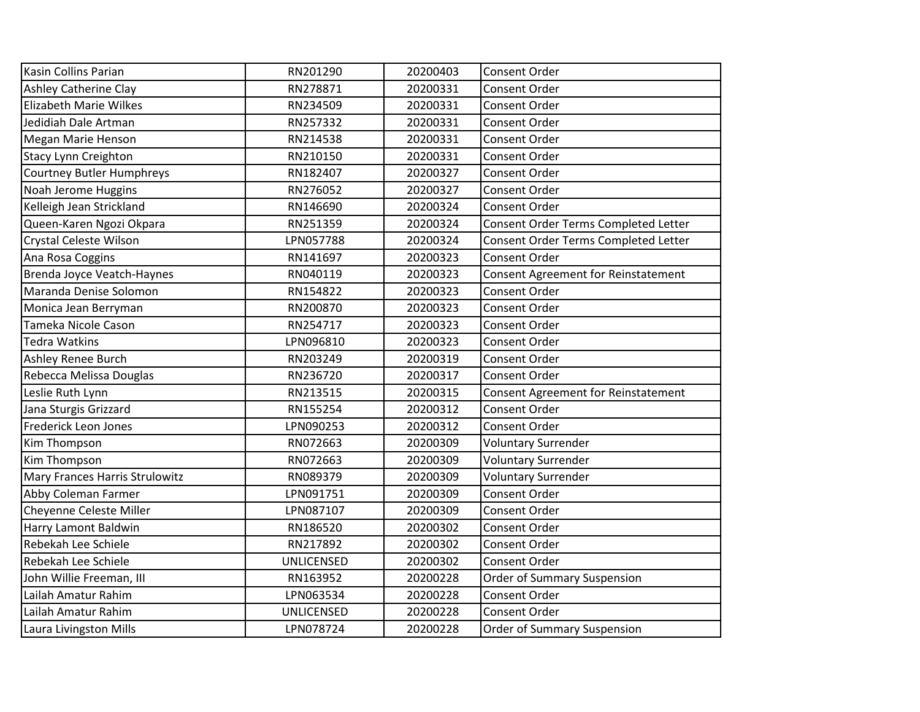| Kasin Collins Parian             | RN201290          | 20200403 | <b>Consent Order</b>                 |
|----------------------------------|-------------------|----------|--------------------------------------|
| <b>Ashley Catherine Clay</b>     | RN278871          | 20200331 | <b>Consent Order</b>                 |
| <b>Elizabeth Marie Wilkes</b>    | RN234509          | 20200331 | <b>Consent Order</b>                 |
| Jedidiah Dale Artman             | RN257332          | 20200331 | <b>Consent Order</b>                 |
| Megan Marie Henson               | RN214538          | 20200331 | Consent Order                        |
| <b>Stacy Lynn Creighton</b>      | RN210150          | 20200331 | Consent Order                        |
| <b>Courtney Butler Humphreys</b> | RN182407          | 20200327 | <b>Consent Order</b>                 |
| Noah Jerome Huggins              | RN276052          | 20200327 | <b>Consent Order</b>                 |
| Kelleigh Jean Strickland         | RN146690          | 20200324 | <b>Consent Order</b>                 |
| Queen-Karen Ngozi Okpara         | RN251359          | 20200324 | Consent Order Terms Completed Letter |
| Crystal Celeste Wilson           | LPN057788         | 20200324 | Consent Order Terms Completed Letter |
| Ana Rosa Coggins                 | RN141697          | 20200323 | Consent Order                        |
| Brenda Joyce Veatch-Haynes       | RN040119          | 20200323 | Consent Agreement for Reinstatement  |
| Maranda Denise Solomon           | RN154822          | 20200323 | Consent Order                        |
| Monica Jean Berryman             | RN200870          | 20200323 | <b>Consent Order</b>                 |
| Tameka Nicole Cason              | RN254717          | 20200323 | Consent Order                        |
| <b>Tedra Watkins</b>             | LPN096810         | 20200323 | <b>Consent Order</b>                 |
| Ashley Renee Burch               | RN203249          | 20200319 | <b>Consent Order</b>                 |
| Rebecca Melissa Douglas          | RN236720          | 20200317 | <b>Consent Order</b>                 |
| Leslie Ruth Lynn                 | RN213515          | 20200315 | Consent Agreement for Reinstatement  |
| Jana Sturgis Grizzard            | RN155254          | 20200312 | Consent Order                        |
| Frederick Leon Jones             | LPN090253         | 20200312 | <b>Consent Order</b>                 |
| Kim Thompson                     | RN072663          | 20200309 | <b>Voluntary Surrender</b>           |
| Kim Thompson                     | RN072663          | 20200309 | <b>Voluntary Surrender</b>           |
| Mary Frances Harris Strulowitz   | RN089379          | 20200309 | <b>Voluntary Surrender</b>           |
| Abby Coleman Farmer              | LPN091751         | 20200309 | Consent Order                        |
| Cheyenne Celeste Miller          | LPN087107         | 20200309 | Consent Order                        |
| Harry Lamont Baldwin             | RN186520          | 20200302 | <b>Consent Order</b>                 |
| Rebekah Lee Schiele              | RN217892          | 20200302 | <b>Consent Order</b>                 |
| Rebekah Lee Schiele              | <b>UNLICENSED</b> | 20200302 | <b>Consent Order</b>                 |
| John Willie Freeman, III         | RN163952          | 20200228 | Order of Summary Suspension          |
| Lailah Amatur Rahim              | LPN063534         | 20200228 | Consent Order                        |
| Lailah Amatur Rahim              | UNLICENSED        | 20200228 | Consent Order                        |
| Laura Livingston Mills           | LPN078724         | 20200228 | <b>Order of Summary Suspension</b>   |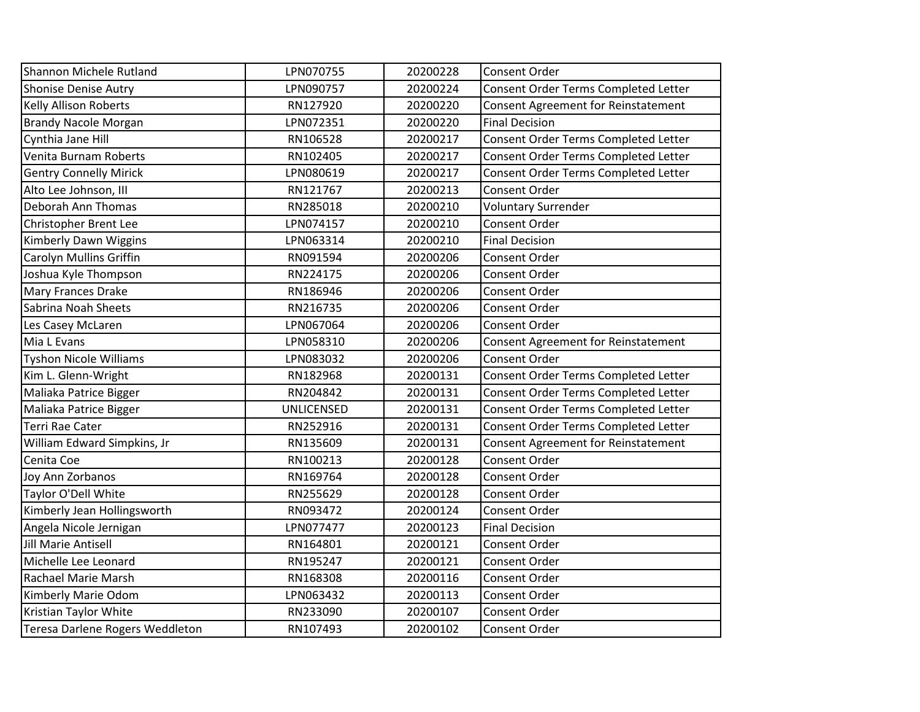| Shannon Michele Rutland         | LPN070755         | 20200228 | Consent Order                              |
|---------------------------------|-------------------|----------|--------------------------------------------|
| <b>Shonise Denise Autry</b>     | LPN090757         | 20200224 | Consent Order Terms Completed Letter       |
| <b>Kelly Allison Roberts</b>    | RN127920          | 20200220 | <b>Consent Agreement for Reinstatement</b> |
| <b>Brandy Nacole Morgan</b>     | LPN072351         | 20200220 | <b>Final Decision</b>                      |
| Cynthia Jane Hill               | RN106528          | 20200217 | Consent Order Terms Completed Letter       |
| Venita Burnam Roberts           | RN102405          | 20200217 | Consent Order Terms Completed Letter       |
| <b>Gentry Connelly Mirick</b>   | LPN080619         | 20200217 | Consent Order Terms Completed Letter       |
| Alto Lee Johnson, III           | RN121767          | 20200213 | Consent Order                              |
| Deborah Ann Thomas              | RN285018          | 20200210 | <b>Voluntary Surrender</b>                 |
| Christopher Brent Lee           | LPN074157         | 20200210 | Consent Order                              |
| Kimberly Dawn Wiggins           | LPN063314         | 20200210 | <b>Final Decision</b>                      |
| Carolyn Mullins Griffin         | RN091594          | 20200206 | <b>Consent Order</b>                       |
| Joshua Kyle Thompson            | RN224175          | 20200206 | Consent Order                              |
| Mary Frances Drake              | RN186946          | 20200206 | <b>Consent Order</b>                       |
| Sabrina Noah Sheets             | RN216735          | 20200206 | <b>Consent Order</b>                       |
| Les Casey McLaren               | LPN067064         | 20200206 | <b>Consent Order</b>                       |
| Mia L Evans                     | LPN058310         | 20200206 | <b>Consent Agreement for Reinstatement</b> |
| <b>Tyshon Nicole Williams</b>   | LPN083032         | 20200206 | <b>Consent Order</b>                       |
| Kim L. Glenn-Wright             | RN182968          | 20200131 | Consent Order Terms Completed Letter       |
| Maliaka Patrice Bigger          | RN204842          | 20200131 | Consent Order Terms Completed Letter       |
| Maliaka Patrice Bigger          | <b>UNLICENSED</b> | 20200131 | Consent Order Terms Completed Letter       |
| <b>Terri Rae Cater</b>          | RN252916          | 20200131 | Consent Order Terms Completed Letter       |
| William Edward Simpkins, Jr     | RN135609          | 20200131 | Consent Agreement for Reinstatement        |
| Cenita Coe                      | RN100213          | 20200128 | Consent Order                              |
| Joy Ann Zorbanos                | RN169764          | 20200128 | Consent Order                              |
| Taylor O'Dell White             | RN255629          | 20200128 | Consent Order                              |
| Kimberly Jean Hollingsworth     | RN093472          | 20200124 | <b>Consent Order</b>                       |
| Angela Nicole Jernigan          | LPN077477         | 20200123 | <b>Final Decision</b>                      |
| <b>Jill Marie Antisell</b>      | RN164801          | 20200121 | <b>Consent Order</b>                       |
| Michelle Lee Leonard            | RN195247          | 20200121 | <b>Consent Order</b>                       |
| Rachael Marie Marsh             | RN168308          | 20200116 | Consent Order                              |
| Kimberly Marie Odom             | LPN063432         | 20200113 | <b>Consent Order</b>                       |
| Kristian Taylor White           | RN233090          | 20200107 | Consent Order                              |
| Teresa Darlene Rogers Weddleton | RN107493          | 20200102 | Consent Order                              |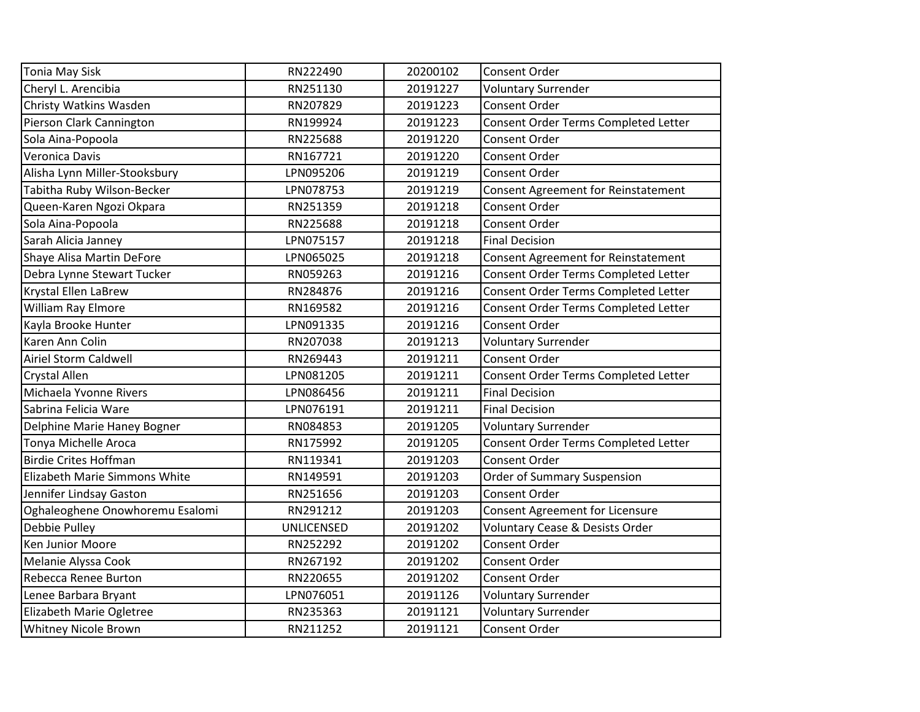| <b>Tonia May Sisk</b>           | RN222490          | 20200102 | Consent Order                              |
|---------------------------------|-------------------|----------|--------------------------------------------|
| Cheryl L. Arencibia             | RN251130          | 20191227 | <b>Voluntary Surrender</b>                 |
| Christy Watkins Wasden          | RN207829          | 20191223 | Consent Order                              |
| Pierson Clark Cannington        | RN199924          | 20191223 | Consent Order Terms Completed Letter       |
| Sola Aina-Popoola               | RN225688          | 20191220 | Consent Order                              |
| Veronica Davis                  | RN167721          | 20191220 | Consent Order                              |
| Alisha Lynn Miller-Stooksbury   | LPN095206         | 20191219 | Consent Order                              |
| Tabitha Ruby Wilson-Becker      | LPN078753         | 20191219 | <b>Consent Agreement for Reinstatement</b> |
| Queen-Karen Ngozi Okpara        | RN251359          | 20191218 | Consent Order                              |
| Sola Aina-Popoola               | RN225688          | 20191218 | Consent Order                              |
| Sarah Alicia Janney             | LPN075157         | 20191218 | <b>Final Decision</b>                      |
| Shaye Alisa Martin DeFore       | LPN065025         | 20191218 | Consent Agreement for Reinstatement        |
| Debra Lynne Stewart Tucker      | RN059263          | 20191216 | Consent Order Terms Completed Letter       |
| Krystal Ellen LaBrew            | RN284876          | 20191216 | Consent Order Terms Completed Letter       |
| William Ray Elmore              | RN169582          | 20191216 | Consent Order Terms Completed Letter       |
| Kayla Brooke Hunter             | LPN091335         | 20191216 | Consent Order                              |
| Karen Ann Colin                 | RN207038          | 20191213 | <b>Voluntary Surrender</b>                 |
| <b>Airiel Storm Caldwell</b>    | RN269443          | 20191211 | Consent Order                              |
| <b>Crystal Allen</b>            | LPN081205         | 20191211 | Consent Order Terms Completed Letter       |
| Michaela Yvonne Rivers          | LPN086456         | 20191211 | <b>Final Decision</b>                      |
| Sabrina Felicia Ware            | LPN076191         | 20191211 | <b>Final Decision</b>                      |
| Delphine Marie Haney Bogner     | RN084853          | 20191205 | <b>Voluntary Surrender</b>                 |
| Tonya Michelle Aroca            | RN175992          | 20191205 | Consent Order Terms Completed Letter       |
| <b>Birdie Crites Hoffman</b>    | RN119341          | 20191203 | Consent Order                              |
| Elizabeth Marie Simmons White   | RN149591          | 20191203 | Order of Summary Suspension                |
| Jennifer Lindsay Gaston         | RN251656          | 20191203 | Consent Order                              |
| Oghaleoghene Onowhoremu Esalomi | RN291212          | 20191203 | Consent Agreement for Licensure            |
| Debbie Pulley                   | <b>UNLICENSED</b> | 20191202 | Voluntary Cease & Desists Order            |
| <b>Ken Junior Moore</b>         | RN252292          | 20191202 | Consent Order                              |
| Melanie Alyssa Cook             | RN267192          | 20191202 | Consent Order                              |
| Rebecca Renee Burton            | RN220655          | 20191202 | Consent Order                              |
| Lenee Barbara Bryant            | LPN076051         | 20191126 | <b>Voluntary Surrender</b>                 |
| Elizabeth Marie Ogletree        | RN235363          | 20191121 | <b>Voluntary Surrender</b>                 |
| <b>Whitney Nicole Brown</b>     |                   |          |                                            |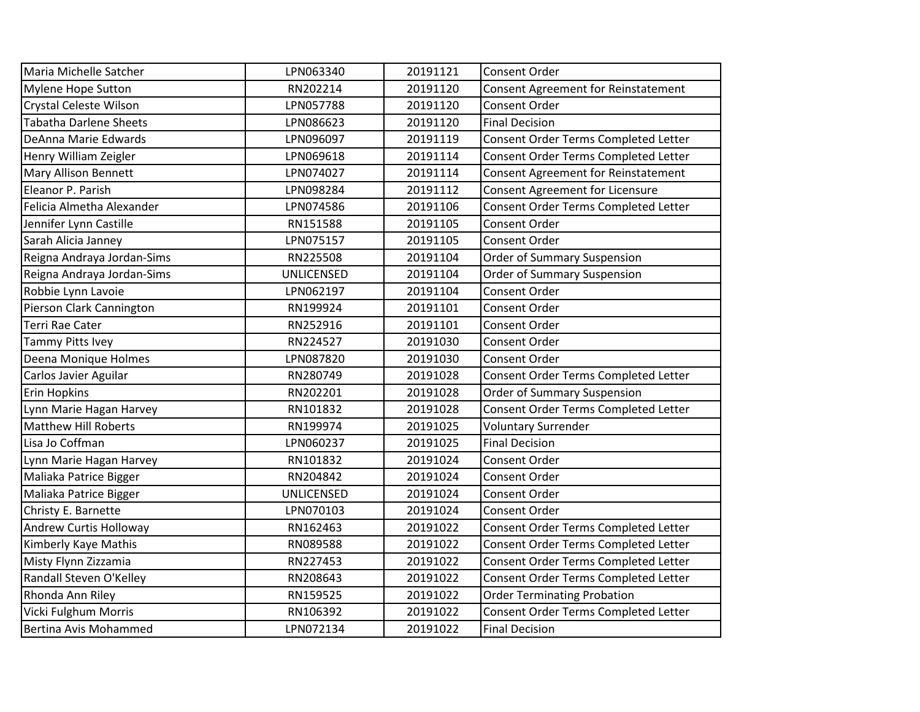| LPN063340         | 20191121 | Consent Order                              |
|-------------------|----------|--------------------------------------------|
| RN202214          | 20191120 | <b>Consent Agreement for Reinstatement</b> |
| LPN057788         | 20191120 | <b>Consent Order</b>                       |
| LPN086623         | 20191120 | <b>Final Decision</b>                      |
| LPN096097         | 20191119 | Consent Order Terms Completed Letter       |
| LPN069618         | 20191114 | Consent Order Terms Completed Letter       |
| LPN074027         | 20191114 | <b>Consent Agreement for Reinstatement</b> |
| LPN098284         | 20191112 | <b>Consent Agreement for Licensure</b>     |
| LPN074586         | 20191106 | Consent Order Terms Completed Letter       |
| RN151588          | 20191105 | Consent Order                              |
| LPN075157         | 20191105 | Consent Order                              |
| RN225508          | 20191104 | <b>Order of Summary Suspension</b>         |
| <b>UNLICENSED</b> | 20191104 | <b>Order of Summary Suspension</b>         |
| LPN062197         | 20191104 | Consent Order                              |
| RN199924          | 20191101 | Consent Order                              |
| RN252916          | 20191101 | Consent Order                              |
| RN224527          | 20191030 | Consent Order                              |
| LPN087820         | 20191030 | <b>Consent Order</b>                       |
| RN280749          | 20191028 | Consent Order Terms Completed Letter       |
| RN202201          | 20191028 | <b>Order of Summary Suspension</b>         |
| RN101832          | 20191028 | Consent Order Terms Completed Letter       |
| RN199974          | 20191025 | <b>Voluntary Surrender</b>                 |
| LPN060237         | 20191025 | <b>Final Decision</b>                      |
| RN101832          | 20191024 | <b>Consent Order</b>                       |
| RN204842          | 20191024 | <b>Consent Order</b>                       |
| <b>UNLICENSED</b> | 20191024 | Consent Order                              |
| LPN070103         | 20191024 | Consent Order                              |
|                   |          |                                            |
| RN162463          | 20191022 | Consent Order Terms Completed Letter       |
| RN089588          | 20191022 | Consent Order Terms Completed Letter       |
| RN227453          | 20191022 | Consent Order Terms Completed Letter       |
| RN208643          | 20191022 | Consent Order Terms Completed Letter       |
| RN159525          | 20191022 | <b>Order Terminating Probation</b>         |
| RN106392          | 20191022 | Consent Order Terms Completed Letter       |
|                   |          |                                            |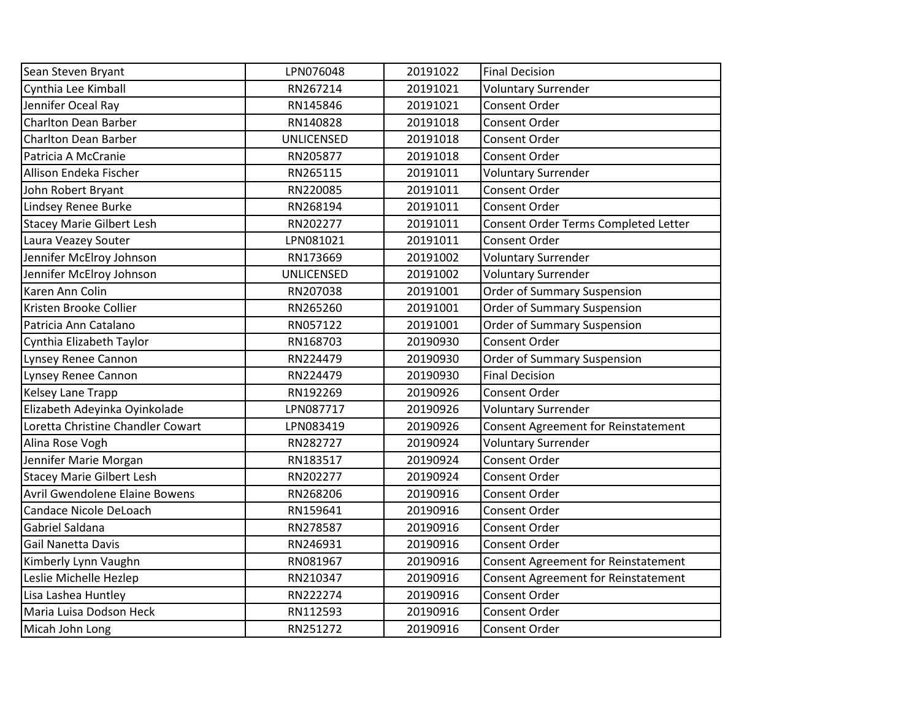| Sean Steven Bryant                | LPN076048         | 20191022 | <b>Final Decision</b>                      |
|-----------------------------------|-------------------|----------|--------------------------------------------|
| Cynthia Lee Kimball               | RN267214          | 20191021 | <b>Voluntary Surrender</b>                 |
| Jennifer Oceal Ray                | RN145846          | 20191021 | <b>Consent Order</b>                       |
| <b>Charlton Dean Barber</b>       | RN140828          | 20191018 | <b>Consent Order</b>                       |
| <b>Charlton Dean Barber</b>       | <b>UNLICENSED</b> | 20191018 | Consent Order                              |
| Patricia A McCranie               | RN205877          | 20191018 | Consent Order                              |
| Allison Endeka Fischer            | RN265115          | 20191011 | <b>Voluntary Surrender</b>                 |
| John Robert Bryant                | RN220085          | 20191011 | <b>Consent Order</b>                       |
| Lindsey Renee Burke               | RN268194          | 20191011 | Consent Order                              |
| <b>Stacey Marie Gilbert Lesh</b>  | RN202277          | 20191011 | Consent Order Terms Completed Letter       |
| Laura Veazey Souter               | LPN081021         | 20191011 | Consent Order                              |
| Jennifer McElroy Johnson          | RN173669          | 20191002 | <b>Voluntary Surrender</b>                 |
| Jennifer McElroy Johnson          | <b>UNLICENSED</b> | 20191002 | <b>Voluntary Surrender</b>                 |
| Karen Ann Colin                   | RN207038          | 20191001 | Order of Summary Suspension                |
| Kristen Brooke Collier            | RN265260          | 20191001 | Order of Summary Suspension                |
| Patricia Ann Catalano             | RN057122          | 20191001 | Order of Summary Suspension                |
| Cynthia Elizabeth Taylor          | RN168703          | 20190930 | Consent Order                              |
| Lynsey Renee Cannon               | RN224479          | 20190930 | Order of Summary Suspension                |
| Lynsey Renee Cannon               | RN224479          | 20190930 | <b>Final Decision</b>                      |
| <b>Kelsey Lane Trapp</b>          | RN192269          | 20190926 | <b>Consent Order</b>                       |
| Elizabeth Adeyinka Oyinkolade     | LPN087717         | 20190926 | <b>Voluntary Surrender</b>                 |
| Loretta Christine Chandler Cowart | LPN083419         | 20190926 | Consent Agreement for Reinstatement        |
| Alina Rose Vogh                   | RN282727          | 20190924 | <b>Voluntary Surrender</b>                 |
| Jennifer Marie Morgan             | RN183517          | 20190924 | <b>Consent Order</b>                       |
| <b>Stacey Marie Gilbert Lesh</b>  | RN202277          | 20190924 | <b>Consent Order</b>                       |
| Avril Gwendolene Elaine Bowens    | RN268206          | 20190916 | <b>Consent Order</b>                       |
| Candace Nicole DeLoach            | RN159641          | 20190916 | Consent Order                              |
| Gabriel Saldana                   | RN278587          | 20190916 | <b>Consent Order</b>                       |
| Gail Nanetta Davis                | RN246931          | 20190916 | <b>Consent Order</b>                       |
| Kimberly Lynn Vaughn              | RN081967          | 20190916 | Consent Agreement for Reinstatement        |
| Leslie Michelle Hezlep            | RN210347          | 20190916 | <b>Consent Agreement for Reinstatement</b> |
| Lisa Lashea Huntley               | RN222274          | 20190916 | Consent Order                              |
| Maria Luisa Dodson Heck           | RN112593          | 20190916 | <b>Consent Order</b>                       |
| Micah John Long                   | RN251272          | 20190916 | <b>Consent Order</b>                       |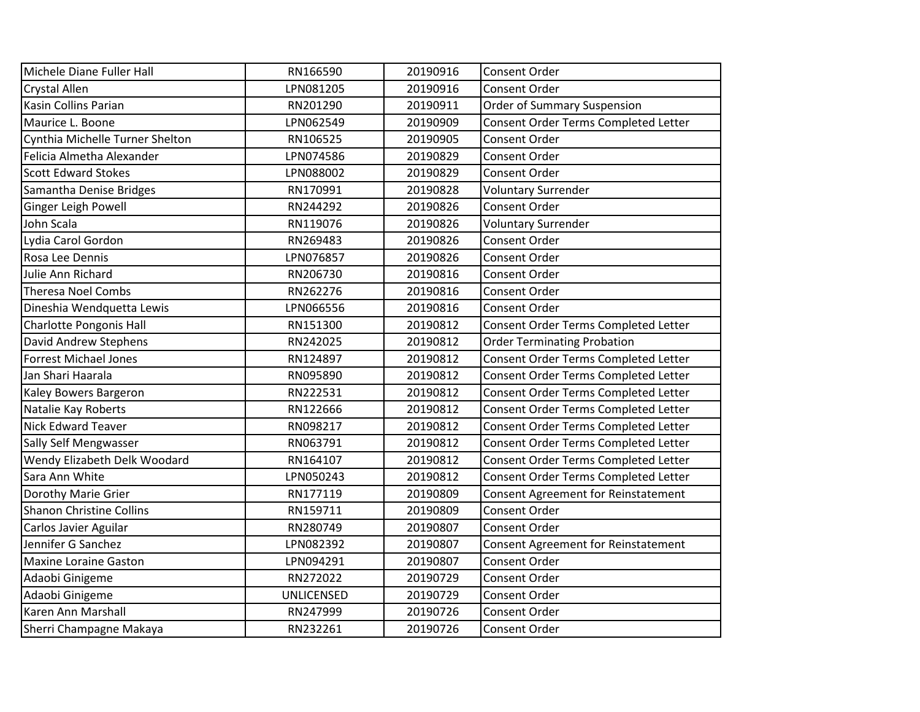| Michele Diane Fuller Hall       | RN166590          | 20190916 | Consent Order                               |
|---------------------------------|-------------------|----------|---------------------------------------------|
| <b>Crystal Allen</b>            | LPN081205         | 20190916 | Consent Order                               |
| Kasin Collins Parian            | RN201290          | 20190911 | Order of Summary Suspension                 |
| Maurice L. Boone                | LPN062549         | 20190909 | Consent Order Terms Completed Letter        |
| Cynthia Michelle Turner Shelton | RN106525          | 20190905 | Consent Order                               |
| Felicia Almetha Alexander       | LPN074586         | 20190829 | Consent Order                               |
| <b>Scott Edward Stokes</b>      | LPN088002         | 20190829 | Consent Order                               |
| Samantha Denise Bridges         | RN170991          | 20190828 | <b>Voluntary Surrender</b>                  |
| Ginger Leigh Powell             | RN244292          | 20190826 | Consent Order                               |
| John Scala                      | RN119076          | 20190826 | <b>Voluntary Surrender</b>                  |
| Lydia Carol Gordon              | RN269483          | 20190826 | Consent Order                               |
| Rosa Lee Dennis                 | LPN076857         | 20190826 | Consent Order                               |
| Julie Ann Richard               | RN206730          | 20190816 | Consent Order                               |
| <b>Theresa Noel Combs</b>       | RN262276          | 20190816 | Consent Order                               |
| Dineshia Wendquetta Lewis       | LPN066556         | 20190816 | <b>Consent Order</b>                        |
| <b>Charlotte Pongonis Hall</b>  | RN151300          | 20190812 | Consent Order Terms Completed Letter        |
| David Andrew Stephens           | RN242025          | 20190812 | <b>Order Terminating Probation</b>          |
| <b>Forrest Michael Jones</b>    | RN124897          | 20190812 | Consent Order Terms Completed Letter        |
| Jan Shari Haarala               | RN095890          | 20190812 | Consent Order Terms Completed Letter        |
| Kaley Bowers Bargeron           | RN222531          | 20190812 | Consent Order Terms Completed Letter        |
| Natalie Kay Roberts             | RN122666          | 20190812 | Consent Order Terms Completed Letter        |
| <b>Nick Edward Teaver</b>       | RN098217          | 20190812 | <b>Consent Order Terms Completed Letter</b> |
| Sally Self Mengwasser           | RN063791          | 20190812 | Consent Order Terms Completed Letter        |
| Wendy Elizabeth Delk Woodard    | RN164107          | 20190812 | Consent Order Terms Completed Letter        |
| Sara Ann White                  | LPN050243         | 20190812 | Consent Order Terms Completed Letter        |
| Dorothy Marie Grier             | RN177119          | 20190809 | <b>Consent Agreement for Reinstatement</b>  |
| <b>Shanon Christine Collins</b> | RN159711          | 20190809 | Consent Order                               |
| Carlos Javier Aguilar           | RN280749          | 20190807 | Consent Order                               |
| Jennifer G Sanchez              | LPN082392         | 20190807 | Consent Agreement for Reinstatement         |
| <b>Maxine Loraine Gaston</b>    | LPN094291         | 20190807 | Consent Order                               |
| Adaobi Ginigeme                 | RN272022          | 20190729 | Consent Order                               |
| Adaobi Ginigeme                 | <b>UNLICENSED</b> | 20190729 | Consent Order                               |
| Karen Ann Marshall              | RN247999          | 20190726 | Consent Order                               |
| Sherri Champagne Makaya         | RN232261          | 20190726 | Consent Order                               |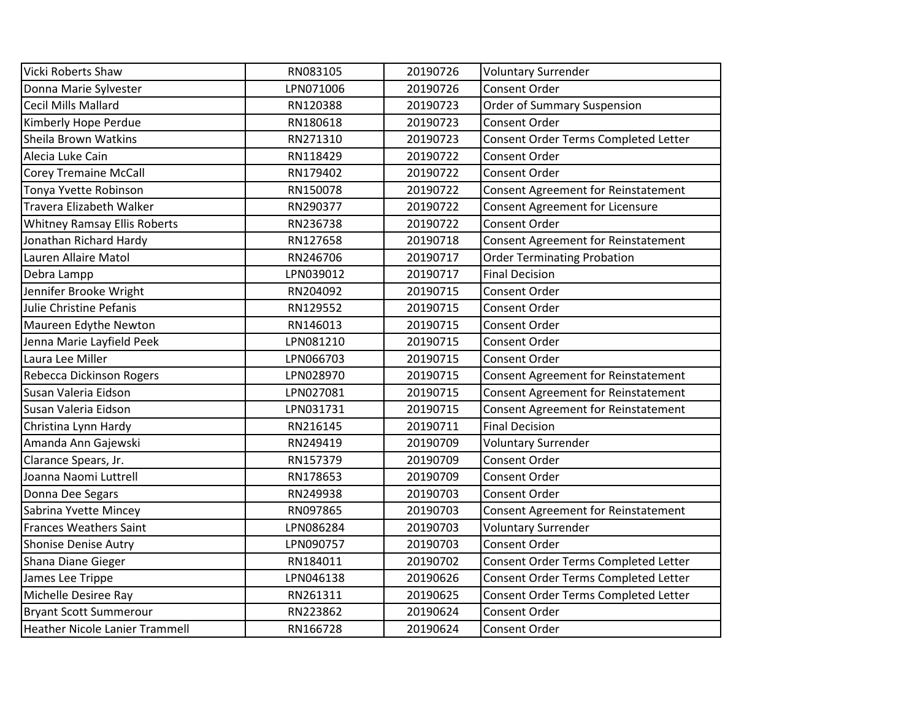| Vicki Roberts Shaw                    | RN083105  | 20190726 | <b>Voluntary Surrender</b>                 |
|---------------------------------------|-----------|----------|--------------------------------------------|
| Donna Marie Sylvester                 | LPN071006 | 20190726 | Consent Order                              |
| <b>Cecil Mills Mallard</b>            | RN120388  | 20190723 | Order of Summary Suspension                |
| Kimberly Hope Perdue                  | RN180618  | 20190723 | Consent Order                              |
| Sheila Brown Watkins                  | RN271310  | 20190723 | Consent Order Terms Completed Letter       |
| Alecia Luke Cain                      | RN118429  | 20190722 | Consent Order                              |
| <b>Corey Tremaine McCall</b>          | RN179402  | 20190722 | Consent Order                              |
| Tonya Yvette Robinson                 | RN150078  | 20190722 | <b>Consent Agreement for Reinstatement</b> |
| Travera Elizabeth Walker              | RN290377  | 20190722 | <b>Consent Agreement for Licensure</b>     |
| <b>Whitney Ramsay Ellis Roberts</b>   | RN236738  | 20190722 | Consent Order                              |
| Jonathan Richard Hardy                | RN127658  | 20190718 | <b>Consent Agreement for Reinstatement</b> |
| Lauren Allaire Matol                  | RN246706  | 20190717 | <b>Order Terminating Probation</b>         |
| Debra Lampp                           | LPN039012 | 20190717 | <b>Final Decision</b>                      |
| Jennifer Brooke Wright                | RN204092  | 20190715 | Consent Order                              |
| Julie Christine Pefanis               | RN129552  | 20190715 | Consent Order                              |
| Maureen Edythe Newton                 | RN146013  | 20190715 | Consent Order                              |
| Jenna Marie Layfield Peek             | LPN081210 | 20190715 | Consent Order                              |
| Laura Lee Miller                      | LPN066703 | 20190715 | <b>Consent Order</b>                       |
| <b>Rebecca Dickinson Rogers</b>       | LPN028970 | 20190715 | Consent Agreement for Reinstatement        |
| Susan Valeria Eidson                  | LPN027081 | 20190715 | <b>Consent Agreement for Reinstatement</b> |
| Susan Valeria Eidson                  | LPN031731 | 20190715 | <b>Consent Agreement for Reinstatement</b> |
| Christina Lynn Hardy                  | RN216145  | 20190711 | <b>Final Decision</b>                      |
| Amanda Ann Gajewski                   | RN249419  | 20190709 | <b>Voluntary Surrender</b>                 |
| Clarance Spears, Jr.                  | RN157379  | 20190709 | Consent Order                              |
| Joanna Naomi Luttrell                 | RN178653  | 20190709 | Consent Order                              |
| Donna Dee Segars                      | RN249938  | 20190703 | Consent Order                              |
| Sabrina Yvette Mincey                 | RN097865  | 20190703 | <b>Consent Agreement for Reinstatement</b> |
| <b>Frances Weathers Saint</b>         | LPN086284 | 20190703 | <b>Voluntary Surrender</b>                 |
| <b>Shonise Denise Autry</b>           | LPN090757 | 20190703 | <b>Consent Order</b>                       |
| Shana Diane Gieger                    | RN184011  | 20190702 | Consent Order Terms Completed Letter       |
| James Lee Trippe                      | LPN046138 | 20190626 | Consent Order Terms Completed Letter       |
| Michelle Desiree Ray                  | RN261311  | 20190625 | Consent Order Terms Completed Letter       |
| <b>Bryant Scott Summerour</b>         | RN223862  | 20190624 | Consent Order                              |
| <b>Heather Nicole Lanier Trammell</b> | RN166728  | 20190624 | Consent Order                              |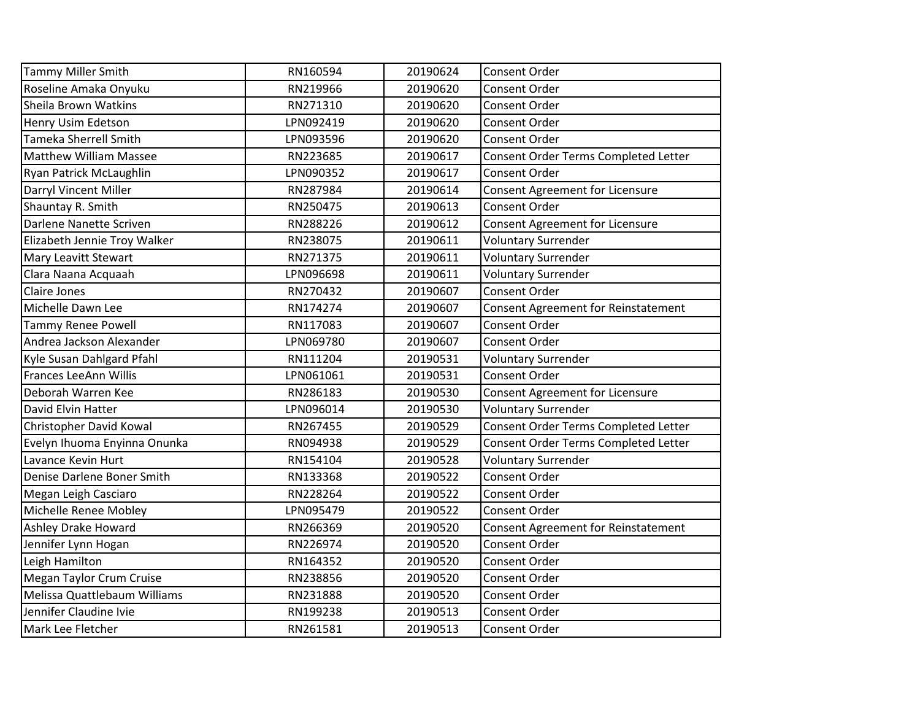| <b>Tammy Miller Smith</b>     | RN160594  | 20190624 | <b>Consent Order</b>                 |
|-------------------------------|-----------|----------|--------------------------------------|
| Roseline Amaka Onyuku         | RN219966  | 20190620 | <b>Consent Order</b>                 |
| Sheila Brown Watkins          | RN271310  | 20190620 | <b>Consent Order</b>                 |
| Henry Usim Edetson            | LPN092419 | 20190620 | <b>Consent Order</b>                 |
| <b>Tameka Sherrell Smith</b>  | LPN093596 | 20190620 | <b>Consent Order</b>                 |
| <b>Matthew William Massee</b> | RN223685  | 20190617 | Consent Order Terms Completed Letter |
| Ryan Patrick McLaughlin       | LPN090352 | 20190617 | <b>Consent Order</b>                 |
| Darryl Vincent Miller         | RN287984  | 20190614 | Consent Agreement for Licensure      |
| Shauntay R. Smith             | RN250475  | 20190613 | <b>Consent Order</b>                 |
| Darlene Nanette Scriven       | RN288226  | 20190612 | Consent Agreement for Licensure      |
| Elizabeth Jennie Troy Walker  | RN238075  | 20190611 | <b>Voluntary Surrender</b>           |
| Mary Leavitt Stewart          | RN271375  | 20190611 | <b>Voluntary Surrender</b>           |
| Clara Naana Acquaah           | LPN096698 | 20190611 | <b>Voluntary Surrender</b>           |
| <b>Claire Jones</b>           | RN270432  | 20190607 | <b>Consent Order</b>                 |
| Michelle Dawn Lee             | RN174274  | 20190607 | Consent Agreement for Reinstatement  |
| <b>Tammy Renee Powell</b>     | RN117083  | 20190607 | Consent Order                        |
| Andrea Jackson Alexander      | LPN069780 | 20190607 | <b>Consent Order</b>                 |
| Kyle Susan Dahlgard Pfahl     | RN111204  | 20190531 | <b>Voluntary Surrender</b>           |
| Frances LeeAnn Willis         | LPN061061 | 20190531 | <b>Consent Order</b>                 |
| Deborah Warren Kee            | RN286183  | 20190530 | Consent Agreement for Licensure      |
| David Elvin Hatter            | LPN096014 | 20190530 | <b>Voluntary Surrender</b>           |
| Christopher David Kowal       | RN267455  | 20190529 | Consent Order Terms Completed Letter |
| Evelyn Ihuoma Enyinna Onunka  | RN094938  | 20190529 | Consent Order Terms Completed Letter |
| Lavance Kevin Hurt            | RN154104  | 20190528 | <b>Voluntary Surrender</b>           |
| Denise Darlene Boner Smith    | RN133368  | 20190522 | <b>Consent Order</b>                 |
| Megan Leigh Casciaro          | RN228264  | 20190522 | <b>Consent Order</b>                 |
| Michelle Renee Mobley         | LPN095479 | 20190522 | Consent Order                        |
| Ashley Drake Howard           | RN266369  | 20190520 | Consent Agreement for Reinstatement  |
| Jennifer Lynn Hogan           | RN226974  | 20190520 | <b>Consent Order</b>                 |
| Leigh Hamilton                | RN164352  | 20190520 | <b>Consent Order</b>                 |
| Megan Taylor Crum Cruise      | RN238856  | 20190520 | <b>Consent Order</b>                 |
| Melissa Quattlebaum Williams  | RN231888  | 20190520 | <b>Consent Order</b>                 |
| Jennifer Claudine Ivie        | RN199238  | 20190513 | <b>Consent Order</b>                 |
| Mark Lee Fletcher             | RN261581  | 20190513 | <b>Consent Order</b>                 |
|                               |           |          |                                      |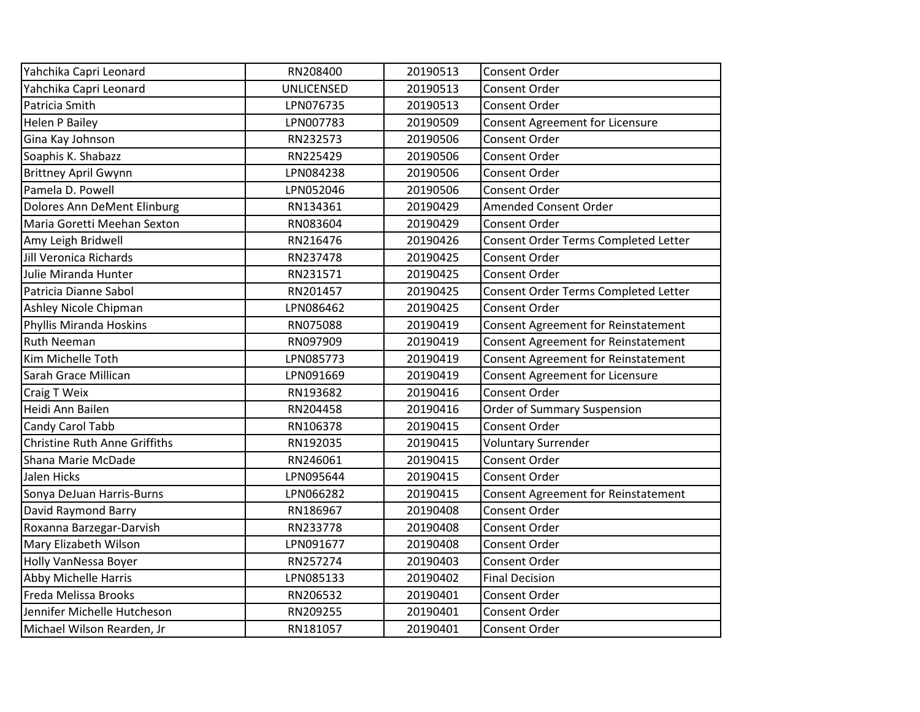| Yahchika Capri Leonard        | RN208400          | 20190513 | <b>Consent Order</b>                       |
|-------------------------------|-------------------|----------|--------------------------------------------|
| Yahchika Capri Leonard        | <b>UNLICENSED</b> | 20190513 | <b>Consent Order</b>                       |
| Patricia Smith                | LPN076735         | 20190513 | <b>Consent Order</b>                       |
| <b>Helen P Bailey</b>         | LPN007783         | 20190509 | Consent Agreement for Licensure            |
| Gina Kay Johnson              | RN232573          | 20190506 | Consent Order                              |
| Soaphis K. Shabazz            | RN225429          | 20190506 | Consent Order                              |
| <b>Brittney April Gwynn</b>   | LPN084238         | 20190506 | <b>Consent Order</b>                       |
| Pamela D. Powell              | LPN052046         | 20190506 | <b>Consent Order</b>                       |
| Dolores Ann DeMent Elinburg   | RN134361          | 20190429 | Amended Consent Order                      |
| Maria Goretti Meehan Sexton   | RN083604          | 20190429 | <b>Consent Order</b>                       |
| Amy Leigh Bridwell            | RN216476          | 20190426 | Consent Order Terms Completed Letter       |
| Jill Veronica Richards        | RN237478          | 20190425 | <b>Consent Order</b>                       |
| Julie Miranda Hunter          | RN231571          | 20190425 | Consent Order                              |
| Patricia Dianne Sabol         | RN201457          | 20190425 | Consent Order Terms Completed Letter       |
| Ashley Nicole Chipman         | LPN086462         | 20190425 | <b>Consent Order</b>                       |
| Phyllis Miranda Hoskins       | RN075088          | 20190419 | Consent Agreement for Reinstatement        |
| <b>Ruth Neeman</b>            | RN097909          | 20190419 | Consent Agreement for Reinstatement        |
| Kim Michelle Toth             | LPN085773         | 20190419 | Consent Agreement for Reinstatement        |
| Sarah Grace Millican          | LPN091669         | 20190419 | Consent Agreement for Licensure            |
| <b>Craig T Weix</b>           | RN193682          | 20190416 | Consent Order                              |
| Heidi Ann Bailen              | RN204458          | 20190416 | Order of Summary Suspension                |
| Candy Carol Tabb              | RN106378          | 20190415 | Consent Order                              |
| Christine Ruth Anne Griffiths | RN192035          | 20190415 | <b>Voluntary Surrender</b>                 |
| Shana Marie McDade            | RN246061          | 20190415 | <b>Consent Order</b>                       |
| Jalen Hicks                   | LPN095644         | 20190415 | <b>Consent Order</b>                       |
| Sonya DeJuan Harris-Burns     | LPN066282         | 20190415 | <b>Consent Agreement for Reinstatement</b> |
| David Raymond Barry           | RN186967          | 20190408 | Consent Order                              |
| Roxanna Barzegar-Darvish      | RN233778          | 20190408 | <b>Consent Order</b>                       |
| Mary Elizabeth Wilson         | LPN091677         | 20190408 | <b>Consent Order</b>                       |
| <b>Holly VanNessa Boyer</b>   | RN257274          | 20190403 | <b>Consent Order</b>                       |
| <b>Abby Michelle Harris</b>   | LPN085133         | 20190402 | <b>Final Decision</b>                      |
| Freda Melissa Brooks          | RN206532          | 20190401 | <b>Consent Order</b>                       |
| Jennifer Michelle Hutcheson   | RN209255          | 20190401 | Consent Order                              |
| Michael Wilson Rearden, Jr    | RN181057          | 20190401 | <b>Consent Order</b>                       |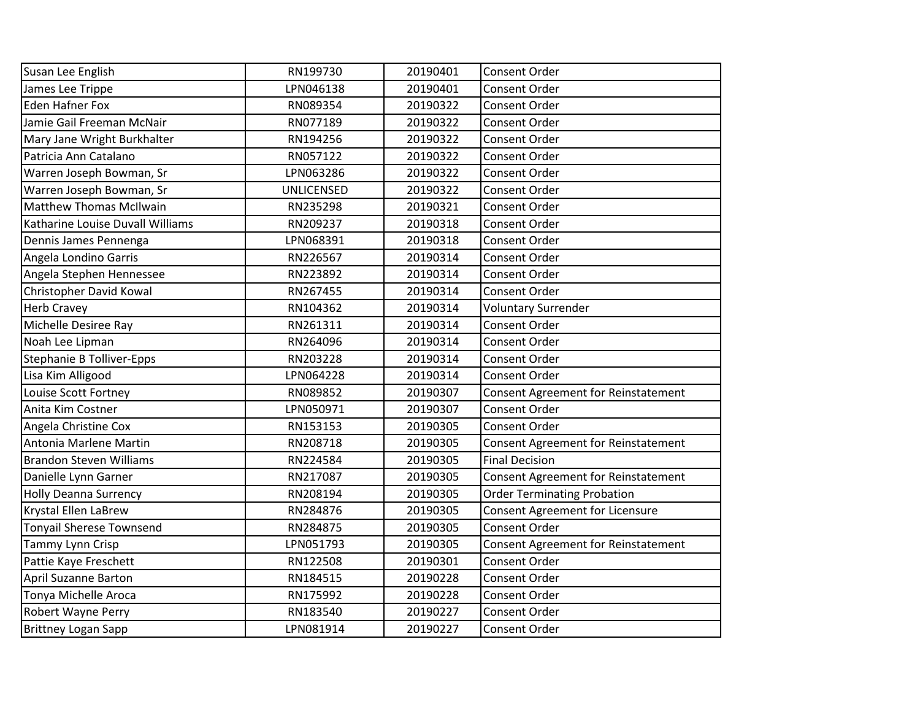| Susan Lee English                | RN199730          | 20190401 | <b>Consent Order</b>                   |
|----------------------------------|-------------------|----------|----------------------------------------|
| James Lee Trippe                 | LPN046138         | 20190401 | <b>Consent Order</b>                   |
| <b>Eden Hafner Fox</b>           | RN089354          | 20190322 | <b>Consent Order</b>                   |
| Jamie Gail Freeman McNair        | RN077189          | 20190322 | <b>Consent Order</b>                   |
| Mary Jane Wright Burkhalter      | RN194256          | 20190322 | Consent Order                          |
| Patricia Ann Catalano            | RN057122          | 20190322 | Consent Order                          |
| Warren Joseph Bowman, Sr         | LPN063286         | 20190322 | <b>Consent Order</b>                   |
| Warren Joseph Bowman, Sr         | <b>UNLICENSED</b> | 20190322 | <b>Consent Order</b>                   |
| <b>Matthew Thomas McIlwain</b>   | RN235298          | 20190321 | <b>Consent Order</b>                   |
| Katharine Louise Duvall Williams | RN209237          | 20190318 | <b>Consent Order</b>                   |
| Dennis James Pennenga            | LPN068391         | 20190318 | Consent Order                          |
| Angela Londino Garris            | RN226567          | 20190314 | <b>Consent Order</b>                   |
| Angela Stephen Hennessee         | RN223892          | 20190314 | <b>Consent Order</b>                   |
| Christopher David Kowal          | RN267455          | 20190314 | <b>Consent Order</b>                   |
| <b>Herb Cravey</b>               | RN104362          | 20190314 | <b>Voluntary Surrender</b>             |
| Michelle Desiree Ray             | RN261311          | 20190314 | Consent Order                          |
| Noah Lee Lipman                  | RN264096          | 20190314 | Consent Order                          |
| Stephanie B Tolliver-Epps        | RN203228          | 20190314 | <b>Consent Order</b>                   |
| Lisa Kim Alligood                | LPN064228         | 20190314 | <b>Consent Order</b>                   |
| Louise Scott Fortney             | RN089852          | 20190307 | Consent Agreement for Reinstatement    |
| Anita Kim Costner                | LPN050971         | 20190307 | <b>Consent Order</b>                   |
| Angela Christine Cox             | RN153153          | 20190305 | Consent Order                          |
| Antonia Marlene Martin           | RN208718          | 20190305 | Consent Agreement for Reinstatement    |
| <b>Brandon Steven Williams</b>   | RN224584          | 20190305 | <b>Final Decision</b>                  |
| Danielle Lynn Garner             | RN217087          | 20190305 | Consent Agreement for Reinstatement    |
| <b>Holly Deanna Surrency</b>     | RN208194          | 20190305 | <b>Order Terminating Probation</b>     |
| Krystal Ellen LaBrew             | RN284876          | 20190305 | <b>Consent Agreement for Licensure</b> |
| <b>Tonyail Sherese Townsend</b>  | RN284875          | 20190305 | <b>Consent Order</b>                   |
| Tammy Lynn Crisp                 | LPN051793         | 20190305 | Consent Agreement for Reinstatement    |
| Pattie Kaye Freschett            | RN122508          | 20190301 | <b>Consent Order</b>                   |
| <b>April Suzanne Barton</b>      | RN184515          | 20190228 | Consent Order                          |
| Tonya Michelle Aroca             | RN175992          | 20190228 | Consent Order                          |
| Robert Wayne Perry               | RN183540          | 20190227 | <b>Consent Order</b>                   |
| <b>Brittney Logan Sapp</b>       | LPN081914         | 20190227 | <b>Consent Order</b>                   |
|                                  |                   |          |                                        |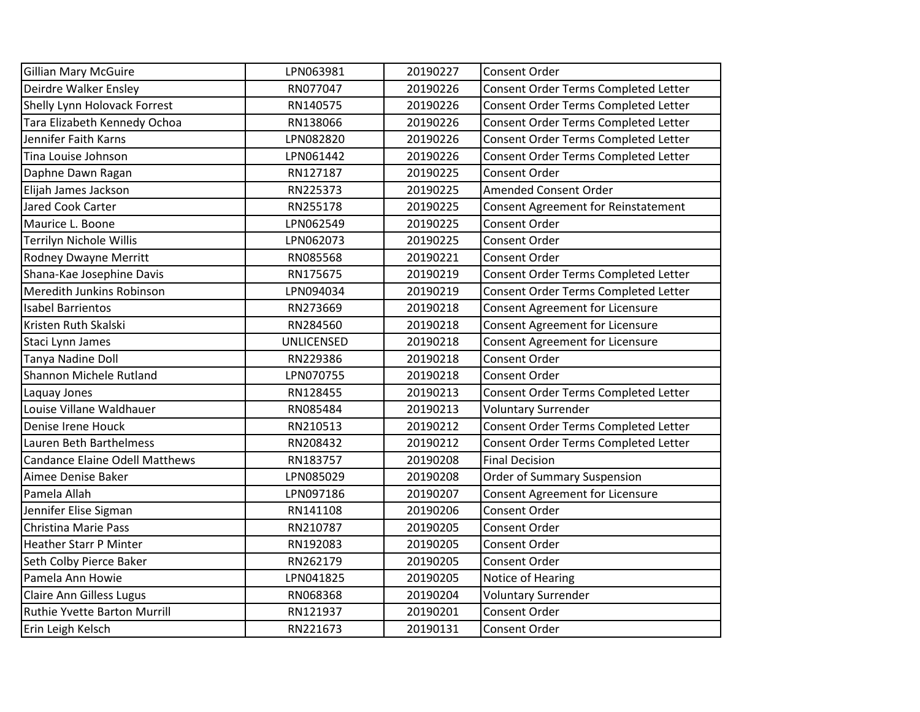| <b>Gillian Mary McGuire</b>           | LPN063981         | 20190227 | Consent Order                          |
|---------------------------------------|-------------------|----------|----------------------------------------|
| Deirdre Walker Ensley                 | RN077047          | 20190226 | Consent Order Terms Completed Letter   |
| Shelly Lynn Holovack Forrest          | RN140575          | 20190226 | Consent Order Terms Completed Letter   |
| Tara Elizabeth Kennedy Ochoa          | RN138066          | 20190226 | Consent Order Terms Completed Letter   |
| Jennifer Faith Karns                  | LPN082820         | 20190226 | Consent Order Terms Completed Letter   |
| Tina Louise Johnson                   | LPN061442         | 20190226 | Consent Order Terms Completed Letter   |
| Daphne Dawn Ragan                     | RN127187          | 20190225 | <b>Consent Order</b>                   |
| Elijah James Jackson                  | RN225373          | 20190225 | <b>Amended Consent Order</b>           |
| Jared Cook Carter                     | RN255178          | 20190225 | Consent Agreement for Reinstatement    |
| Maurice L. Boone                      | LPN062549         | 20190225 | Consent Order                          |
| <b>Terrilyn Nichole Willis</b>        | LPN062073         | 20190225 | Consent Order                          |
| Rodney Dwayne Merritt                 | RN085568          | 20190221 | Consent Order                          |
| Shana-Kae Josephine Davis             | RN175675          | 20190219 | Consent Order Terms Completed Letter   |
| Meredith Junkins Robinson             | LPN094034         | 20190219 | Consent Order Terms Completed Letter   |
| <b>Isabel Barrientos</b>              | RN273669          | 20190218 | Consent Agreement for Licensure        |
| Kristen Ruth Skalski                  | RN284560          | 20190218 | Consent Agreement for Licensure        |
| Staci Lynn James                      | <b>UNLICENSED</b> | 20190218 | Consent Agreement for Licensure        |
| Tanya Nadine Doll                     | RN229386          | 20190218 | <b>Consent Order</b>                   |
| Shannon Michele Rutland               | LPN070755         | 20190218 | <b>Consent Order</b>                   |
| Laquay Jones                          | RN128455          | 20190213 | Consent Order Terms Completed Letter   |
| Louise Villane Waldhauer              | RN085484          | 20190213 | <b>Voluntary Surrender</b>             |
| Denise Irene Houck                    | RN210513          | 20190212 | Consent Order Terms Completed Letter   |
| Lauren Beth Barthelmess               | RN208432          | 20190212 | Consent Order Terms Completed Letter   |
| <b>Candance Elaine Odell Matthews</b> | RN183757          | 20190208 | <b>Final Decision</b>                  |
| Aimee Denise Baker                    | LPN085029         | 20190208 | Order of Summary Suspension            |
| Pamela Allah                          | LPN097186         | 20190207 | <b>Consent Agreement for Licensure</b> |
| Jennifer Elise Sigman                 | RN141108          | 20190206 | Consent Order                          |
| Christina Marie Pass                  | RN210787          | 20190205 | Consent Order                          |
| <b>Heather Starr P Minter</b>         | RN192083          | 20190205 | <b>Consent Order</b>                   |
| Seth Colby Pierce Baker               | RN262179          | 20190205 | <b>Consent Order</b>                   |
| Pamela Ann Howie                      | LPN041825         | 20190205 | Notice of Hearing                      |
| <b>Claire Ann Gilless Lugus</b>       | RN068368          | 20190204 | <b>Voluntary Surrender</b>             |
| Ruthie Yvette Barton Murrill          | RN121937          | 20190201 | Consent Order                          |
| Erin Leigh Kelsch                     | RN221673          | 20190131 | Consent Order                          |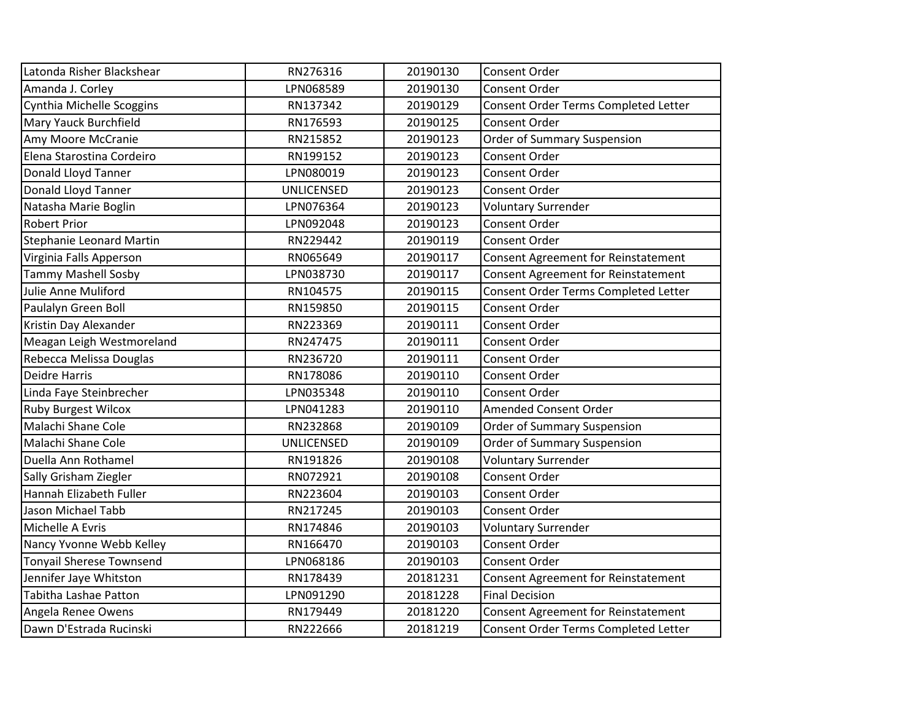| Latonda Risher Blackshear       | RN276316          | 20190130 | Consent Order                              |
|---------------------------------|-------------------|----------|--------------------------------------------|
| Amanda J. Corley                | LPN068589         | 20190130 | Consent Order                              |
| Cynthia Michelle Scoggins       | RN137342          | 20190129 | Consent Order Terms Completed Letter       |
| Mary Yauck Burchfield           | RN176593          | 20190125 | Consent Order                              |
| Amy Moore McCranie              | RN215852          | 20190123 | Order of Summary Suspension                |
| Elena Starostina Cordeiro       | RN199152          | 20190123 | Consent Order                              |
| Donald Lloyd Tanner             | LPN080019         | 20190123 | Consent Order                              |
| Donald Lloyd Tanner             | <b>UNLICENSED</b> | 20190123 | Consent Order                              |
| Natasha Marie Boglin            | LPN076364         | 20190123 | <b>Voluntary Surrender</b>                 |
| <b>Robert Prior</b>             | LPN092048         | 20190123 | <b>Consent Order</b>                       |
| <b>Stephanie Leonard Martin</b> | RN229442          | 20190119 | Consent Order                              |
| Virginia Falls Apperson         | RN065649          | 20190117 | Consent Agreement for Reinstatement        |
| <b>Tammy Mashell Sosby</b>      | LPN038730         | 20190117 | <b>Consent Agreement for Reinstatement</b> |
| Julie Anne Muliford             | RN104575          | 20190115 | Consent Order Terms Completed Letter       |
| Paulalyn Green Boll             | RN159850          | 20190115 | Consent Order                              |
| Kristin Day Alexander           | RN223369          | 20190111 | Consent Order                              |
| Meagan Leigh Westmoreland       | RN247475          | 20190111 | Consent Order                              |
| Rebecca Melissa Douglas         | RN236720          | 20190111 | Consent Order                              |
| <b>Deidre Harris</b>            | RN178086          | 20190110 | Consent Order                              |
| Linda Faye Steinbrecher         | LPN035348         | 20190110 | <b>Consent Order</b>                       |
| <b>Ruby Burgest Wilcox</b>      | LPN041283         | 20190110 | Amended Consent Order                      |
| Malachi Shane Cole              | RN232868          | 20190109 | <b>Order of Summary Suspension</b>         |
| Malachi Shane Cole              | <b>UNLICENSED</b> | 20190109 | Order of Summary Suspension                |
| Duella Ann Rothamel             | RN191826          | 20190108 | <b>Voluntary Surrender</b>                 |
| Sally Grisham Ziegler           | RN072921          | 20190108 | <b>Consent Order</b>                       |
| Hannah Elizabeth Fuller         | RN223604          | 20190103 | Consent Order                              |
| Jason Michael Tabb              | RN217245          | 20190103 | Consent Order                              |
| Michelle A Evris                | RN174846          | 20190103 | <b>Voluntary Surrender</b>                 |
| Nancy Yvonne Webb Kelley        | RN166470          | 20190103 | Consent Order                              |
| <b>Tonyail Sherese Townsend</b> | LPN068186         | 20190103 | Consent Order                              |
| Jennifer Jaye Whitston          | RN178439          | 20181231 | <b>Consent Agreement for Reinstatement</b> |
| Tabitha Lashae Patton           | LPN091290         | 20181228 | <b>Final Decision</b>                      |
| Angela Renee Owens              | RN179449          | 20181220 | Consent Agreement for Reinstatement        |
| Dawn D'Estrada Rucinski         | RN222666          | 20181219 | Consent Order Terms Completed Letter       |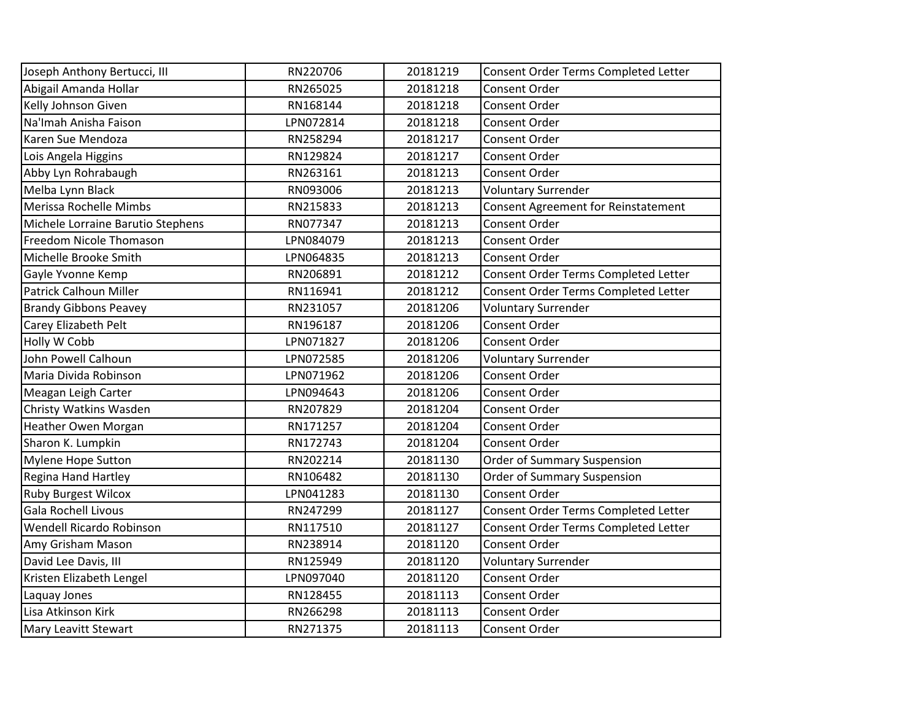| RN220706  | 20181219 | Consent Order Terms Completed Letter |
|-----------|----------|--------------------------------------|
| RN265025  | 20181218 | Consent Order                        |
| RN168144  | 20181218 | <b>Consent Order</b>                 |
| LPN072814 | 20181218 | <b>Consent Order</b>                 |
| RN258294  | 20181217 | <b>Consent Order</b>                 |
| RN129824  | 20181217 | Consent Order                        |
| RN263161  | 20181213 | <b>Consent Order</b>                 |
| RN093006  | 20181213 | <b>Voluntary Surrender</b>           |
| RN215833  | 20181213 | Consent Agreement for Reinstatement  |
| RN077347  | 20181213 | Consent Order                        |
| LPN084079 | 20181213 | Consent Order                        |
| LPN064835 | 20181213 | <b>Consent Order</b>                 |
| RN206891  | 20181212 | Consent Order Terms Completed Letter |
| RN116941  | 20181212 | Consent Order Terms Completed Letter |
| RN231057  | 20181206 | <b>Voluntary Surrender</b>           |
| RN196187  | 20181206 | <b>Consent Order</b>                 |
| LPN071827 | 20181206 | Consent Order                        |
| LPN072585 | 20181206 | <b>Voluntary Surrender</b>           |
| LPN071962 | 20181206 | <b>Consent Order</b>                 |
| LPN094643 | 20181206 | <b>Consent Order</b>                 |
| RN207829  | 20181204 | <b>Consent Order</b>                 |
| RN171257  | 20181204 | Consent Order                        |
| RN172743  | 20181204 | <b>Consent Order</b>                 |
| RN202214  | 20181130 | Order of Summary Suspension          |
| RN106482  | 20181130 | Order of Summary Suspension          |
| LPN041283 | 20181130 | <b>Consent Order</b>                 |
| RN247299  | 20181127 | Consent Order Terms Completed Letter |
| RN117510  | 20181127 | Consent Order Terms Completed Letter |
| RN238914  | 20181120 | Consent Order                        |
| RN125949  | 20181120 | <b>Voluntary Surrender</b>           |
| LPN097040 | 20181120 | <b>Consent Order</b>                 |
| RN128455  | 20181113 | Consent Order                        |
| RN266298  | 20181113 | <b>Consent Order</b>                 |
| RN271375  | 20181113 | <b>Consent Order</b>                 |
|           |          |                                      |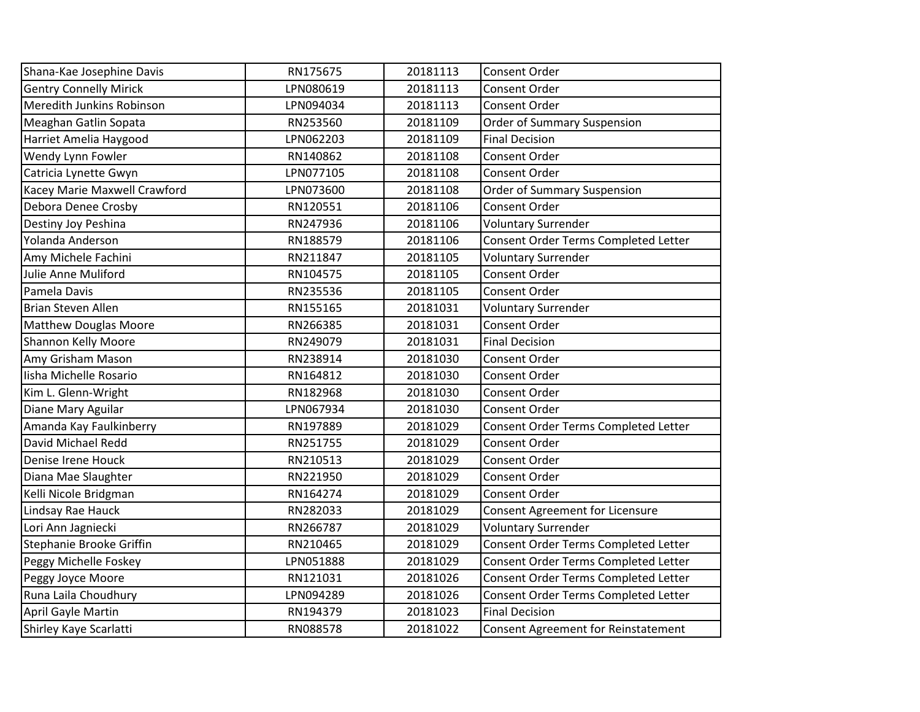| Shana-Kae Josephine Davis     | RN175675  | 20181113 | Consent Order                              |
|-------------------------------|-----------|----------|--------------------------------------------|
| <b>Gentry Connelly Mirick</b> | LPN080619 | 20181113 | Consent Order                              |
| Meredith Junkins Robinson     | LPN094034 | 20181113 | Consent Order                              |
| Meaghan Gatlin Sopata         | RN253560  | 20181109 | <b>Order of Summary Suspension</b>         |
| Harriet Amelia Haygood        | LPN062203 | 20181109 | <b>Final Decision</b>                      |
| Wendy Lynn Fowler             | RN140862  | 20181108 | Consent Order                              |
| Catricia Lynette Gwyn         | LPN077105 | 20181108 | Consent Order                              |
| Kacey Marie Maxwell Crawford  | LPN073600 | 20181108 | <b>Order of Summary Suspension</b>         |
| Debora Denee Crosby           | RN120551  | 20181106 | Consent Order                              |
| Destiny Joy Peshina           | RN247936  | 20181106 | <b>Voluntary Surrender</b>                 |
| Yolanda Anderson              | RN188579  | 20181106 | Consent Order Terms Completed Letter       |
| Amy Michele Fachini           | RN211847  | 20181105 | <b>Voluntary Surrender</b>                 |
| Julie Anne Muliford           | RN104575  | 20181105 | Consent Order                              |
| Pamela Davis                  | RN235536  | 20181105 | Consent Order                              |
| <b>Brian Steven Allen</b>     | RN155165  | 20181031 | <b>Voluntary Surrender</b>                 |
| <b>Matthew Douglas Moore</b>  | RN266385  | 20181031 | Consent Order                              |
| <b>Shannon Kelly Moore</b>    | RN249079  | 20181031 | <b>Final Decision</b>                      |
| Amy Grisham Mason             | RN238914  | 20181030 | Consent Order                              |
| Iisha Michelle Rosario        | RN164812  | 20181030 | Consent Order                              |
| Kim L. Glenn-Wright           | RN182968  | 20181030 | Consent Order                              |
| Diane Mary Aguilar            | LPN067934 | 20181030 | Consent Order                              |
| Amanda Kay Faulkinberry       | RN197889  | 20181029 | Consent Order Terms Completed Letter       |
| David Michael Redd            | RN251755  | 20181029 | Consent Order                              |
| Denise Irene Houck            | RN210513  | 20181029 | Consent Order                              |
| Diana Mae Slaughter           | RN221950  | 20181029 | Consent Order                              |
| Kelli Nicole Bridgman         | RN164274  | 20181029 | Consent Order                              |
| Lindsay Rae Hauck             | RN282033  | 20181029 | Consent Agreement for Licensure            |
| Lori Ann Jagniecki            | RN266787  | 20181029 | <b>Voluntary Surrender</b>                 |
| Stephanie Brooke Griffin      | RN210465  | 20181029 | Consent Order Terms Completed Letter       |
| Peggy Michelle Foskey         | LPN051888 | 20181029 | Consent Order Terms Completed Letter       |
| Peggy Joyce Moore             | RN121031  | 20181026 | Consent Order Terms Completed Letter       |
| Runa Laila Choudhury          | LPN094289 | 20181026 | Consent Order Terms Completed Letter       |
| April Gayle Martin            | RN194379  | 20181023 | <b>Final Decision</b>                      |
| Shirley Kaye Scarlatti        | RN088578  | 20181022 | <b>Consent Agreement for Reinstatement</b> |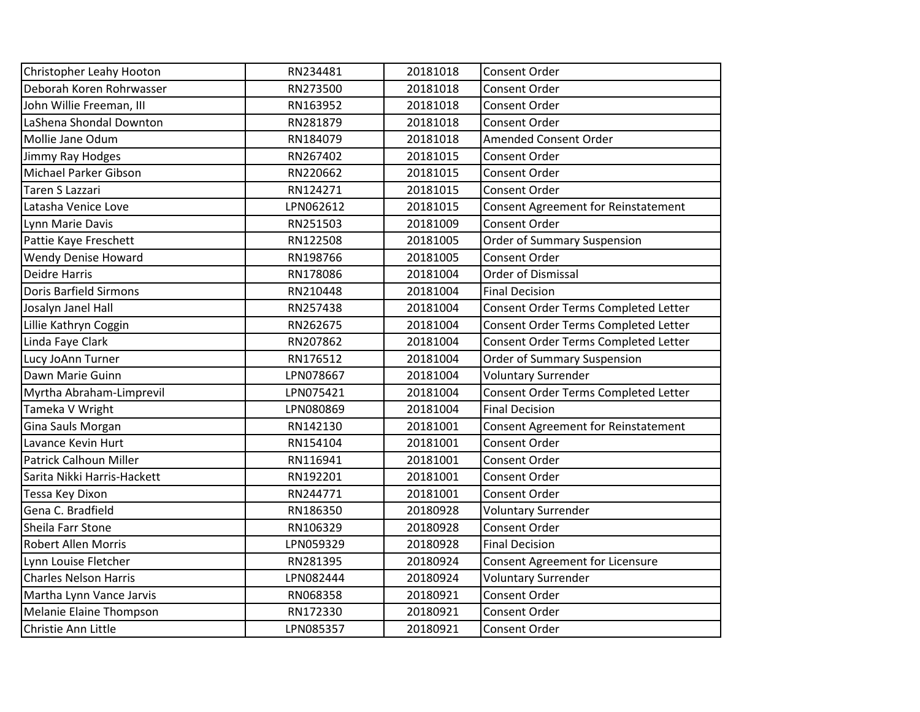| Christopher Leahy Hooton       | RN234481  | 20181018 | <b>Consent Order</b>                       |
|--------------------------------|-----------|----------|--------------------------------------------|
| Deborah Koren Rohrwasser       | RN273500  | 20181018 | Consent Order                              |
| John Willie Freeman, III       | RN163952  | 20181018 | <b>Consent Order</b>                       |
| LaShena Shondal Downton        | RN281879  | 20181018 | <b>Consent Order</b>                       |
| Mollie Jane Odum               | RN184079  | 20181018 | <b>Amended Consent Order</b>               |
| Jimmy Ray Hodges               | RN267402  | 20181015 | Consent Order                              |
| Michael Parker Gibson          | RN220662  | 20181015 | Consent Order                              |
| <b>Taren S Lazzari</b>         | RN124271  | 20181015 | <b>Consent Order</b>                       |
| Latasha Venice Love            | LPN062612 | 20181015 | Consent Agreement for Reinstatement        |
| Lynn Marie Davis               | RN251503  | 20181009 | <b>Consent Order</b>                       |
| Pattie Kaye Freschett          | RN122508  | 20181005 | <b>Order of Summary Suspension</b>         |
| <b>Wendy Denise Howard</b>     | RN198766  | 20181005 | Consent Order                              |
| <b>Deidre Harris</b>           | RN178086  | 20181004 | Order of Dismissal                         |
| <b>Doris Barfield Sirmons</b>  | RN210448  | 20181004 | <b>Final Decision</b>                      |
| Josalyn Janel Hall             | RN257438  | 20181004 | Consent Order Terms Completed Letter       |
| Lillie Kathryn Coggin          | RN262675  | 20181004 | Consent Order Terms Completed Letter       |
| Linda Faye Clark               | RN207862  | 20181004 | Consent Order Terms Completed Letter       |
| Lucy JoAnn Turner              | RN176512  | 20181004 | Order of Summary Suspension                |
| Dawn Marie Guinn               | LPN078667 | 20181004 | <b>Voluntary Surrender</b>                 |
| Myrtha Abraham-Limprevil       | LPN075421 | 20181004 | Consent Order Terms Completed Letter       |
| Tameka V Wright                | LPN080869 | 20181004 | <b>Final Decision</b>                      |
| Gina Sauls Morgan              | RN142130  | 20181001 | <b>Consent Agreement for Reinstatement</b> |
| Lavance Kevin Hurt             | RN154104  | 20181001 | Consent Order                              |
| Patrick Calhoun Miller         | RN116941  | 20181001 | <b>Consent Order</b>                       |
| Sarita Nikki Harris-Hackett    | RN192201  | 20181001 | <b>Consent Order</b>                       |
| Tessa Key Dixon                | RN244771  | 20181001 | Consent Order                              |
| Gena C. Bradfield              | RN186350  | 20180928 | <b>Voluntary Surrender</b>                 |
| Sheila Farr Stone              | RN106329  | 20180928 | Consent Order                              |
| <b>Robert Allen Morris</b>     | LPN059329 | 20180928 | <b>Final Decision</b>                      |
| Lynn Louise Fletcher           | RN281395  | 20180924 | <b>Consent Agreement for Licensure</b>     |
| <b>Charles Nelson Harris</b>   | LPN082444 | 20180924 | <b>Voluntary Surrender</b>                 |
| Martha Lynn Vance Jarvis       | RN068358  | 20180921 | Consent Order                              |
| <b>Melanie Elaine Thompson</b> | RN172330  | 20180921 | Consent Order                              |
| Christie Ann Little            | LPN085357 | 20180921 | <b>Consent Order</b>                       |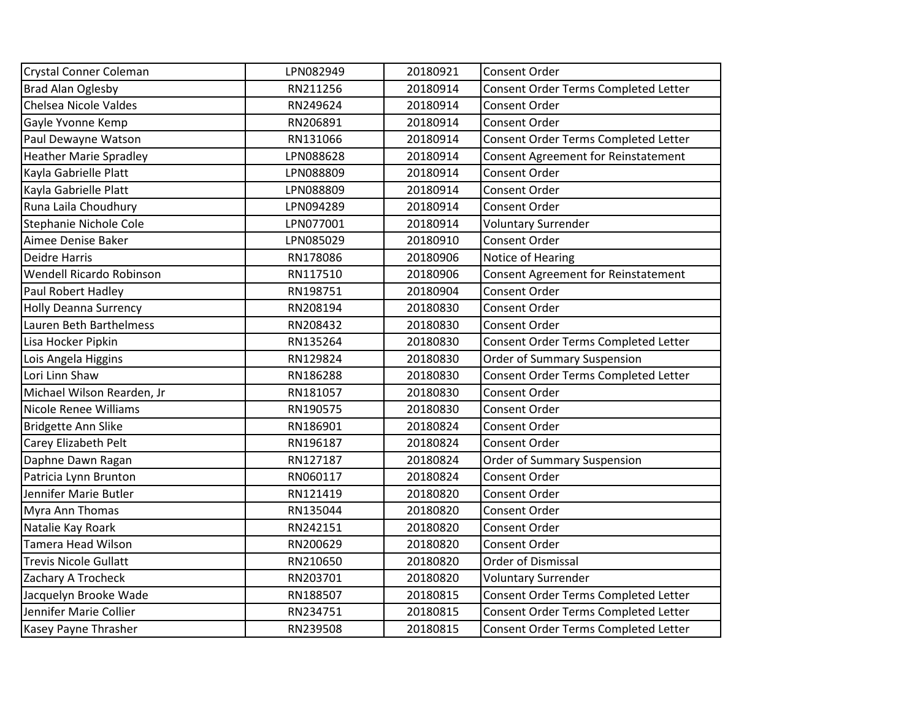| Crystal Conner Coleman        | LPN082949 | 20180921 | Consent Order                              |
|-------------------------------|-----------|----------|--------------------------------------------|
| <b>Brad Alan Oglesby</b>      | RN211256  | 20180914 | Consent Order Terms Completed Letter       |
| <b>Chelsea Nicole Valdes</b>  | RN249624  | 20180914 | Consent Order                              |
| Gayle Yvonne Kemp             | RN206891  | 20180914 | <b>Consent Order</b>                       |
| Paul Dewayne Watson           | RN131066  | 20180914 | Consent Order Terms Completed Letter       |
| <b>Heather Marie Spradley</b> | LPN088628 | 20180914 | <b>Consent Agreement for Reinstatement</b> |
| Kayla Gabrielle Platt         | LPN088809 | 20180914 | Consent Order                              |
| Kayla Gabrielle Platt         | LPN088809 | 20180914 | Consent Order                              |
| Runa Laila Choudhury          | LPN094289 | 20180914 | <b>Consent Order</b>                       |
| Stephanie Nichole Cole        | LPN077001 | 20180914 | <b>Voluntary Surrender</b>                 |
| Aimee Denise Baker            | LPN085029 | 20180910 | <b>Consent Order</b>                       |
| <b>Deidre Harris</b>          | RN178086  | 20180906 | Notice of Hearing                          |
| Wendell Ricardo Robinson      | RN117510  | 20180906 | <b>Consent Agreement for Reinstatement</b> |
| Paul Robert Hadley            | RN198751  | 20180904 | Consent Order                              |
| <b>Holly Deanna Surrency</b>  | RN208194  | 20180830 | <b>Consent Order</b>                       |
| Lauren Beth Barthelmess       | RN208432  | 20180830 | Consent Order                              |
| Lisa Hocker Pipkin            | RN135264  | 20180830 | Consent Order Terms Completed Letter       |
| Lois Angela Higgins           | RN129824  | 20180830 | Order of Summary Suspension                |
| Lori Linn Shaw                | RN186288  | 20180830 | Consent Order Terms Completed Letter       |
| Michael Wilson Rearden, Jr    | RN181057  | 20180830 | <b>Consent Order</b>                       |
| <b>Nicole Renee Williams</b>  | RN190575  | 20180830 | Consent Order                              |
| Bridgette Ann Slike           | RN186901  | 20180824 | Consent Order                              |
| Carey Elizabeth Pelt          | RN196187  | 20180824 | Consent Order                              |
| Daphne Dawn Ragan             | RN127187  | 20180824 | Order of Summary Suspension                |
| Patricia Lynn Brunton         | RN060117  | 20180824 | <b>Consent Order</b>                       |
| Jennifer Marie Butler         | RN121419  | 20180820 | <b>Consent Order</b>                       |
| Myra Ann Thomas               | RN135044  | 20180820 | <b>Consent Order</b>                       |
| Natalie Kay Roark             | RN242151  | 20180820 | <b>Consent Order</b>                       |
| <b>Tamera Head Wilson</b>     | RN200629  | 20180820 | <b>Consent Order</b>                       |
| <b>Trevis Nicole Gullatt</b>  | RN210650  | 20180820 | Order of Dismissal                         |
| Zachary A Trocheck            | RN203701  | 20180820 | <b>Voluntary Surrender</b>                 |
| Jacquelyn Brooke Wade         | RN188507  | 20180815 | Consent Order Terms Completed Letter       |
| Jennifer Marie Collier        | RN234751  | 20180815 | Consent Order Terms Completed Letter       |
| Kasey Payne Thrasher          | RN239508  | 20180815 | Consent Order Terms Completed Letter       |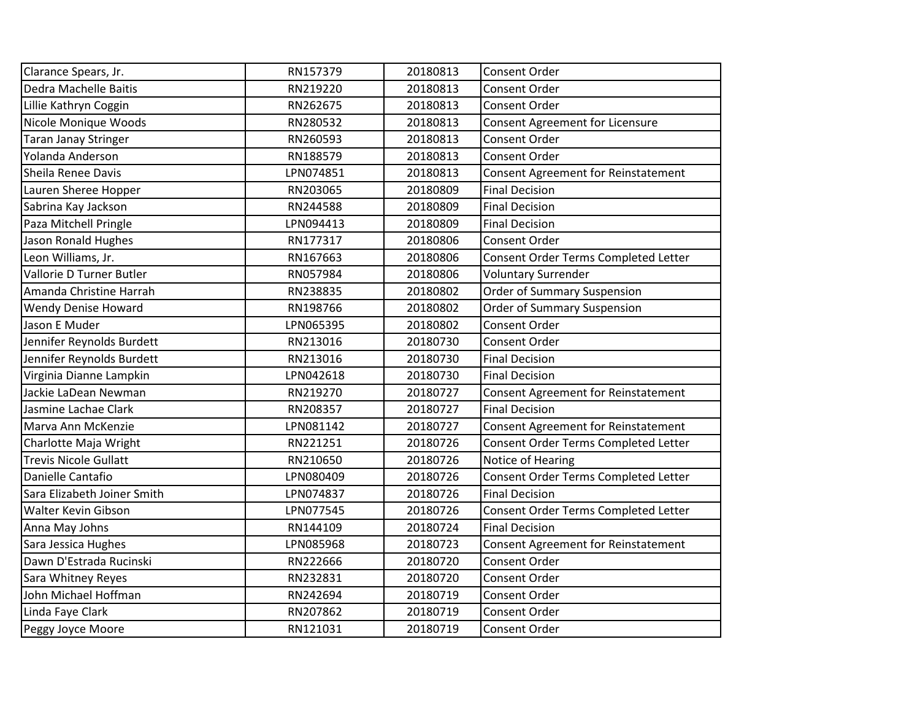| Clarance Spears, Jr.         | RN157379  | 20180813 | <b>Consent Order</b>                       |
|------------------------------|-----------|----------|--------------------------------------------|
| Dedra Machelle Baitis        | RN219220  | 20180813 | <b>Consent Order</b>                       |
| Lillie Kathryn Coggin        | RN262675  | 20180813 | <b>Consent Order</b>                       |
| Nicole Monique Woods         | RN280532  | 20180813 | Consent Agreement for Licensure            |
| <b>Taran Janay Stringer</b>  | RN260593  | 20180813 | Consent Order                              |
| Yolanda Anderson             | RN188579  | 20180813 | Consent Order                              |
| Sheila Renee Davis           | LPN074851 | 20180813 | Consent Agreement for Reinstatement        |
| Lauren Sheree Hopper         | RN203065  | 20180809 | <b>Final Decision</b>                      |
| Sabrina Kay Jackson          | RN244588  | 20180809 | <b>Final Decision</b>                      |
| Paza Mitchell Pringle        | LPN094413 | 20180809 | <b>Final Decision</b>                      |
| Jason Ronald Hughes          | RN177317  | 20180806 | Consent Order                              |
| Leon Williams, Jr.           | RN167663  | 20180806 | Consent Order Terms Completed Letter       |
| Vallorie D Turner Butler     | RN057984  | 20180806 | <b>Voluntary Surrender</b>                 |
| Amanda Christine Harrah      | RN238835  | 20180802 | Order of Summary Suspension                |
| <b>Wendy Denise Howard</b>   | RN198766  | 20180802 | Order of Summary Suspension                |
| Jason E Muder                | LPN065395 | 20180802 | Consent Order                              |
| Jennifer Reynolds Burdett    | RN213016  | 20180730 | Consent Order                              |
| Jennifer Reynolds Burdett    | RN213016  | 20180730 | <b>Final Decision</b>                      |
| Virginia Dianne Lampkin      | LPN042618 | 20180730 | <b>Final Decision</b>                      |
| Jackie LaDean Newman         | RN219270  | 20180727 | Consent Agreement for Reinstatement        |
| Jasmine Lachae Clark         | RN208357  | 20180727 | <b>Final Decision</b>                      |
| Marva Ann McKenzie           | LPN081142 | 20180727 | <b>Consent Agreement for Reinstatement</b> |
| Charlotte Maja Wright        | RN221251  | 20180726 | Consent Order Terms Completed Letter       |
| <b>Trevis Nicole Gullatt</b> | RN210650  | 20180726 | Notice of Hearing                          |
| Danielle Cantafio            | LPN080409 | 20180726 | Consent Order Terms Completed Letter       |
| Sara Elizabeth Joiner Smith  | LPN074837 | 20180726 | <b>Final Decision</b>                      |
| Walter Kevin Gibson          | LPN077545 | 20180726 | Consent Order Terms Completed Letter       |
| Anna May Johns               | RN144109  | 20180724 | <b>Final Decision</b>                      |
| Sara Jessica Hughes          | LPN085968 | 20180723 | Consent Agreement for Reinstatement        |
| Dawn D'Estrada Rucinski      | RN222666  | 20180720 | <b>Consent Order</b>                       |
| Sara Whitney Reyes           | RN232831  | 20180720 | Consent Order                              |
| John Michael Hoffman         | RN242694  | 20180719 | Consent Order                              |
| Linda Faye Clark             | RN207862  | 20180719 | <b>Consent Order</b>                       |
| Peggy Joyce Moore            | RN121031  | 20180719 | <b>Consent Order</b>                       |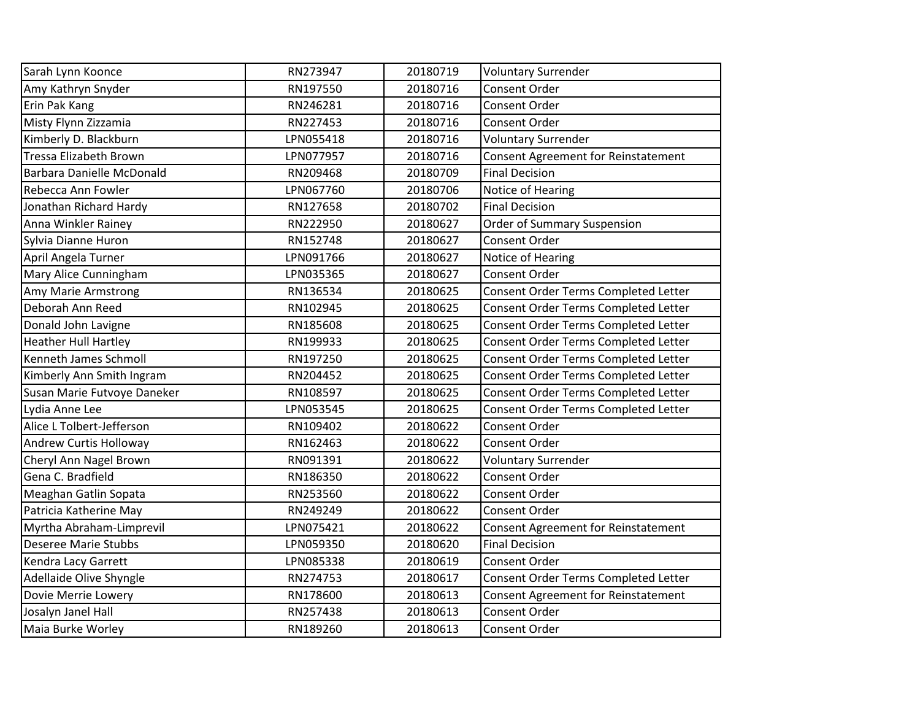| Sarah Lynn Koonce             | RN273947  | 20180719 | <b>Voluntary Surrender</b>                 |
|-------------------------------|-----------|----------|--------------------------------------------|
| Amy Kathryn Snyder            | RN197550  | 20180716 | Consent Order                              |
| Erin Pak Kang                 | RN246281  | 20180716 | Consent Order                              |
| Misty Flynn Zizzamia          | RN227453  | 20180716 | <b>Consent Order</b>                       |
| Kimberly D. Blackburn         | LPN055418 | 20180716 | <b>Voluntary Surrender</b>                 |
| <b>Tressa Elizabeth Brown</b> | LPN077957 | 20180716 | <b>Consent Agreement for Reinstatement</b> |
| Barbara Danielle McDonald     | RN209468  | 20180709 | <b>Final Decision</b>                      |
| Rebecca Ann Fowler            | LPN067760 | 20180706 | Notice of Hearing                          |
| Jonathan Richard Hardy        | RN127658  | 20180702 | <b>Final Decision</b>                      |
| Anna Winkler Rainey           | RN222950  | 20180627 | <b>Order of Summary Suspension</b>         |
| Sylvia Dianne Huron           | RN152748  | 20180627 | Consent Order                              |
| April Angela Turner           | LPN091766 | 20180627 | Notice of Hearing                          |
| Mary Alice Cunningham         | LPN035365 | 20180627 | Consent Order                              |
| Amy Marie Armstrong           | RN136534  | 20180625 | Consent Order Terms Completed Letter       |
| Deborah Ann Reed              | RN102945  | 20180625 | Consent Order Terms Completed Letter       |
| Donald John Lavigne           | RN185608  | 20180625 | Consent Order Terms Completed Letter       |
| <b>Heather Hull Hartley</b>   | RN199933  | 20180625 | Consent Order Terms Completed Letter       |
| Kenneth James Schmoll         | RN197250  | 20180625 | Consent Order Terms Completed Letter       |
| Kimberly Ann Smith Ingram     | RN204452  | 20180625 | Consent Order Terms Completed Letter       |
| Susan Marie Futvoye Daneker   | RN108597  | 20180625 | Consent Order Terms Completed Letter       |
| Lydia Anne Lee                | LPN053545 | 20180625 | Consent Order Terms Completed Letter       |
| Alice L Tolbert-Jefferson     | RN109402  | 20180622 | Consent Order                              |
| <b>Andrew Curtis Holloway</b> | RN162463  | 20180622 | Consent Order                              |
| Cheryl Ann Nagel Brown        | RN091391  | 20180622 | <b>Voluntary Surrender</b>                 |
| Gena C. Bradfield             | RN186350  | 20180622 | <b>Consent Order</b>                       |
| Meaghan Gatlin Sopata         | RN253560  | 20180622 | <b>Consent Order</b>                       |
| Patricia Katherine May        | RN249249  | 20180622 | Consent Order                              |
| Myrtha Abraham-Limprevil      | LPN075421 | 20180622 | <b>Consent Agreement for Reinstatement</b> |
| <b>Deseree Marie Stubbs</b>   | LPN059350 | 20180620 | <b>Final Decision</b>                      |
| Kendra Lacy Garrett           | LPN085338 | 20180619 | <b>Consent Order</b>                       |
| Adellaide Olive Shyngle       | RN274753  | 20180617 | Consent Order Terms Completed Letter       |
| Dovie Merrie Lowery           | RN178600  | 20180613 | <b>Consent Agreement for Reinstatement</b> |
| Josalyn Janel Hall            | RN257438  | 20180613 | Consent Order                              |
| Maia Burke Worley             | RN189260  | 20180613 | Consent Order                              |
|                               |           |          |                                            |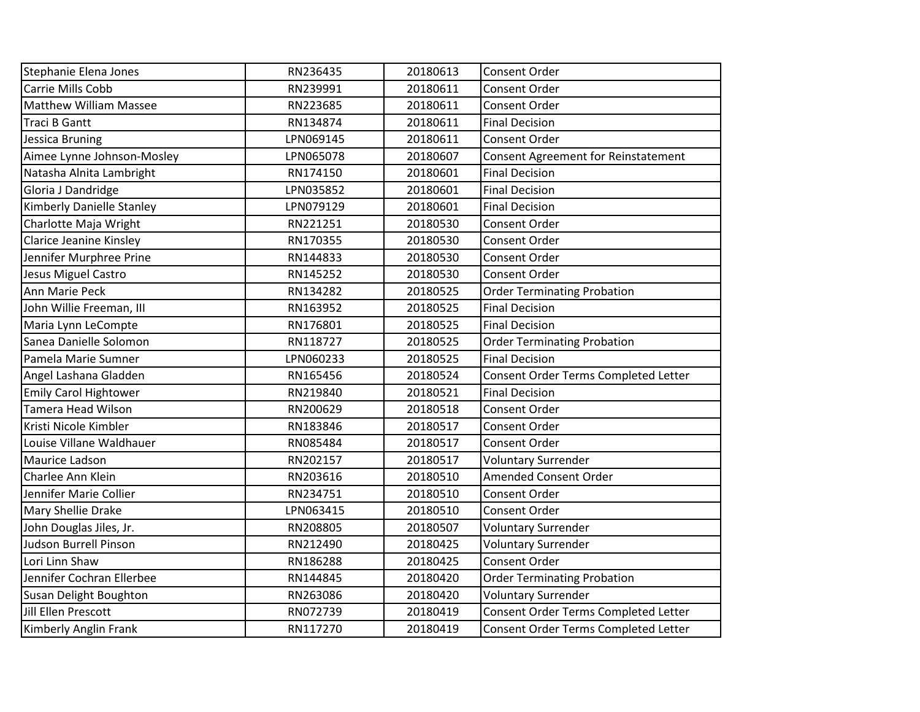| Stephanie Elena Jones          | RN236435  | 20180613 | <b>Consent Order</b>                       |
|--------------------------------|-----------|----------|--------------------------------------------|
| Carrie Mills Cobb              | RN239991  | 20180611 | Consent Order                              |
| Matthew William Massee         | RN223685  | 20180611 | Consent Order                              |
| <b>Traci B Gantt</b>           | RN134874  | 20180611 | <b>Final Decision</b>                      |
| Jessica Bruning                | LPN069145 | 20180611 | <b>Consent Order</b>                       |
| Aimee Lynne Johnson-Mosley     | LPN065078 | 20180607 | <b>Consent Agreement for Reinstatement</b> |
| Natasha Alnita Lambright       | RN174150  | 20180601 | <b>Final Decision</b>                      |
| Gloria J Dandridge             | LPN035852 | 20180601 | <b>Final Decision</b>                      |
| Kimberly Danielle Stanley      | LPN079129 | 20180601 | <b>Final Decision</b>                      |
| Charlotte Maja Wright          | RN221251  | 20180530 | <b>Consent Order</b>                       |
| <b>Clarice Jeanine Kinsley</b> | RN170355  | 20180530 | Consent Order                              |
| Jennifer Murphree Prine        | RN144833  | 20180530 | Consent Order                              |
| Jesus Miguel Castro            | RN145252  | 20180530 | Consent Order                              |
| Ann Marie Peck                 | RN134282  | 20180525 | <b>Order Terminating Probation</b>         |
| John Willie Freeman, III       | RN163952  | 20180525 | <b>Final Decision</b>                      |
| Maria Lynn LeCompte            | RN176801  | 20180525 | <b>Final Decision</b>                      |
| Sanea Danielle Solomon         | RN118727  | 20180525 | <b>Order Terminating Probation</b>         |
| Pamela Marie Sumner            | LPN060233 | 20180525 | <b>Final Decision</b>                      |
| Angel Lashana Gladden          | RN165456  | 20180524 | Consent Order Terms Completed Letter       |
| <b>Emily Carol Hightower</b>   | RN219840  | 20180521 | <b>Final Decision</b>                      |
| <b>Tamera Head Wilson</b>      | RN200629  | 20180518 | Consent Order                              |
| Kristi Nicole Kimbler          | RN183846  | 20180517 | Consent Order                              |
| Louise Villane Waldhauer       | RN085484  | 20180517 | <b>Consent Order</b>                       |
| Maurice Ladson                 | RN202157  | 20180517 | <b>Voluntary Surrender</b>                 |
| Charlee Ann Klein              | RN203616  | 20180510 | <b>Amended Consent Order</b>               |
| Jennifer Marie Collier         | RN234751  | 20180510 | <b>Consent Order</b>                       |
| Mary Shellie Drake             | LPN063415 | 20180510 | Consent Order                              |
| John Douglas Jiles, Jr.        | RN208805  | 20180507 | <b>Voluntary Surrender</b>                 |
| Judson Burrell Pinson          | RN212490  | 20180425 | <b>Voluntary Surrender</b>                 |
| Lori Linn Shaw                 | RN186288  | 20180425 | Consent Order                              |
| Jennifer Cochran Ellerbee      | RN144845  | 20180420 | <b>Order Terminating Probation</b>         |
| Susan Delight Boughton         | RN263086  | 20180420 | <b>Voluntary Surrender</b>                 |
| Jill Ellen Prescott            | RN072739  | 20180419 | Consent Order Terms Completed Letter       |
| Kimberly Anglin Frank          | RN117270  | 20180419 | Consent Order Terms Completed Letter       |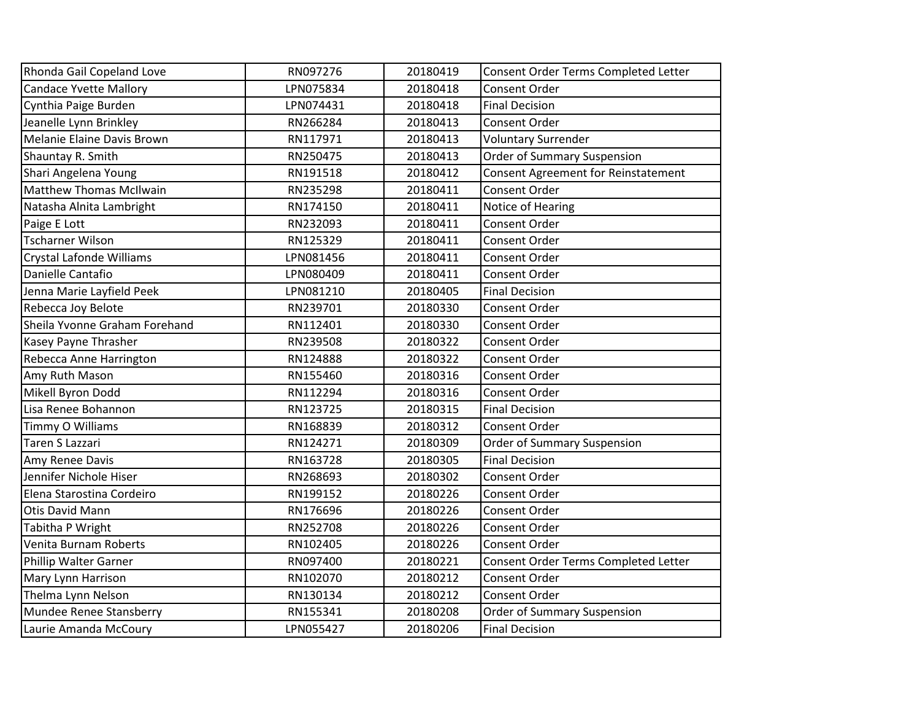| Rhonda Gail Copeland Love      | RN097276  | 20180419 | Consent Order Terms Completed Letter       |
|--------------------------------|-----------|----------|--------------------------------------------|
| <b>Candace Yvette Mallory</b>  | LPN075834 | 20180418 | Consent Order                              |
| Cynthia Paige Burden           | LPN074431 | 20180418 | <b>Final Decision</b>                      |
| Jeanelle Lynn Brinkley         | RN266284  | 20180413 | Consent Order                              |
| Melanie Elaine Davis Brown     | RN117971  |          |                                            |
|                                |           | 20180413 | <b>Voluntary Surrender</b>                 |
| Shauntay R. Smith              | RN250475  | 20180413 | Order of Summary Suspension                |
| Shari Angelena Young           | RN191518  | 20180412 | <b>Consent Agreement for Reinstatement</b> |
| <b>Matthew Thomas McIlwain</b> | RN235298  | 20180411 | Consent Order                              |
| Natasha Alnita Lambright       | RN174150  | 20180411 | Notice of Hearing                          |
| Paige E Lott                   | RN232093  | 20180411 | Consent Order                              |
| <b>Tscharner Wilson</b>        | RN125329  | 20180411 | Consent Order                              |
| Crystal Lafonde Williams       | LPN081456 | 20180411 | <b>Consent Order</b>                       |
| Danielle Cantafio              | LPN080409 | 20180411 | Consent Order                              |
| Jenna Marie Layfield Peek      | LPN081210 | 20180405 | <b>Final Decision</b>                      |
| Rebecca Joy Belote             | RN239701  | 20180330 | Consent Order                              |
| Sheila Yvonne Graham Forehand  | RN112401  | 20180330 | Consent Order                              |
| Kasey Payne Thrasher           | RN239508  | 20180322 | <b>Consent Order</b>                       |
| Rebecca Anne Harrington        | RN124888  | 20180322 | Consent Order                              |
| Amy Ruth Mason                 | RN155460  | 20180316 | Consent Order                              |
| Mikell Byron Dodd              | RN112294  | 20180316 | Consent Order                              |
| Lisa Renee Bohannon            | RN123725  | 20180315 | <b>Final Decision</b>                      |
| Timmy O Williams               | RN168839  | 20180312 | Consent Order                              |
| Taren S Lazzari                | RN124271  | 20180309 | Order of Summary Suspension                |
| Amy Renee Davis                | RN163728  | 20180305 | <b>Final Decision</b>                      |
| Jennifer Nichole Hiser         | RN268693  | 20180302 | Consent Order                              |
| Elena Starostina Cordeiro      | RN199152  | 20180226 | Consent Order                              |
| <b>Otis David Mann</b>         | RN176696  | 20180226 | <b>Consent Order</b>                       |
| Tabitha P Wright               | RN252708  | 20180226 | Consent Order                              |
| Venita Burnam Roberts          | RN102405  | 20180226 | Consent Order                              |
| Phillip Walter Garner          | RN097400  | 20180221 | Consent Order Terms Completed Letter       |
| Mary Lynn Harrison             | RN102070  | 20180212 | Consent Order                              |
| Thelma Lynn Nelson             | RN130134  | 20180212 | Consent Order                              |
| Mundee Renee Stansberry        | RN155341  | 20180208 | Order of Summary Suspension                |
| Laurie Amanda McCoury          | LPN055427 | 20180206 | <b>Final Decision</b>                      |
|                                |           |          |                                            |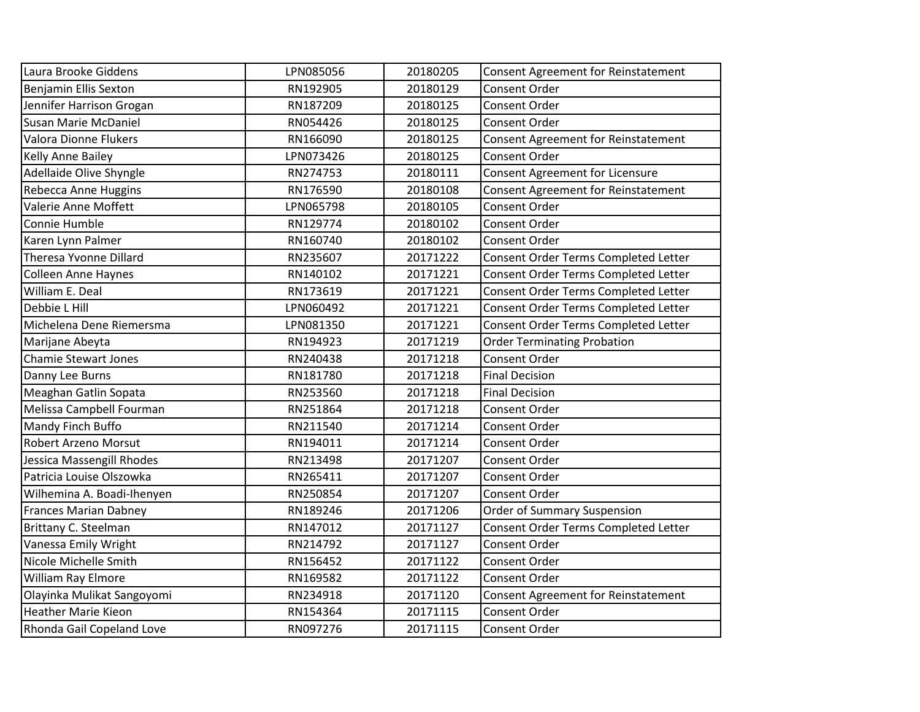| Laura Brooke Giddens         | LPN085056 | 20180205 | Consent Agreement for Reinstatement        |
|------------------------------|-----------|----------|--------------------------------------------|
| Benjamin Ellis Sexton        | RN192905  | 20180129 | Consent Order                              |
| Jennifer Harrison Grogan     | RN187209  | 20180125 | <b>Consent Order</b>                       |
| Susan Marie McDaniel         | RN054426  | 20180125 | <b>Consent Order</b>                       |
| Valora Dionne Flukers        | RN166090  | 20180125 | Consent Agreement for Reinstatement        |
| Kelly Anne Bailey            | LPN073426 | 20180125 | Consent Order                              |
| Adellaide Olive Shyngle      | RN274753  | 20180111 | Consent Agreement for Licensure            |
| Rebecca Anne Huggins         | RN176590  | 20180108 | <b>Consent Agreement for Reinstatement</b> |
| Valerie Anne Moffett         | LPN065798 | 20180105 | <b>Consent Order</b>                       |
| Connie Humble                | RN129774  | 20180102 | <b>Consent Order</b>                       |
| Karen Lynn Palmer            | RN160740  | 20180102 | Consent Order                              |
| Theresa Yvonne Dillard       | RN235607  | 20171222 | Consent Order Terms Completed Letter       |
| <b>Colleen Anne Haynes</b>   | RN140102  | 20171221 | Consent Order Terms Completed Letter       |
| William E. Deal              | RN173619  | 20171221 | Consent Order Terms Completed Letter       |
| Debbie L Hill                | LPN060492 | 20171221 | Consent Order Terms Completed Letter       |
| Michelena Dene Riemersma     | LPN081350 | 20171221 | Consent Order Terms Completed Letter       |
| Marijane Abeyta              | RN194923  | 20171219 | <b>Order Terminating Probation</b>         |
| Chamie Stewart Jones         | RN240438  | 20171218 | Consent Order                              |
| Danny Lee Burns              | RN181780  | 20171218 | <b>Final Decision</b>                      |
| Meaghan Gatlin Sopata        | RN253560  | 20171218 | <b>Final Decision</b>                      |
| Melissa Campbell Fourman     | RN251864  | 20171218 | Consent Order                              |
| Mandy Finch Buffo            | RN211540  | 20171214 | Consent Order                              |
| <b>Robert Arzeno Morsut</b>  | RN194011  | 20171214 | Consent Order                              |
| Jessica Massengill Rhodes    | RN213498  | 20171207 | <b>Consent Order</b>                       |
| Patricia Louise Olszowka     | RN265411  | 20171207 | <b>Consent Order</b>                       |
| Wilhemina A. Boadi-Ihenyen   | RN250854  | 20171207 | Consent Order                              |
| <b>Frances Marian Dabney</b> | RN189246  | 20171206 | <b>Order of Summary Suspension</b>         |
| Brittany C. Steelman         | RN147012  | 20171127 | Consent Order Terms Completed Letter       |
| Vanessa Emily Wright         | RN214792  | 20171127 | Consent Order                              |
| Nicole Michelle Smith        | RN156452  | 20171122 | <b>Consent Order</b>                       |
| William Ray Elmore           | RN169582  | 20171122 | Consent Order                              |
| Olayinka Mulikat Sangoyomi   | RN234918  | 20171120 | Consent Agreement for Reinstatement        |
| <b>Heather Marie Kieon</b>   | RN154364  | 20171115 | Consent Order                              |
| Rhonda Gail Copeland Love    | RN097276  | 20171115 | <b>Consent Order</b>                       |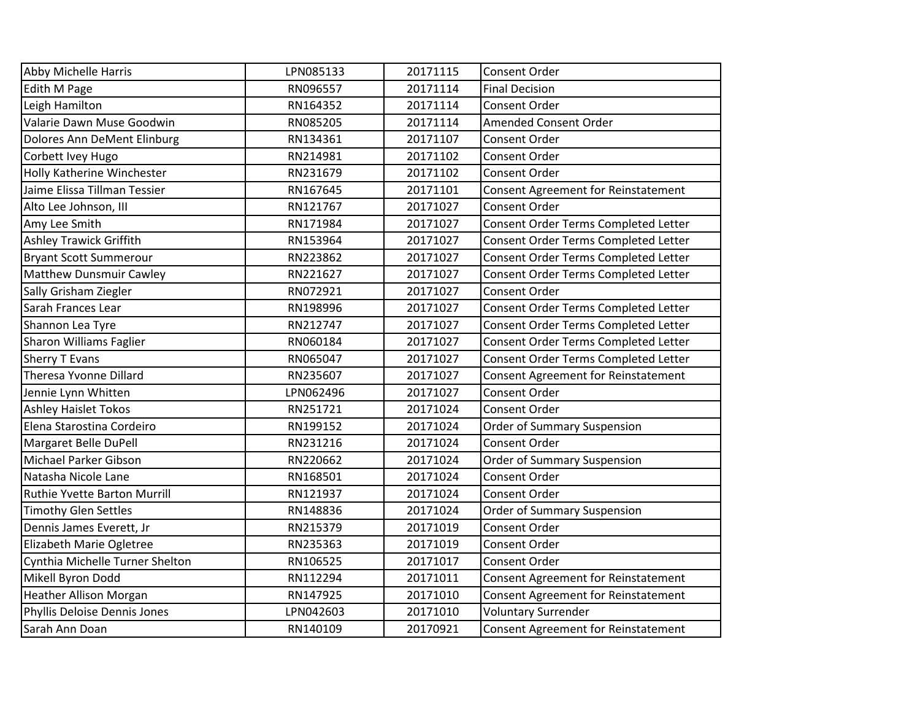| <b>Abby Michelle Harris</b>       | LPN085133 | 20171115 | Consent Order                              |
|-----------------------------------|-----------|----------|--------------------------------------------|
| Edith M Page                      | RN096557  | 20171114 | <b>Final Decision</b>                      |
| Leigh Hamilton                    | RN164352  | 20171114 | Consent Order                              |
| Valarie Dawn Muse Goodwin         | RN085205  | 20171114 | Amended Consent Order                      |
| Dolores Ann DeMent Elinburg       | RN134361  | 20171107 | Consent Order                              |
| Corbett Ivey Hugo                 | RN214981  | 20171102 | <b>Consent Order</b>                       |
| <b>Holly Katherine Winchester</b> | RN231679  | 20171102 | Consent Order                              |
| Jaime Elissa Tillman Tessier      | RN167645  | 20171101 | <b>Consent Agreement for Reinstatement</b> |
| Alto Lee Johnson, III             | RN121767  | 20171027 | Consent Order                              |
| Amy Lee Smith                     | RN171984  | 20171027 | Consent Order Terms Completed Letter       |
| <b>Ashley Trawick Griffith</b>    | RN153964  | 20171027 | Consent Order Terms Completed Letter       |
| <b>Bryant Scott Summerour</b>     | RN223862  | 20171027 | Consent Order Terms Completed Letter       |
| <b>Matthew Dunsmuir Cawley</b>    | RN221627  | 20171027 | Consent Order Terms Completed Letter       |
| Sally Grisham Ziegler             | RN072921  | 20171027 | Consent Order                              |
| Sarah Frances Lear                | RN198996  | 20171027 | Consent Order Terms Completed Letter       |
| Shannon Lea Tyre                  | RN212747  | 20171027 | Consent Order Terms Completed Letter       |
| <b>Sharon Williams Faglier</b>    | RN060184  | 20171027 | Consent Order Terms Completed Letter       |
| Sherry T Evans                    | RN065047  | 20171027 | Consent Order Terms Completed Letter       |
| Theresa Yvonne Dillard            | RN235607  | 20171027 | <b>Consent Agreement for Reinstatement</b> |
| Jennie Lynn Whitten               | LPN062496 | 20171027 | Consent Order                              |
| <b>Ashley Haislet Tokos</b>       | RN251721  | 20171024 | Consent Order                              |
| Elena Starostina Cordeiro         | RN199152  | 20171024 | <b>Order of Summary Suspension</b>         |
| Margaret Belle DuPell             | RN231216  | 20171024 | Consent Order                              |
| Michael Parker Gibson             | RN220662  | 20171024 | Order of Summary Suspension                |
| Natasha Nicole Lane               | RN168501  | 20171024 | Consent Order                              |
| Ruthie Yvette Barton Murrill      | RN121937  | 20171024 | Consent Order                              |
| <b>Timothy Glen Settles</b>       | RN148836  | 20171024 | Order of Summary Suspension                |
| Dennis James Everett, Jr          | RN215379  | 20171019 | Consent Order                              |
| Elizabeth Marie Ogletree          | RN235363  | 20171019 | Consent Order                              |
| Cynthia Michelle Turner Shelton   | RN106525  | 20171017 | Consent Order                              |
| Mikell Byron Dodd                 | RN112294  | 20171011 | <b>Consent Agreement for Reinstatement</b> |
| <b>Heather Allison Morgan</b>     | RN147925  | 20171010 | Consent Agreement for Reinstatement        |
| Phyllis Deloise Dennis Jones      | LPN042603 | 20171010 | <b>Voluntary Surrender</b>                 |
| Sarah Ann Doan                    | RN140109  | 20170921 | <b>Consent Agreement for Reinstatement</b> |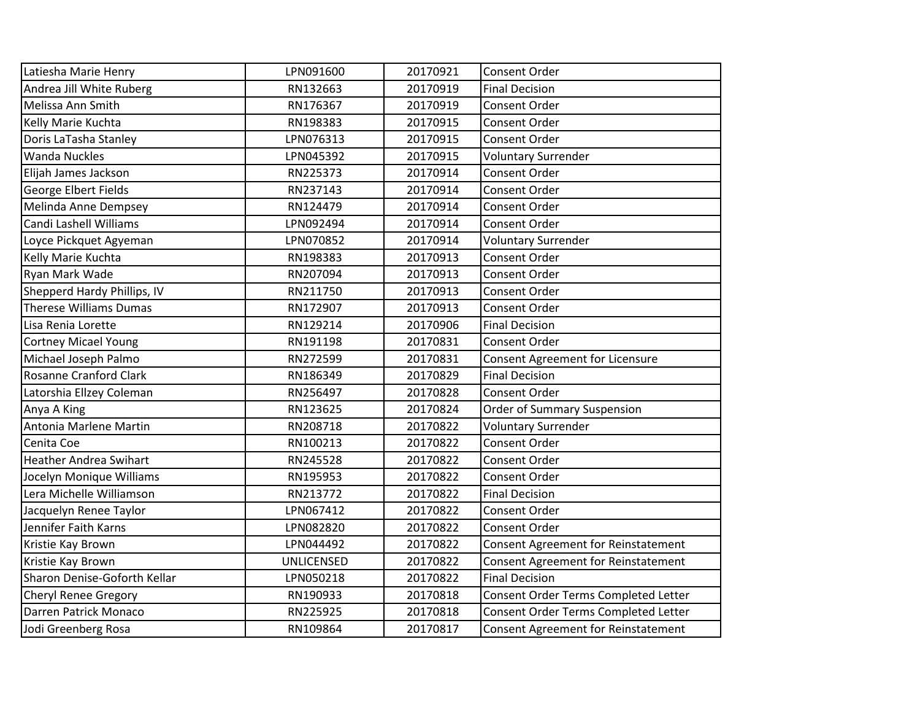| Latiesha Marie Henry          | LPN091600         | 20170921 | Consent Order                              |
|-------------------------------|-------------------|----------|--------------------------------------------|
| Andrea Jill White Ruberg      | RN132663          | 20170919 | <b>Final Decision</b>                      |
| Melissa Ann Smith             | RN176367          | 20170919 | Consent Order                              |
| Kelly Marie Kuchta            | RN198383          | 20170915 | Consent Order                              |
| Doris LaTasha Stanley         | LPN076313         | 20170915 | Consent Order                              |
| <b>Wanda Nuckles</b>          | LPN045392         | 20170915 | Voluntary Surrender                        |
| Elijah James Jackson          | RN225373          | 20170914 | Consent Order                              |
| George Elbert Fields          | RN237143          | 20170914 | Consent Order                              |
| Melinda Anne Dempsey          | RN124479          | 20170914 | Consent Order                              |
| Candi Lashell Williams        | LPN092494         | 20170914 | Consent Order                              |
| Loyce Pickquet Agyeman        | LPN070852         | 20170914 | <b>Voluntary Surrender</b>                 |
| Kelly Marie Kuchta            | RN198383          | 20170913 | Consent Order                              |
| Ryan Mark Wade                | RN207094          | 20170913 | Consent Order                              |
| Shepperd Hardy Phillips, IV   | RN211750          | 20170913 | Consent Order                              |
| <b>Therese Williams Dumas</b> | RN172907          | 20170913 | Consent Order                              |
| Lisa Renia Lorette            | RN129214          | 20170906 | <b>Final Decision</b>                      |
| <b>Cortney Micael Young</b>   | RN191198          | 20170831 | <b>Consent Order</b>                       |
| Michael Joseph Palmo          | RN272599          | 20170831 | Consent Agreement for Licensure            |
| Rosanne Cranford Clark        | RN186349          | 20170829 | <b>Final Decision</b>                      |
| Latorshia Ellzey Coleman      | RN256497          | 20170828 | Consent Order                              |
| Anya A King                   | RN123625          | 20170824 | <b>Order of Summary Suspension</b>         |
| Antonia Marlene Martin        | RN208718          | 20170822 | <b>Voluntary Surrender</b>                 |
| Cenita Coe                    | RN100213          | 20170822 | Consent Order                              |
| <b>Heather Andrea Swihart</b> | RN245528          | 20170822 | Consent Order                              |
| Jocelyn Monique Williams      | RN195953          | 20170822 | Consent Order                              |
| Lera Michelle Williamson      | RN213772          | 20170822 | <b>Final Decision</b>                      |
| Jacquelyn Renee Taylor        | LPN067412         | 20170822 | <b>Consent Order</b>                       |
| Jennifer Faith Karns          | LPN082820         | 20170822 | Consent Order                              |
| Kristie Kay Brown             | LPN044492         | 20170822 | <b>Consent Agreement for Reinstatement</b> |
| Kristie Kay Brown             | <b>UNLICENSED</b> | 20170822 | <b>Consent Agreement for Reinstatement</b> |
| Sharon Denise-Goforth Kellar  | LPN050218         | 20170822 | <b>Final Decision</b>                      |
| <b>Cheryl Renee Gregory</b>   | RN190933          | 20170818 | Consent Order Terms Completed Letter       |
| Darren Patrick Monaco         | RN225925          | 20170818 | Consent Order Terms Completed Letter       |
| Jodi Greenberg Rosa           | RN109864          | 20170817 | <b>Consent Agreement for Reinstatement</b> |
|                               |                   |          |                                            |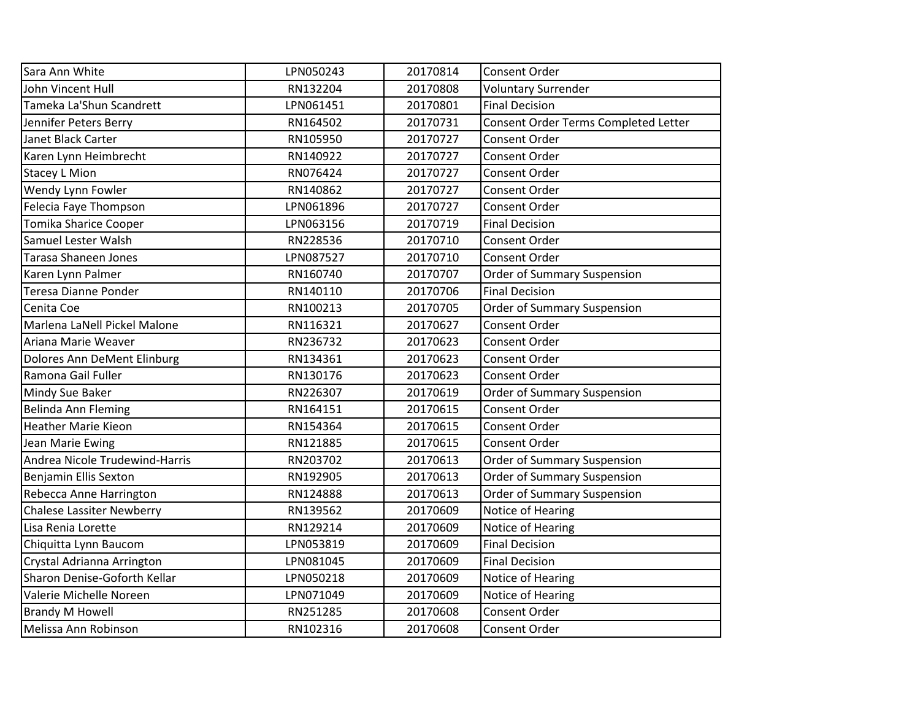| Sara Ann White                   | LPN050243 | 20170814 | Consent Order                        |
|----------------------------------|-----------|----------|--------------------------------------|
| John Vincent Hull                | RN132204  | 20170808 | <b>Voluntary Surrender</b>           |
| Tameka La'Shun Scandrett         | LPN061451 | 20170801 | <b>Final Decision</b>                |
| Jennifer Peters Berry            | RN164502  | 20170731 | Consent Order Terms Completed Letter |
| Janet Black Carter               | RN105950  | 20170727 | Consent Order                        |
| Karen Lynn Heimbrecht            | RN140922  | 20170727 | Consent Order                        |
| <b>Stacey L Mion</b>             | RN076424  | 20170727 | Consent Order                        |
| Wendy Lynn Fowler                | RN140862  | 20170727 | <b>Consent Order</b>                 |
| Felecia Faye Thompson            | LPN061896 | 20170727 | <b>Consent Order</b>                 |
| Tomika Sharice Cooper            | LPN063156 | 20170719 | <b>Final Decision</b>                |
| Samuel Lester Walsh              | RN228536  | 20170710 | Consent Order                        |
| <b>Tarasa Shaneen Jones</b>      | LPN087527 | 20170710 | Consent Order                        |
| Karen Lynn Palmer                | RN160740  | 20170707 | Order of Summary Suspension          |
| Teresa Dianne Ponder             | RN140110  | 20170706 | <b>Final Decision</b>                |
| Cenita Coe                       | RN100213  | 20170705 | Order of Summary Suspension          |
| Marlena LaNell Pickel Malone     | RN116321  | 20170627 | Consent Order                        |
| Ariana Marie Weaver              | RN236732  | 20170623 | Consent Order                        |
| Dolores Ann DeMent Elinburg      | RN134361  | 20170623 | <b>Consent Order</b>                 |
| Ramona Gail Fuller               | RN130176  | 20170623 | Consent Order                        |
| Mindy Sue Baker                  | RN226307  | 20170619 | <b>Order of Summary Suspension</b>   |
| Belinda Ann Fleming              | RN164151  | 20170615 | Consent Order                        |
| <b>Heather Marie Kieon</b>       | RN154364  | 20170615 | Consent Order                        |
| Jean Marie Ewing                 | RN121885  | 20170615 | <b>Consent Order</b>                 |
| Andrea Nicole Trudewind-Harris   | RN203702  | 20170613 | <b>Order of Summary Suspension</b>   |
| Benjamin Ellis Sexton            | RN192905  | 20170613 | <b>Order of Summary Suspension</b>   |
| Rebecca Anne Harrington          | RN124888  | 20170613 | Order of Summary Suspension          |
| <b>Chalese Lassiter Newberry</b> | RN139562  | 20170609 | Notice of Hearing                    |
| Lisa Renia Lorette               | RN129214  | 20170609 | Notice of Hearing                    |
| Chiquitta Lynn Baucom            | LPN053819 | 20170609 | <b>Final Decision</b>                |
| Crystal Adrianna Arrington       | LPN081045 | 20170609 | <b>Final Decision</b>                |
| Sharon Denise-Goforth Kellar     | LPN050218 | 20170609 | Notice of Hearing                    |
| Valerie Michelle Noreen          | LPN071049 | 20170609 | Notice of Hearing                    |
| <b>Brandy M Howell</b>           | RN251285  | 20170608 | Consent Order                        |
| Melissa Ann Robinson             | RN102316  | 20170608 | <b>Consent Order</b>                 |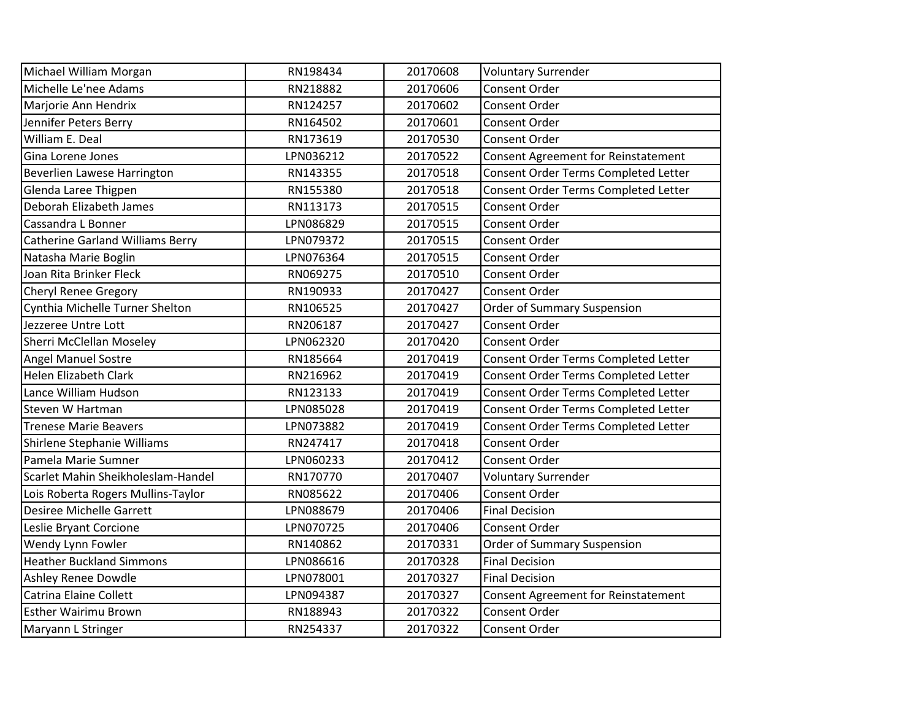| Michael William Morgan                  | RN198434  | 20170608 | <b>Voluntary Surrender</b>                 |
|-----------------------------------------|-----------|----------|--------------------------------------------|
| Michelle Le'nee Adams                   | RN218882  | 20170606 | Consent Order                              |
| Marjorie Ann Hendrix                    | RN124257  | 20170602 | Consent Order                              |
| Jennifer Peters Berry                   | RN164502  | 20170601 | <b>Consent Order</b>                       |
| William E. Deal                         | RN173619  | 20170530 | <b>Consent Order</b>                       |
| Gina Lorene Jones                       | LPN036212 | 20170522 | <b>Consent Agreement for Reinstatement</b> |
| Beverlien Lawese Harrington             | RN143355  | 20170518 | Consent Order Terms Completed Letter       |
| Glenda Laree Thigpen                    | RN155380  | 20170518 | Consent Order Terms Completed Letter       |
| Deborah Elizabeth James                 | RN113173  | 20170515 | <b>Consent Order</b>                       |
| Cassandra L Bonner                      | LPN086829 | 20170515 | <b>Consent Order</b>                       |
| <b>Catherine Garland Williams Berry</b> | LPN079372 | 20170515 | Consent Order                              |
| Natasha Marie Boglin                    | LPN076364 | 20170515 | Consent Order                              |
| Joan Rita Brinker Fleck                 | RN069275  | 20170510 | <b>Consent Order</b>                       |
| <b>Cheryl Renee Gregory</b>             | RN190933  | 20170427 | <b>Consent Order</b>                       |
| Cynthia Michelle Turner Shelton         | RN106525  | 20170427 | <b>Order of Summary Suspension</b>         |
| Jezzeree Untre Lott                     | RN206187  | 20170427 | Consent Order                              |
| Sherri McClellan Moseley                | LPN062320 | 20170420 | Consent Order                              |
| <b>Angel Manuel Sostre</b>              | RN185664  | 20170419 | Consent Order Terms Completed Letter       |
| <b>Helen Elizabeth Clark</b>            | RN216962  | 20170419 | Consent Order Terms Completed Letter       |
| Lance William Hudson                    | RN123133  | 20170419 | Consent Order Terms Completed Letter       |
| Steven W Hartman                        | LPN085028 | 20170419 | Consent Order Terms Completed Letter       |
| <b>Trenese Marie Beavers</b>            | LPN073882 | 20170419 | Consent Order Terms Completed Letter       |
| Shirlene Stephanie Williams             | RN247417  | 20170418 | Consent Order                              |
| Pamela Marie Sumner                     | LPN060233 | 20170412 | Consent Order                              |
| Scarlet Mahin Sheikholeslam-Handel      | RN170770  | 20170407 | <b>Voluntary Surrender</b>                 |
| Lois Roberta Rogers Mullins-Taylor      | RN085622  | 20170406 | <b>Consent Order</b>                       |
| Desiree Michelle Garrett                | LPN088679 | 20170406 | <b>Final Decision</b>                      |
| Leslie Bryant Corcione                  | LPN070725 | 20170406 | Consent Order                              |
| Wendy Lynn Fowler                       | RN140862  | 20170331 | <b>Order of Summary Suspension</b>         |
| <b>Heather Buckland Simmons</b>         | LPN086616 | 20170328 | <b>Final Decision</b>                      |
| Ashley Renee Dowdle                     | LPN078001 | 20170327 | <b>Final Decision</b>                      |
| <b>Catrina Elaine Collett</b>           | LPN094387 | 20170327 | <b>Consent Agreement for Reinstatement</b> |
| <b>Esther Wairimu Brown</b>             | RN188943  | 20170322 | Consent Order                              |
| Maryann L Stringer                      | RN254337  | 20170322 | Consent Order                              |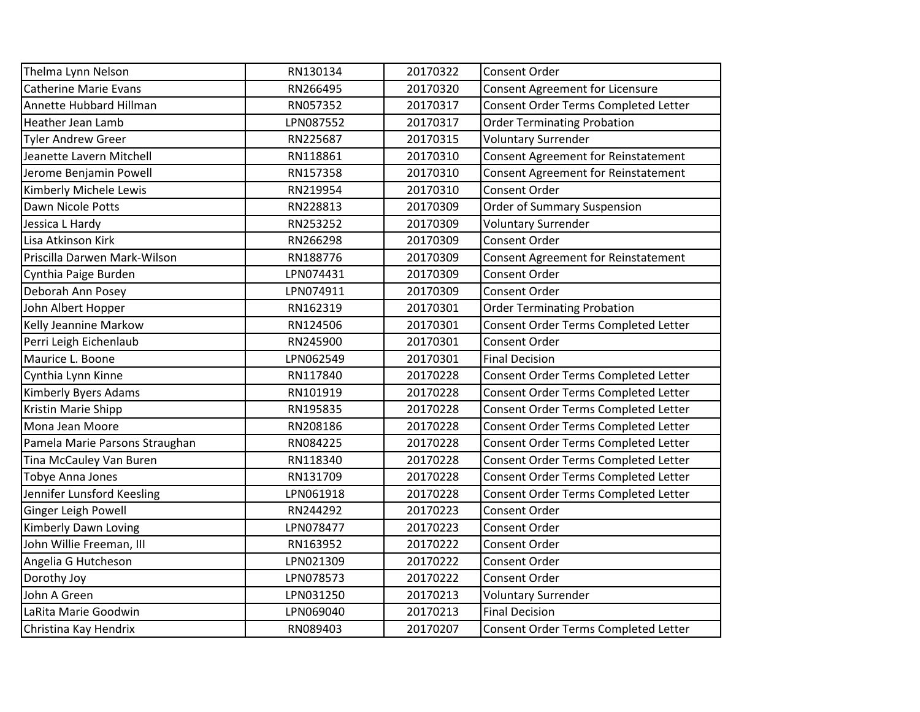| Thelma Lynn Nelson             | RN130134  | 20170322 | Consent Order                              |
|--------------------------------|-----------|----------|--------------------------------------------|
| <b>Catherine Marie Evans</b>   | RN266495  | 20170320 | <b>Consent Agreement for Licensure</b>     |
| Annette Hubbard Hillman        | RN057352  | 20170317 | Consent Order Terms Completed Letter       |
| <b>Heather Jean Lamb</b>       | LPN087552 | 20170317 | <b>Order Terminating Probation</b>         |
| <b>Tyler Andrew Greer</b>      | RN225687  | 20170315 | <b>Voluntary Surrender</b>                 |
| Jeanette Lavern Mitchell       | RN118861  | 20170310 | <b>Consent Agreement for Reinstatement</b> |
| Jerome Benjamin Powell         | RN157358  | 20170310 | <b>Consent Agreement for Reinstatement</b> |
| Kimberly Michele Lewis         | RN219954  | 20170310 | <b>Consent Order</b>                       |
| Dawn Nicole Potts              | RN228813  | 20170309 | <b>Order of Summary Suspension</b>         |
| Jessica L Hardy                | RN253252  | 20170309 | <b>Voluntary Surrender</b>                 |
| Lisa Atkinson Kirk             | RN266298  | 20170309 | Consent Order                              |
| Priscilla Darwen Mark-Wilson   | RN188776  | 20170309 | <b>Consent Agreement for Reinstatement</b> |
| Cynthia Paige Burden           | LPN074431 | 20170309 | Consent Order                              |
| Deborah Ann Posey              | LPN074911 | 20170309 | <b>Consent Order</b>                       |
| John Albert Hopper             | RN162319  | 20170301 | <b>Order Terminating Probation</b>         |
| Kelly Jeannine Markow          | RN124506  | 20170301 | Consent Order Terms Completed Letter       |
| Perri Leigh Eichenlaub         | RN245900  | 20170301 | Consent Order                              |
| Maurice L. Boone               | LPN062549 | 20170301 | <b>Final Decision</b>                      |
| Cynthia Lynn Kinne             | RN117840  | 20170228 | Consent Order Terms Completed Letter       |
| <b>Kimberly Byers Adams</b>    | RN101919  | 20170228 | Consent Order Terms Completed Letter       |
| Kristin Marie Shipp            | RN195835  | 20170228 | Consent Order Terms Completed Letter       |
| Mona Jean Moore                | RN208186  | 20170228 | Consent Order Terms Completed Letter       |
| Pamela Marie Parsons Straughan | RN084225  | 20170228 | Consent Order Terms Completed Letter       |
| Tina McCauley Van Buren        | RN118340  | 20170228 | Consent Order Terms Completed Letter       |
| Tobye Anna Jones               | RN131709  | 20170228 | Consent Order Terms Completed Letter       |
| Jennifer Lunsford Keesling     | LPN061918 | 20170228 | Consent Order Terms Completed Letter       |
| Ginger Leigh Powell            | RN244292  | 20170223 | <b>Consent Order</b>                       |
| Kimberly Dawn Loving           | LPN078477 | 20170223 | Consent Order                              |
| John Willie Freeman, III       | RN163952  | 20170222 | <b>Consent Order</b>                       |
| Angelia G Hutcheson            | LPN021309 | 20170222 | <b>Consent Order</b>                       |
| Dorothy Joy                    | LPN078573 | 20170222 | Consent Order                              |
| John A Green                   | LPN031250 | 20170213 | <b>Voluntary Surrender</b>                 |
| LaRita Marie Goodwin           | LPN069040 | 20170213 | <b>Final Decision</b>                      |
| Christina Kay Hendrix          | RN089403  | 20170207 | Consent Order Terms Completed Letter       |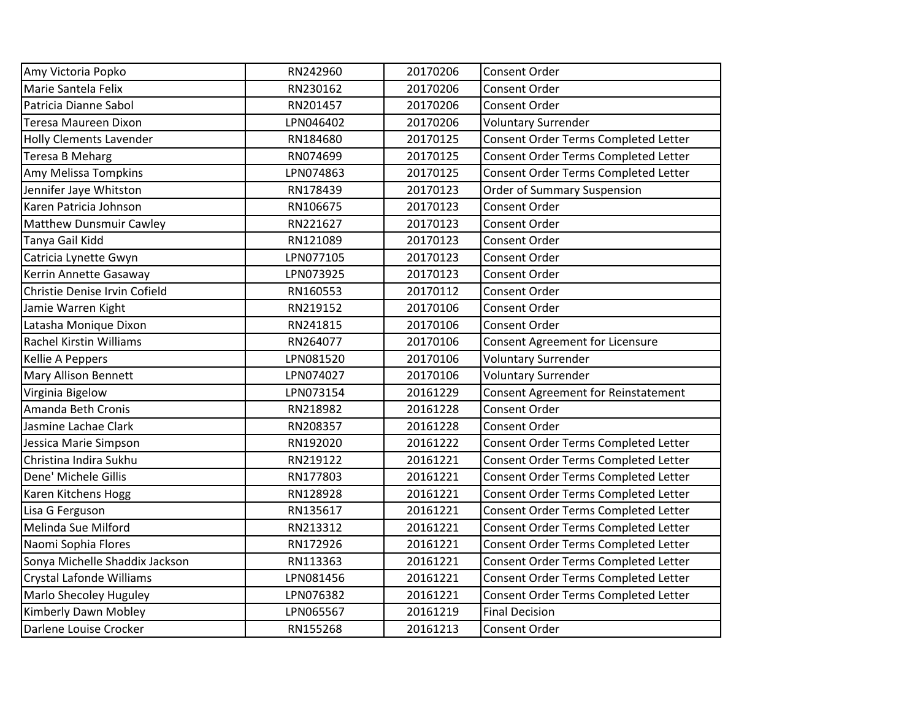| Amy Victoria Popko             | RN242960  | 20170206 | Consent Order                              |
|--------------------------------|-----------|----------|--------------------------------------------|
| Marie Santela Felix            | RN230162  | 20170206 | Consent Order                              |
| Patricia Dianne Sabol          | RN201457  | 20170206 | <b>Consent Order</b>                       |
| <b>Teresa Maureen Dixon</b>    | LPN046402 | 20170206 | <b>Voluntary Surrender</b>                 |
| <b>Holly Clements Lavender</b> | RN184680  | 20170125 | Consent Order Terms Completed Letter       |
| <b>Teresa B Meharg</b>         | RN074699  | 20170125 | Consent Order Terms Completed Letter       |
| Amy Melissa Tompkins           | LPN074863 | 20170125 | Consent Order Terms Completed Letter       |
| Jennifer Jaye Whitston         | RN178439  | 20170123 | Order of Summary Suspension                |
| Karen Patricia Johnson         | RN106675  | 20170123 | Consent Order                              |
| <b>Matthew Dunsmuir Cawley</b> | RN221627  | 20170123 | Consent Order                              |
| Tanya Gail Kidd                | RN121089  | 20170123 | <b>Consent Order</b>                       |
| Catricia Lynette Gwyn          | LPN077105 | 20170123 | Consent Order                              |
| Kerrin Annette Gasaway         | LPN073925 | 20170123 | Consent Order                              |
| Christie Denise Irvin Cofield  | RN160553  | 20170112 | <b>Consent Order</b>                       |
| Jamie Warren Kight             | RN219152  | 20170106 | Consent Order                              |
| Latasha Monique Dixon          | RN241815  | 20170106 | <b>Consent Order</b>                       |
| <b>Rachel Kirstin Williams</b> | RN264077  | 20170106 | Consent Agreement for Licensure            |
| Kellie A Peppers               | LPN081520 | 20170106 | <b>Voluntary Surrender</b>                 |
| <b>Mary Allison Bennett</b>    | LPN074027 | 20170106 | <b>Voluntary Surrender</b>                 |
| Virginia Bigelow               | LPN073154 | 20161229 | <b>Consent Agreement for Reinstatement</b> |
| Amanda Beth Cronis             | RN218982  | 20161228 | Consent Order                              |
| Jasmine Lachae Clark           | RN208357  | 20161228 | Consent Order                              |
| Jessica Marie Simpson          | RN192020  | 20161222 | Consent Order Terms Completed Letter       |
| Christina Indira Sukhu         | RN219122  | 20161221 | Consent Order Terms Completed Letter       |
| Dene' Michele Gillis           | RN177803  | 20161221 | Consent Order Terms Completed Letter       |
| Karen Kitchens Hogg            | RN128928  | 20161221 | Consent Order Terms Completed Letter       |
| Lisa G Ferguson                | RN135617  | 20161221 | Consent Order Terms Completed Letter       |
| Melinda Sue Milford            | RN213312  | 20161221 | Consent Order Terms Completed Letter       |
| Naomi Sophia Flores            | RN172926  | 20161221 | Consent Order Terms Completed Letter       |
| Sonya Michelle Shaddix Jackson | RN113363  | 20161221 | Consent Order Terms Completed Letter       |
| Crystal Lafonde Williams       | LPN081456 | 20161221 | Consent Order Terms Completed Letter       |
| Marlo Shecoley Huguley         | LPN076382 | 20161221 | Consent Order Terms Completed Letter       |
| Kimberly Dawn Mobley           | LPN065567 | 20161219 | <b>Final Decision</b>                      |
| Darlene Louise Crocker         | RN155268  | 20161213 | Consent Order                              |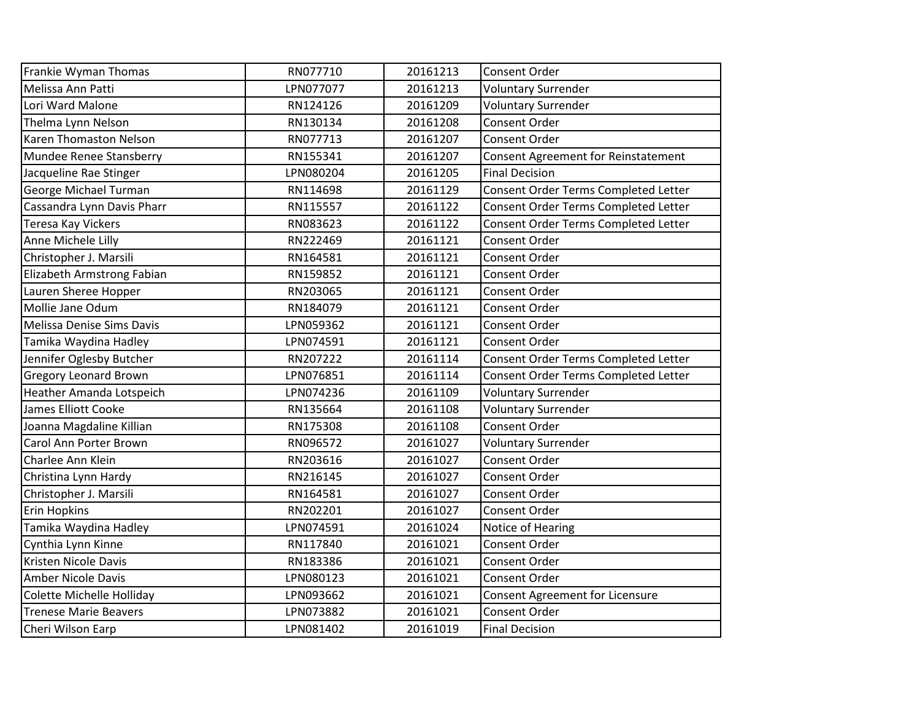| Frankie Wyman Thomas            | RN077710  | 20161213 | Consent Order                        |
|---------------------------------|-----------|----------|--------------------------------------|
| Melissa Ann Patti               | LPN077077 | 20161213 | <b>Voluntary Surrender</b>           |
| Lori Ward Malone                | RN124126  | 20161209 | <b>Voluntary Surrender</b>           |
| Thelma Lynn Nelson              | RN130134  | 20161208 | Consent Order                        |
| Karen Thomaston Nelson          | RN077713  | 20161207 | Consent Order                        |
| Mundee Renee Stansberry         | RN155341  | 20161207 | Consent Agreement for Reinstatement  |
| Jacqueline Rae Stinger          | LPN080204 | 20161205 | <b>Final Decision</b>                |
| George Michael Turman           | RN114698  | 20161129 | Consent Order Terms Completed Letter |
| Cassandra Lynn Davis Pharr      | RN115557  | 20161122 | Consent Order Terms Completed Letter |
| <b>Teresa Kay Vickers</b>       | RN083623  | 20161122 | Consent Order Terms Completed Letter |
| Anne Michele Lilly              | RN222469  | 20161121 | Consent Order                        |
| Christopher J. Marsili          | RN164581  | 20161121 | <b>Consent Order</b>                 |
| Elizabeth Armstrong Fabian      | RN159852  | 20161121 | Consent Order                        |
| Lauren Sheree Hopper            | RN203065  | 20161121 | Consent Order                        |
| Mollie Jane Odum                | RN184079  | 20161121 | Consent Order                        |
| Melissa Denise Sims Davis       | LPN059362 | 20161121 | Consent Order                        |
| Tamika Waydina Hadley           | LPN074591 | 20161121 | Consent Order                        |
| Jennifer Oglesby Butcher        | RN207222  | 20161114 | Consent Order Terms Completed Letter |
| <b>Gregory Leonard Brown</b>    | LPN076851 | 20161114 | Consent Order Terms Completed Letter |
| <b>Heather Amanda Lotspeich</b> | LPN074236 | 20161109 | <b>Voluntary Surrender</b>           |
| James Elliott Cooke             | RN135664  | 20161108 | <b>Voluntary Surrender</b>           |
| Joanna Magdaline Killian        | RN175308  | 20161108 | Consent Order                        |
| Carol Ann Porter Brown          | RN096572  | 20161027 | <b>Voluntary Surrender</b>           |
| Charlee Ann Klein               | RN203616  | 20161027 | Consent Order                        |
| Christina Lynn Hardy            | RN216145  | 20161027 | Consent Order                        |
| Christopher J. Marsili          | RN164581  | 20161027 | Consent Order                        |
| <b>Erin Hopkins</b>             | RN202201  | 20161027 | <b>Consent Order</b>                 |
| Tamika Waydina Hadley           | LPN074591 | 20161024 | Notice of Hearing                    |
| Cynthia Lynn Kinne              | RN117840  | 20161021 | Consent Order                        |
| Kristen Nicole Davis            | RN183386  | 20161021 | Consent Order                        |
| <b>Amber Nicole Davis</b>       | LPN080123 | 20161021 | Consent Order                        |
| Colette Michelle Holliday       | LPN093662 | 20161021 | Consent Agreement for Licensure      |
| <b>Trenese Marie Beavers</b>    | LPN073882 | 20161021 | Consent Order                        |
| Cheri Wilson Earp               | LPN081402 | 20161019 | <b>Final Decision</b>                |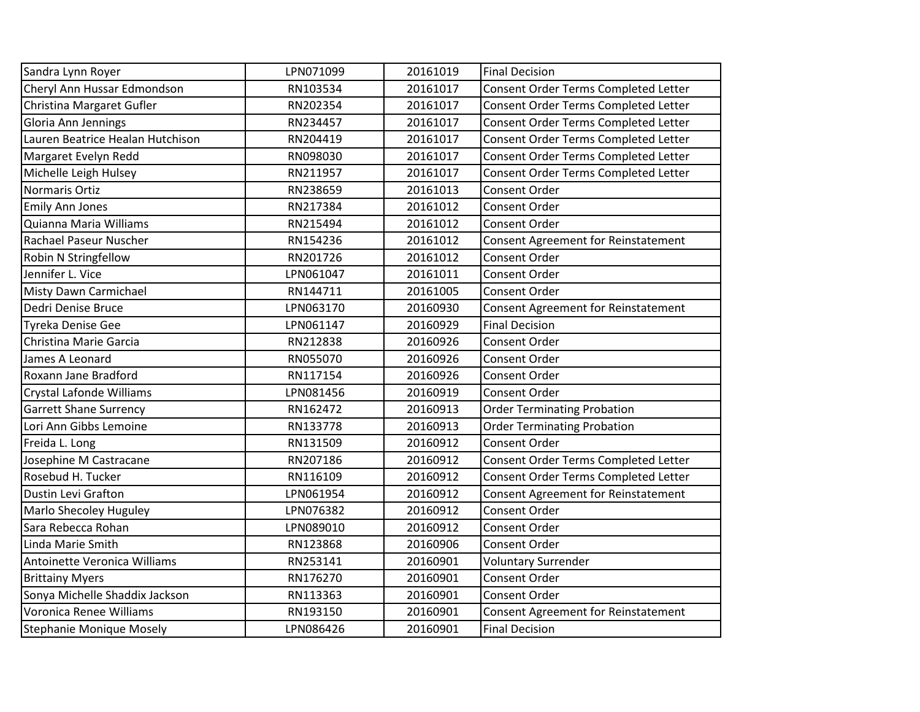| Sandra Lynn Royer                | LPN071099 | 20161019 | <b>Final Decision</b>                      |
|----------------------------------|-----------|----------|--------------------------------------------|
| Cheryl Ann Hussar Edmondson      | RN103534  | 20161017 | Consent Order Terms Completed Letter       |
| Christina Margaret Gufler        | RN202354  | 20161017 | Consent Order Terms Completed Letter       |
| Gloria Ann Jennings              | RN234457  | 20161017 | Consent Order Terms Completed Letter       |
| Lauren Beatrice Healan Hutchison | RN204419  | 20161017 | Consent Order Terms Completed Letter       |
| Margaret Evelyn Redd             | RN098030  | 20161017 | Consent Order Terms Completed Letter       |
| Michelle Leigh Hulsey            | RN211957  | 20161017 | Consent Order Terms Completed Letter       |
| Normaris Ortiz                   | RN238659  | 20161013 | <b>Consent Order</b>                       |
| <b>Emily Ann Jones</b>           | RN217384  | 20161012 | <b>Consent Order</b>                       |
| Quianna Maria Williams           | RN215494  | 20161012 | Consent Order                              |
| Rachael Paseur Nuscher           | RN154236  | 20161012 | <b>Consent Agreement for Reinstatement</b> |
| Robin N Stringfellow             | RN201726  | 20161012 | Consent Order                              |
| Jennifer L. Vice                 | LPN061047 | 20161011 | <b>Consent Order</b>                       |
| <b>Misty Dawn Carmichael</b>     | RN144711  | 20161005 | Consent Order                              |
| Dedri Denise Bruce               | LPN063170 | 20160930 | Consent Agreement for Reinstatement        |
| Tyreka Denise Gee                | LPN061147 | 20160929 | <b>Final Decision</b>                      |
| Christina Marie Garcia           | RN212838  | 20160926 | Consent Order                              |
| James A Leonard                  | RN055070  | 20160926 | <b>Consent Order</b>                       |
| Roxann Jane Bradford             | RN117154  | 20160926 | <b>Consent Order</b>                       |
| Crystal Lafonde Williams         | LPN081456 | 20160919 | <b>Consent Order</b>                       |
| <b>Garrett Shane Surrency</b>    | RN162472  | 20160913 | <b>Order Terminating Probation</b>         |
| Lori Ann Gibbs Lemoine           | RN133778  | 20160913 | <b>Order Terminating Probation</b>         |
| Freida L. Long                   | RN131509  | 20160912 | Consent Order                              |
| Josephine M Castracane           | RN207186  | 20160912 | Consent Order Terms Completed Letter       |
| Rosebud H. Tucker                | RN116109  | 20160912 | Consent Order Terms Completed Letter       |
| <b>Dustin Levi Grafton</b>       | LPN061954 | 20160912 | <b>Consent Agreement for Reinstatement</b> |
| Marlo Shecoley Huguley           | LPN076382 | 20160912 | Consent Order                              |
| Sara Rebecca Rohan               | LPN089010 | 20160912 | Consent Order                              |
| Linda Marie Smith                | RN123868  | 20160906 | <b>Consent Order</b>                       |
| Antoinette Veronica Williams     | RN253141  | 20160901 | <b>Voluntary Surrender</b>                 |
| <b>Brittainy Myers</b>           | RN176270  | 20160901 | Consent Order                              |
| Sonya Michelle Shaddix Jackson   | RN113363  | 20160901 | Consent Order                              |
| Voronica Renee Williams          | RN193150  | 20160901 | <b>Consent Agreement for Reinstatement</b> |
| Stephanie Monique Mosely         | LPN086426 | 20160901 | <b>Final Decision</b>                      |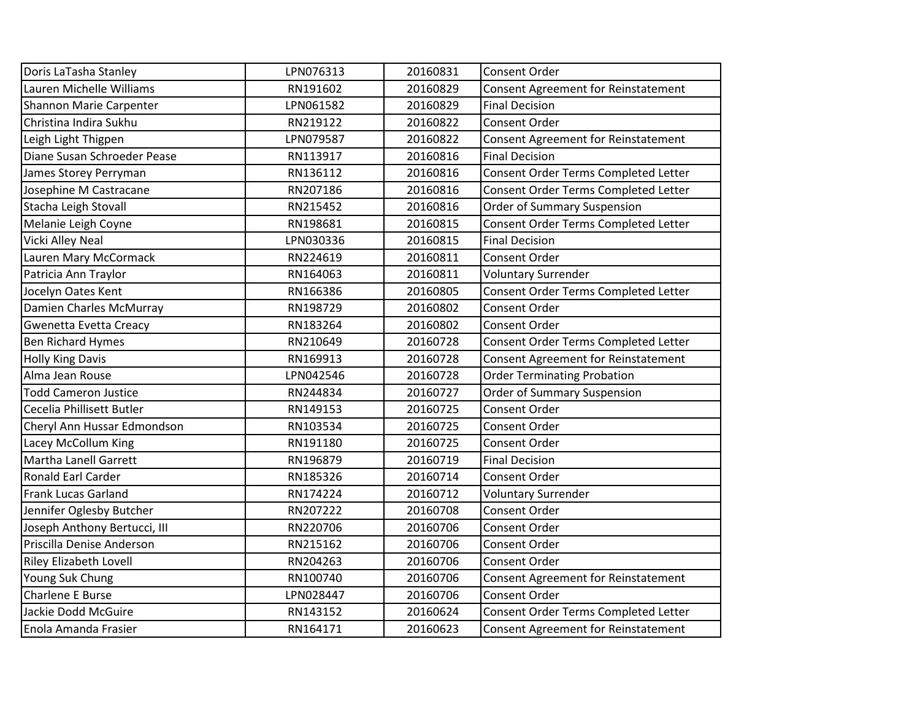| Doris LaTasha Stanley         | LPN076313 | 20160831 | Consent Order                              |
|-------------------------------|-----------|----------|--------------------------------------------|
| Lauren Michelle Williams      | RN191602  | 20160829 | <b>Consent Agreement for Reinstatement</b> |
| Shannon Marie Carpenter       | LPN061582 | 20160829 | <b>Final Decision</b>                      |
| Christina Indira Sukhu        | RN219122  | 20160822 | Consent Order                              |
| Leigh Light Thigpen           | LPN079587 | 20160822 | Consent Agreement for Reinstatement        |
| Diane Susan Schroeder Pease   | RN113917  | 20160816 | <b>Final Decision</b>                      |
| James Storey Perryman         | RN136112  | 20160816 | Consent Order Terms Completed Letter       |
| Josephine M Castracane        | RN207186  | 20160816 | Consent Order Terms Completed Letter       |
| Stacha Leigh Stovall          | RN215452  | 20160816 | Order of Summary Suspension                |
| Melanie Leigh Coyne           | RN198681  | 20160815 | Consent Order Terms Completed Letter       |
| Vicki Alley Neal              | LPN030336 | 20160815 | <b>Final Decision</b>                      |
| Lauren Mary McCormack         | RN224619  | 20160811 | Consent Order                              |
| Patricia Ann Traylor          | RN164063  | 20160811 | <b>Voluntary Surrender</b>                 |
| Jocelyn Oates Kent            | RN166386  | 20160805 | Consent Order Terms Completed Letter       |
| Damien Charles McMurray       | RN198729  | 20160802 | Consent Order                              |
| Gwenetta Evetta Creacy        | RN183264  | 20160802 | Consent Order                              |
| <b>Ben Richard Hymes</b>      | RN210649  | 20160728 | Consent Order Terms Completed Letter       |
| <b>Holly King Davis</b>       | RN169913  | 20160728 | <b>Consent Agreement for Reinstatement</b> |
| Alma Jean Rouse               | LPN042546 | 20160728 | <b>Order Terminating Probation</b>         |
| <b>Todd Cameron Justice</b>   | RN244834  | 20160727 | Order of Summary Suspension                |
| Cecelia Phillisett Butler     | RN149153  | 20160725 | Consent Order                              |
| Cheryl Ann Hussar Edmondson   | RN103534  | 20160725 | Consent Order                              |
| Lacey McCollum King           | RN191180  | 20160725 | Consent Order                              |
| Martha Lanell Garrett         | RN196879  | 20160719 | <b>Final Decision</b>                      |
| Ronald Earl Carder            | RN185326  | 20160714 | Consent Order                              |
| <b>Frank Lucas Garland</b>    | RN174224  | 20160712 | <b>Voluntary Surrender</b>                 |
| Jennifer Oglesby Butcher      | RN207222  | 20160708 | Consent Order                              |
| Joseph Anthony Bertucci, III  | RN220706  | 20160706 | Consent Order                              |
| Priscilla Denise Anderson     | RN215162  | 20160706 | Consent Order                              |
| <b>Riley Elizabeth Lovell</b> | RN204263  | 20160706 | Consent Order                              |
| Young Suk Chung               | RN100740  | 20160706 | <b>Consent Agreement for Reinstatement</b> |
| Charlene E Burse              | LPN028447 | 20160706 | Consent Order                              |
| Jackie Dodd McGuire           | RN143152  | 20160624 | Consent Order Terms Completed Letter       |
| Enola Amanda Frasier          | RN164171  | 20160623 | <b>Consent Agreement for Reinstatement</b> |
|                               |           |          |                                            |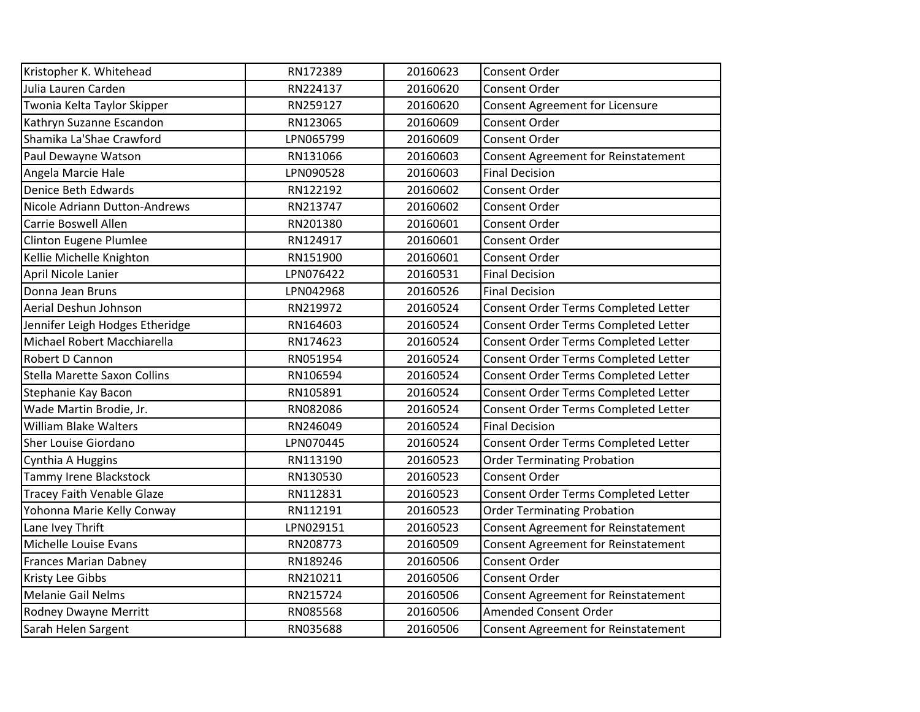| Kristopher K. Whitehead           | RN172389  | 20160623 | <b>Consent Order</b>                       |
|-----------------------------------|-----------|----------|--------------------------------------------|
| Julia Lauren Carden               | RN224137  | 20160620 | Consent Order                              |
| Twonia Kelta Taylor Skipper       | RN259127  | 20160620 | Consent Agreement for Licensure            |
| Kathryn Suzanne Escandon          | RN123065  | 20160609 | Consent Order                              |
| Shamika La'Shae Crawford          | LPN065799 | 20160609 | Consent Order                              |
| Paul Dewayne Watson               | RN131066  | 20160603 | <b>Consent Agreement for Reinstatement</b> |
| Angela Marcie Hale                | LPN090528 | 20160603 | <b>Final Decision</b>                      |
| Denice Beth Edwards               | RN122192  | 20160602 | Consent Order                              |
| Nicole Adriann Dutton-Andrews     | RN213747  | 20160602 | <b>Consent Order</b>                       |
| <b>Carrie Boswell Allen</b>       | RN201380  | 20160601 | <b>Consent Order</b>                       |
| <b>Clinton Eugene Plumlee</b>     | RN124917  | 20160601 | Consent Order                              |
| Kellie Michelle Knighton          | RN151900  | 20160601 | Consent Order                              |
| April Nicole Lanier               | LPN076422 | 20160531 | <b>Final Decision</b>                      |
| Donna Jean Bruns                  | LPN042968 | 20160526 | <b>Final Decision</b>                      |
| Aerial Deshun Johnson             | RN219972  | 20160524 | Consent Order Terms Completed Letter       |
| Jennifer Leigh Hodges Etheridge   | RN164603  | 20160524 | Consent Order Terms Completed Letter       |
| Michael Robert Macchiarella       | RN174623  | 20160524 | Consent Order Terms Completed Letter       |
| Robert D Cannon                   | RN051954  | 20160524 | Consent Order Terms Completed Letter       |
| Stella Marette Saxon Collins      | RN106594  | 20160524 | Consent Order Terms Completed Letter       |
| Stephanie Kay Bacon               | RN105891  | 20160524 | Consent Order Terms Completed Letter       |
| Wade Martin Brodie, Jr.           | RN082086  | 20160524 | Consent Order Terms Completed Letter       |
| <b>William Blake Walters</b>      | RN246049  | 20160524 | <b>Final Decision</b>                      |
| <b>Sher Louise Giordano</b>       | LPN070445 | 20160524 | Consent Order Terms Completed Letter       |
| Cynthia A Huggins                 | RN113190  | 20160523 | <b>Order Terminating Probation</b>         |
| Tammy Irene Blackstock            | RN130530  | 20160523 | <b>Consent Order</b>                       |
| <b>Tracey Faith Venable Glaze</b> | RN112831  | 20160523 | Consent Order Terms Completed Letter       |
| Yohonna Marie Kelly Conway        | RN112191  | 20160523 | <b>Order Terminating Probation</b>         |
| Lane Ivey Thrift                  | LPN029151 | 20160523 | <b>Consent Agreement for Reinstatement</b> |
| Michelle Louise Evans             | RN208773  | 20160509 | Consent Agreement for Reinstatement        |
| <b>Frances Marian Dabney</b>      | RN189246  | 20160506 | <b>Consent Order</b>                       |
| Kristy Lee Gibbs                  | RN210211  | 20160506 | Consent Order                              |
| <b>Melanie Gail Nelms</b>         | RN215724  | 20160506 | Consent Agreement for Reinstatement        |
| Rodney Dwayne Merritt             | RN085568  | 20160506 | <b>Amended Consent Order</b>               |
| Sarah Helen Sargent               | RN035688  | 20160506 | Consent Agreement for Reinstatement        |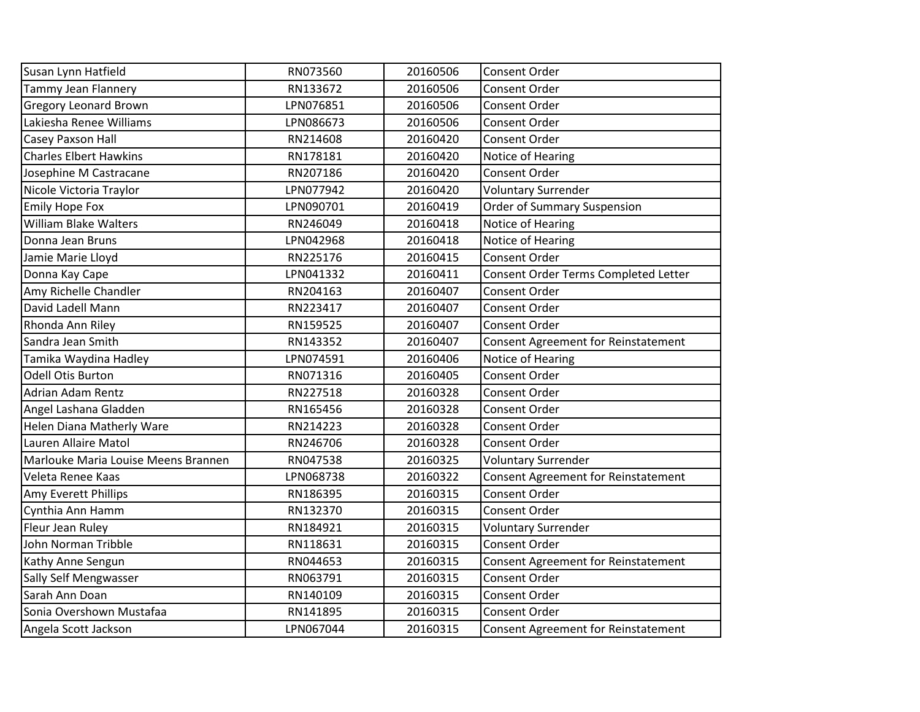| Susan Lynn Hatfield                 | RN073560  | 20160506 | <b>Consent Order</b>                 |
|-------------------------------------|-----------|----------|--------------------------------------|
| <b>Tammy Jean Flannery</b>          | RN133672  | 20160506 | <b>Consent Order</b>                 |
| <b>Gregory Leonard Brown</b>        | LPN076851 | 20160506 | <b>Consent Order</b>                 |
| Lakiesha Renee Williams             | LPN086673 | 20160506 | <b>Consent Order</b>                 |
| Casey Paxson Hall                   | RN214608  | 20160420 | <b>Consent Order</b>                 |
| <b>Charles Elbert Hawkins</b>       | RN178181  | 20160420 | Notice of Hearing                    |
| Josephine M Castracane              | RN207186  | 20160420 | <b>Consent Order</b>                 |
| Nicole Victoria Traylor             | LPN077942 | 20160420 | <b>Voluntary Surrender</b>           |
| <b>Emily Hope Fox</b>               | LPN090701 | 20160419 | Order of Summary Suspension          |
| <b>William Blake Walters</b>        | RN246049  | 20160418 | Notice of Hearing                    |
| Donna Jean Bruns                    | LPN042968 | 20160418 | Notice of Hearing                    |
| Jamie Marie Lloyd                   | RN225176  | 20160415 | Consent Order                        |
| Donna Kay Cape                      | LPN041332 | 20160411 | Consent Order Terms Completed Letter |
| Amy Richelle Chandler               | RN204163  | 20160407 | <b>Consent Order</b>                 |
| David Ladell Mann                   | RN223417  | 20160407 | <b>Consent Order</b>                 |
| Rhonda Ann Riley                    | RN159525  | 20160407 | Consent Order                        |
| Sandra Jean Smith                   | RN143352  | 20160407 | Consent Agreement for Reinstatement  |
| Tamika Waydina Hadley               | LPN074591 | 20160406 | Notice of Hearing                    |
| Odell Otis Burton                   | RN071316  | 20160405 | <b>Consent Order</b>                 |
| <b>Adrian Adam Rentz</b>            | RN227518  | 20160328 | <b>Consent Order</b>                 |
| Angel Lashana Gladden               | RN165456  | 20160328 | Consent Order                        |
| Helen Diana Matherly Ware           | RN214223  | 20160328 | <b>Consent Order</b>                 |
| Lauren Allaire Matol                | RN246706  | 20160328 | <b>Consent Order</b>                 |
| Marlouke Maria Louise Meens Brannen | RN047538  | 20160325 | <b>Voluntary Surrender</b>           |
| Veleta Renee Kaas                   | LPN068738 | 20160322 | Consent Agreement for Reinstatement  |
| Amy Everett Phillips                | RN186395  | 20160315 | <b>Consent Order</b>                 |
| Cynthia Ann Hamm                    | RN132370  | 20160315 | Consent Order                        |
| Fleur Jean Ruley                    | RN184921  | 20160315 | <b>Voluntary Surrender</b>           |
| John Norman Tribble                 | RN118631  | 20160315 | <b>Consent Order</b>                 |
| Kathy Anne Sengun                   | RN044653  | 20160315 | Consent Agreement for Reinstatement  |
| <b>Sally Self Mengwasser</b>        | RN063791  | 20160315 | Consent Order                        |
| Sarah Ann Doan                      | RN140109  | 20160315 | Consent Order                        |
| Sonia Overshown Mustafaa            | RN141895  | 20160315 | Consent Order                        |
| Angela Scott Jackson                | LPN067044 | 20160315 | Consent Agreement for Reinstatement  |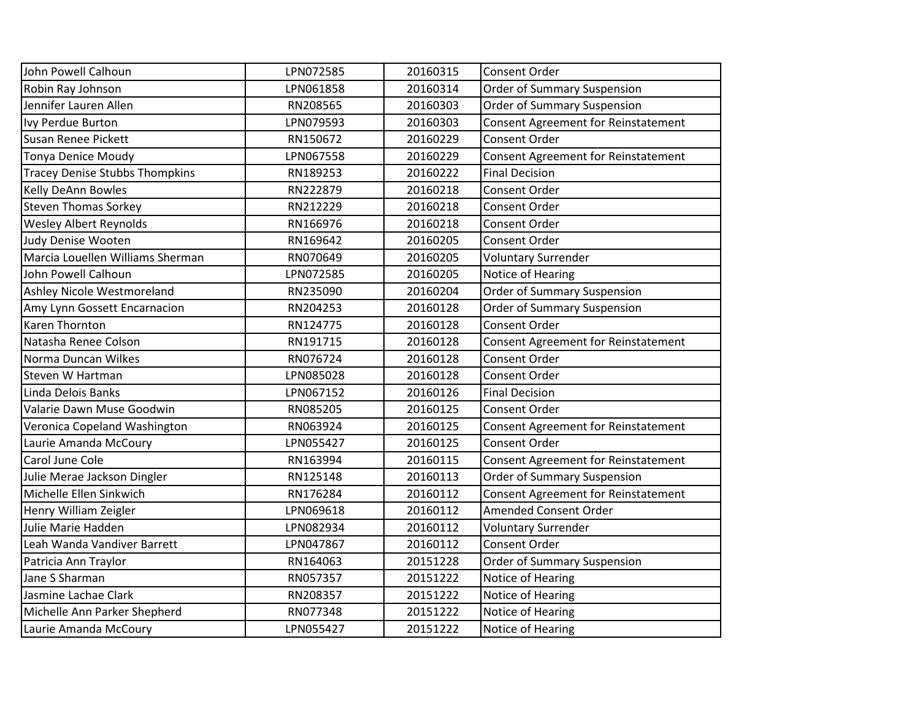| John Powell Calhoun                   | LPN072585 | 20160315 | <b>Consent Order</b>                       |
|---------------------------------------|-----------|----------|--------------------------------------------|
| Robin Ray Johnson                     | LPN061858 | 20160314 | <b>Order of Summary Suspension</b>         |
| Jennifer Lauren Allen                 | RN208565  | 20160303 | Order of Summary Suspension                |
| Ivy Perdue Burton                     | LPN079593 | 20160303 | Consent Agreement for Reinstatement        |
| Susan Renee Pickett                   | RN150672  | 20160229 | Consent Order                              |
| <b>Tonya Denice Moudy</b>             | LPN067558 | 20160229 | Consent Agreement for Reinstatement        |
| <b>Tracey Denise Stubbs Thompkins</b> | RN189253  | 20160222 | <b>Final Decision</b>                      |
| Kelly DeAnn Bowles                    | RN222879  | 20160218 | Consent Order                              |
| <b>Steven Thomas Sorkey</b>           | RN212229  | 20160218 | <b>Consent Order</b>                       |
| Wesley Albert Reynolds                | RN166976  | 20160218 | <b>Consent Order</b>                       |
| Judy Denise Wooten                    | RN169642  | 20160205 | Consent Order                              |
| Marcia Louellen Williams Sherman      | RN070649  | 20160205 | <b>Voluntary Surrender</b>                 |
| John Powell Calhoun                   | LPN072585 | 20160205 | Notice of Hearing                          |
| Ashley Nicole Westmoreland            | RN235090  | 20160204 | Order of Summary Suspension                |
| Amy Lynn Gossett Encarnacion          | RN204253  | 20160128 | Order of Summary Suspension                |
| <b>Karen Thornton</b>                 | RN124775  | 20160128 | Consent Order                              |
| Natasha Renee Colson                  | RN191715  | 20160128 | <b>Consent Agreement for Reinstatement</b> |
| Norma Duncan Wilkes                   | RN076724  | 20160128 | <b>Consent Order</b>                       |
| Steven W Hartman                      | LPN085028 | 20160128 | <b>Consent Order</b>                       |
| Linda Delois Banks                    | LPN067152 | 20160126 | <b>Final Decision</b>                      |
| Valarie Dawn Muse Goodwin             | RN085205  | 20160125 | Consent Order                              |
| Veronica Copeland Washington          | RN063924  | 20160125 | Consent Agreement for Reinstatement        |
| Laurie Amanda McCoury                 | LPN055427 | 20160125 | Consent Order                              |
| Carol June Cole                       | RN163994  | 20160115 | Consent Agreement for Reinstatement        |
| Julie Merae Jackson Dingler           | RN125148  | 20160113 | Order of Summary Suspension                |
| Michelle Ellen Sinkwich               | RN176284  | 20160112 | <b>Consent Agreement for Reinstatement</b> |
| Henry William Zeigler                 | LPN069618 | 20160112 | <b>Amended Consent Order</b>               |
| Julie Marie Hadden                    | LPN082934 | 20160112 | <b>Voluntary Surrender</b>                 |
| Leah Wanda Vandiver Barrett           | LPN047867 | 20160112 | <b>Consent Order</b>                       |
| Patricia Ann Traylor                  | RN164063  | 20151228 | <b>Order of Summary Suspension</b>         |
| Jane S Sharman                        | RN057357  | 20151222 | Notice of Hearing                          |
| Jasmine Lachae Clark                  | RN208357  | 20151222 | Notice of Hearing                          |
| Michelle Ann Parker Shepherd          | RN077348  | 20151222 | Notice of Hearing                          |
| Laurie Amanda McCoury                 | LPN055427 | 20151222 | Notice of Hearing                          |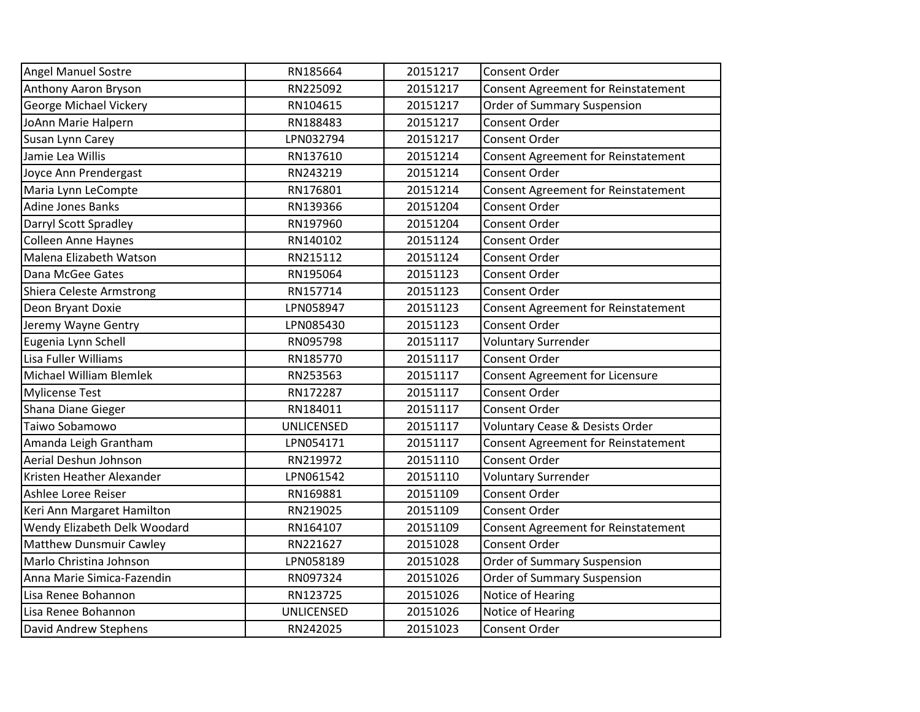| <b>Angel Manuel Sostre</b>     | RN185664          | 20151217 | Consent Order                              |
|--------------------------------|-------------------|----------|--------------------------------------------|
| Anthony Aaron Bryson           | RN225092          | 20151217 | <b>Consent Agreement for Reinstatement</b> |
| George Michael Vickery         | RN104615          | 20151217 | <b>Order of Summary Suspension</b>         |
| JoAnn Marie Halpern            | RN188483          | 20151217 | Consent Order                              |
| Susan Lynn Carey               | LPN032794         | 20151217 | Consent Order                              |
| Jamie Lea Willis               | RN137610          | 20151214 | <b>Consent Agreement for Reinstatement</b> |
| Joyce Ann Prendergast          | RN243219          | 20151214 | Consent Order                              |
| Maria Lynn LeCompte            | RN176801          | 20151214 | <b>Consent Agreement for Reinstatement</b> |
| <b>Adine Jones Banks</b>       | RN139366          | 20151204 | Consent Order                              |
| Darryl Scott Spradley          | RN197960          | 20151204 | Consent Order                              |
| <b>Colleen Anne Haynes</b>     | RN140102          | 20151124 | Consent Order                              |
| Malena Elizabeth Watson        | RN215112          | 20151124 | Consent Order                              |
| Dana McGee Gates               | RN195064          | 20151123 | Consent Order                              |
| Shiera Celeste Armstrong       | RN157714          | 20151123 | Consent Order                              |
| Deon Bryant Doxie              | LPN058947         | 20151123 | <b>Consent Agreement for Reinstatement</b> |
| Jeremy Wayne Gentry            | LPN085430         | 20151123 | <b>Consent Order</b>                       |
| Eugenia Lynn Schell            | RN095798          | 20151117 | <b>Voluntary Surrender</b>                 |
| Lisa Fuller Williams           | RN185770          | 20151117 | <b>Consent Order</b>                       |
| Michael William Blemlek        | RN253563          | 20151117 | <b>Consent Agreement for Licensure</b>     |
| <b>Mylicense Test</b>          | RN172287          | 20151117 | Consent Order                              |
| Shana Diane Gieger             | RN184011          | 20151117 | Consent Order                              |
| Taiwo Sobamowo                 | <b>UNLICENSED</b> | 20151117 | <b>Voluntary Cease &amp; Desists Order</b> |
| Amanda Leigh Grantham          | LPN054171         | 20151117 | <b>Consent Agreement for Reinstatement</b> |
| Aerial Deshun Johnson          | RN219972          | 20151110 | Consent Order                              |
| Kristen Heather Alexander      | LPN061542         | 20151110 | <b>Voluntary Surrender</b>                 |
| Ashlee Loree Reiser            | RN169881          | 20151109 | Consent Order                              |
| Keri Ann Margaret Hamilton     | RN219025          | 20151109 | Consent Order                              |
| Wendy Elizabeth Delk Woodard   | RN164107          | 20151109 | <b>Consent Agreement for Reinstatement</b> |
| <b>Matthew Dunsmuir Cawley</b> | RN221627          | 20151028 | <b>Consent Order</b>                       |
| Marlo Christina Johnson        | LPN058189         | 20151028 | Order of Summary Suspension                |
| Anna Marie Simica-Fazendin     | RN097324          | 20151026 | Order of Summary Suspension                |
| Lisa Renee Bohannon            | RN123725          | 20151026 | Notice of Hearing                          |
| Lisa Renee Bohannon            | <b>UNLICENSED</b> | 20151026 | Notice of Hearing                          |
| David Andrew Stephens          | RN242025          | 20151023 | Consent Order                              |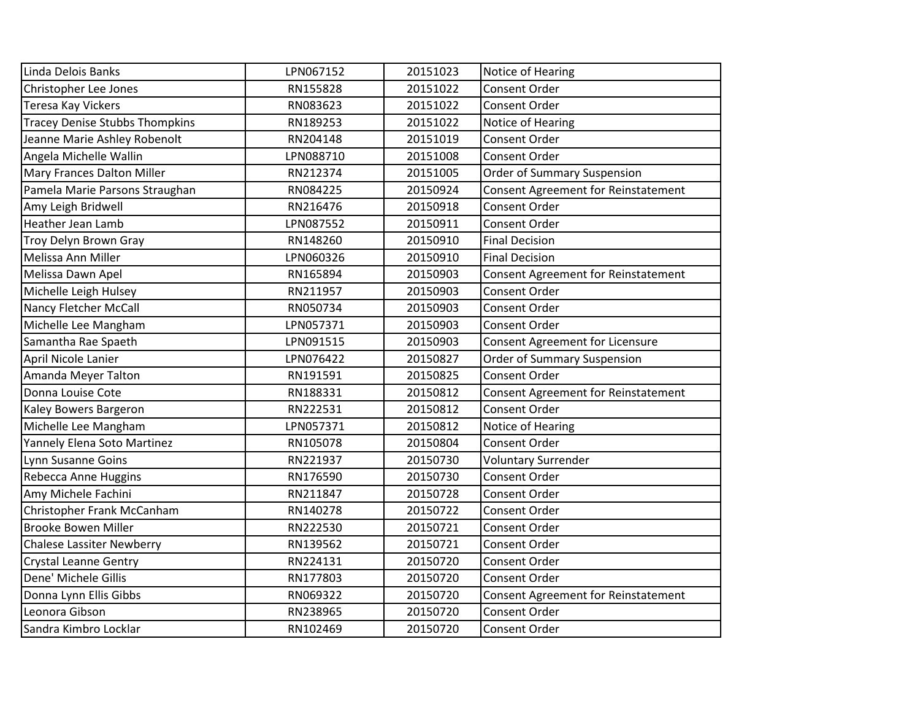| Linda Delois Banks                    | LPN067152 | 20151023 | Notice of Hearing                   |
|---------------------------------------|-----------|----------|-------------------------------------|
| Christopher Lee Jones                 | RN155828  | 20151022 | Consent Order                       |
| <b>Teresa Kay Vickers</b>             | RN083623  | 20151022 | <b>Consent Order</b>                |
| <b>Tracey Denise Stubbs Thompkins</b> | RN189253  | 20151022 | Notice of Hearing                   |
| Jeanne Marie Ashley Robenolt          | RN204148  | 20151019 | Consent Order                       |
| Angela Michelle Wallin                | LPN088710 | 20151008 | Consent Order                       |
| Mary Frances Dalton Miller            | RN212374  | 20151005 | Order of Summary Suspension         |
| Pamela Marie Parsons Straughan        | RN084225  | 20150924 | Consent Agreement for Reinstatement |
| Amy Leigh Bridwell                    | RN216476  | 20150918 | <b>Consent Order</b>                |
| <b>Heather Jean Lamb</b>              | LPN087552 | 20150911 | <b>Consent Order</b>                |
| Troy Delyn Brown Gray                 | RN148260  | 20150910 | <b>Final Decision</b>               |
| Melissa Ann Miller                    | LPN060326 | 20150910 | <b>Final Decision</b>               |
| Melissa Dawn Apel                     | RN165894  | 20150903 | Consent Agreement for Reinstatement |
| Michelle Leigh Hulsey                 | RN211957  | 20150903 | <b>Consent Order</b>                |
| Nancy Fletcher McCall                 | RN050734  | 20150903 | <b>Consent Order</b>                |
| Michelle Lee Mangham                  | LPN057371 | 20150903 | Consent Order                       |
| Samantha Rae Spaeth                   | LPN091515 | 20150903 | Consent Agreement for Licensure     |
| April Nicole Lanier                   | LPN076422 | 20150827 | <b>Order of Summary Suspension</b>  |
| Amanda Meyer Talton                   | RN191591  | 20150825 | Consent Order                       |
| Donna Louise Cote                     | RN188331  | 20150812 | Consent Agreement for Reinstatement |
| Kaley Bowers Bargeron                 | RN222531  | 20150812 | Consent Order                       |
| Michelle Lee Mangham                  | LPN057371 | 20150812 | Notice of Hearing                   |
| Yannely Elena Soto Martinez           | RN105078  | 20150804 | <b>Consent Order</b>                |
| Lynn Susanne Goins                    | RN221937  | 20150730 | <b>Voluntary Surrender</b>          |
| Rebecca Anne Huggins                  | RN176590  | 20150730 | <b>Consent Order</b>                |
| Amy Michele Fachini                   | RN211847  | 20150728 | <b>Consent Order</b>                |
| Christopher Frank McCanham            | RN140278  | 20150722 | Consent Order                       |
| <b>Brooke Bowen Miller</b>            | RN222530  | 20150721 | <b>Consent Order</b>                |
| <b>Chalese Lassiter Newberry</b>      | RN139562  | 20150721 | <b>Consent Order</b>                |
| <b>Crystal Leanne Gentry</b>          | RN224131  | 20150720 | <b>Consent Order</b>                |
| Dene' Michele Gillis                  | RN177803  | 20150720 | Consent Order                       |
| Donna Lynn Ellis Gibbs                | RN069322  | 20150720 | Consent Agreement for Reinstatement |
| Leonora Gibson                        | RN238965  | 20150720 | Consent Order                       |
| Sandra Kimbro Locklar                 | RN102469  | 20150720 | <b>Consent Order</b>                |
|                                       |           |          |                                     |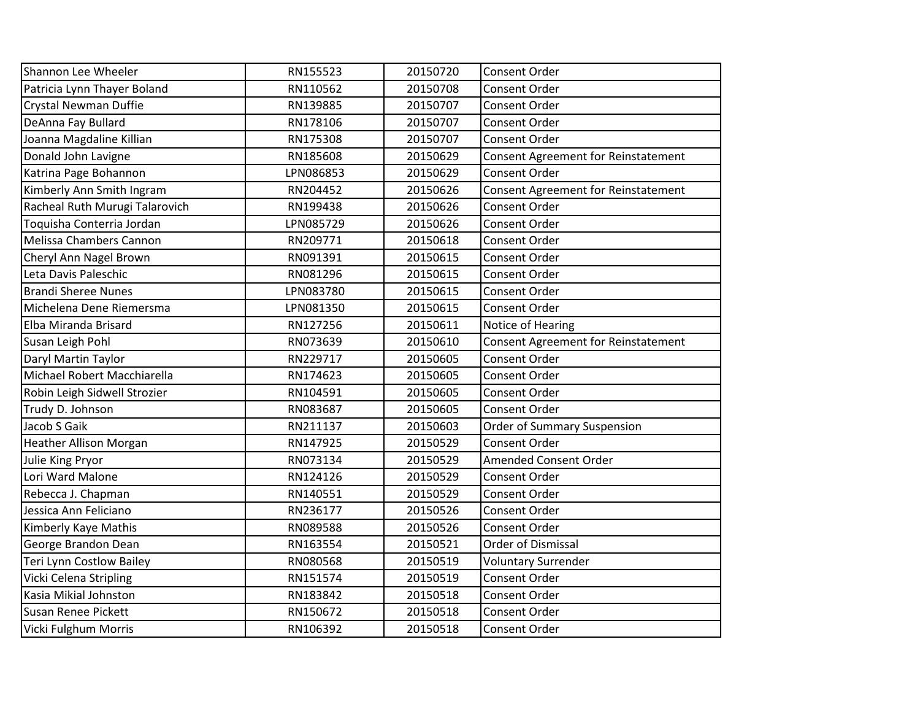| RN155523  | 20150720 | <b>Consent Order</b>                       |
|-----------|----------|--------------------------------------------|
| RN110562  | 20150708 | Consent Order                              |
| RN139885  | 20150707 | <b>Consent Order</b>                       |
| RN178106  | 20150707 | <b>Consent Order</b>                       |
| RN175308  | 20150707 | Consent Order                              |
| RN185608  | 20150629 | <b>Consent Agreement for Reinstatement</b> |
| LPN086853 | 20150629 | <b>Consent Order</b>                       |
| RN204452  | 20150626 | <b>Consent Agreement for Reinstatement</b> |
| RN199438  | 20150626 | Consent Order                              |
| LPN085729 | 20150626 | <b>Consent Order</b>                       |
| RN209771  | 20150618 | Consent Order                              |
| RN091391  | 20150615 | Consent Order                              |
| RN081296  | 20150615 | Consent Order                              |
| LPN083780 | 20150615 | <b>Consent Order</b>                       |
| LPN081350 | 20150615 | <b>Consent Order</b>                       |
| RN127256  | 20150611 | Notice of Hearing                          |
| RN073639  | 20150610 | <b>Consent Agreement for Reinstatement</b> |
| RN229717  | 20150605 | Consent Order                              |
| RN174623  | 20150605 | <b>Consent Order</b>                       |
| RN104591  | 20150605 | <b>Consent Order</b>                       |
| RN083687  | 20150605 | Consent Order                              |
| RN211137  | 20150603 | Order of Summary Suspension                |
| RN147925  | 20150529 | <b>Consent Order</b>                       |
| RN073134  | 20150529 | <b>Amended Consent Order</b>               |
| RN124126  | 20150529 | <b>Consent Order</b>                       |
| RN140551  | 20150529 | <b>Consent Order</b>                       |
| RN236177  | 20150526 | Consent Order                              |
| RN089588  | 20150526 | Consent Order                              |
| RN163554  | 20150521 | <b>Order of Dismissal</b>                  |
| RN080568  | 20150519 | <b>Voluntary Surrender</b>                 |
| RN151574  | 20150519 | Consent Order                              |
| RN183842  | 20150518 | Consent Order                              |
| RN150672  | 20150518 | Consent Order                              |
| RN106392  | 20150518 | Consent Order                              |
|           |          |                                            |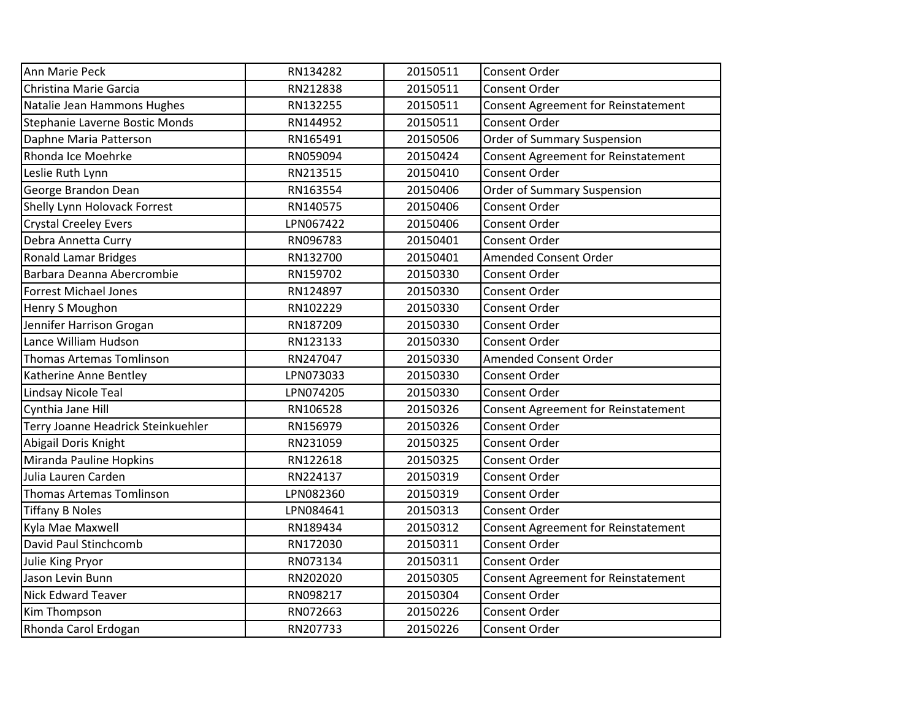| RN134282  | 20150511 | Consent Order                              |
|-----------|----------|--------------------------------------------|
| RN212838  | 20150511 | Consent Order                              |
| RN132255  | 20150511 | <b>Consent Agreement for Reinstatement</b> |
| RN144952  | 20150511 | Consent Order                              |
| RN165491  | 20150506 | Order of Summary Suspension                |
| RN059094  | 20150424 | Consent Agreement for Reinstatement        |
| RN213515  | 20150410 | Consent Order                              |
| RN163554  | 20150406 | Order of Summary Suspension                |
| RN140575  | 20150406 | Consent Order                              |
| LPN067422 | 20150406 | Consent Order                              |
| RN096783  | 20150401 | Consent Order                              |
| RN132700  | 20150401 | Amended Consent Order                      |
| RN159702  | 20150330 | Consent Order                              |
| RN124897  | 20150330 | Consent Order                              |
| RN102229  | 20150330 | Consent Order                              |
| RN187209  | 20150330 | Consent Order                              |
| RN123133  | 20150330 | Consent Order                              |
| RN247047  | 20150330 | Amended Consent Order                      |
| LPN073033 | 20150330 | Consent Order                              |
| LPN074205 | 20150330 | Consent Order                              |
| RN106528  | 20150326 | Consent Agreement for Reinstatement        |
| RN156979  | 20150326 | Consent Order                              |
| RN231059  | 20150325 | Consent Order                              |
| RN122618  | 20150325 | Consent Order                              |
| RN224137  | 20150319 | Consent Order                              |
| LPN082360 | 20150319 | Consent Order                              |
| LPN084641 | 20150313 | Consent Order                              |
| RN189434  | 20150312 | <b>Consent Agreement for Reinstatement</b> |
| RN172030  | 20150311 | Consent Order                              |
| RN073134  | 20150311 | Consent Order                              |
| RN202020  | 20150305 | <b>Consent Agreement for Reinstatement</b> |
| RN098217  | 20150304 | Consent Order                              |
| RN072663  | 20150226 | Consent Order                              |
| RN207733  | 20150226 | Consent Order                              |
|           |          |                                            |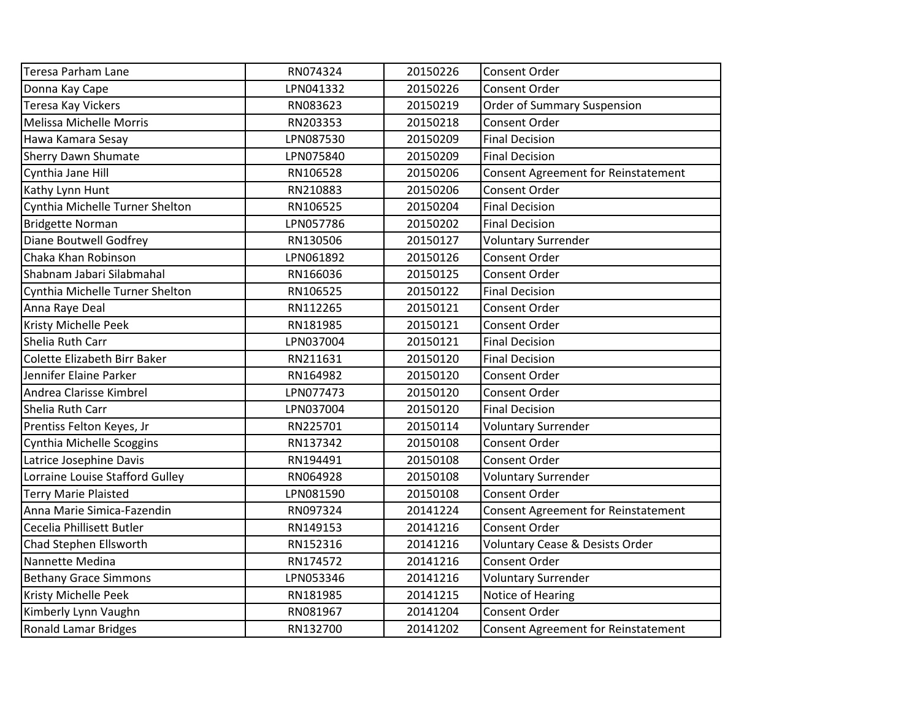| <b>Teresa Parham Lane</b>       | RN074324  | 20150226 | Consent Order                              |
|---------------------------------|-----------|----------|--------------------------------------------|
| Donna Kay Cape                  | LPN041332 | 20150226 | Consent Order                              |
| <b>Teresa Kay Vickers</b>       | RN083623  | 20150219 | Order of Summary Suspension                |
| Melissa Michelle Morris         | RN203353  | 20150218 | Consent Order                              |
| Hawa Kamara Sesay               | LPN087530 | 20150209 | <b>Final Decision</b>                      |
| <b>Sherry Dawn Shumate</b>      | LPN075840 | 20150209 | <b>Final Decision</b>                      |
| Cynthia Jane Hill               | RN106528  | 20150206 | Consent Agreement for Reinstatement        |
| Kathy Lynn Hunt                 | RN210883  | 20150206 | Consent Order                              |
| Cynthia Michelle Turner Shelton | RN106525  | 20150204 | <b>Final Decision</b>                      |
| <b>Bridgette Norman</b>         | LPN057786 | 20150202 | <b>Final Decision</b>                      |
| <b>Diane Boutwell Godfrey</b>   | RN130506  | 20150127 | <b>Voluntary Surrender</b>                 |
| Chaka Khan Robinson             | LPN061892 | 20150126 | Consent Order                              |
| Shabnam Jabari Silabmahal       | RN166036  | 20150125 | Consent Order                              |
| Cynthia Michelle Turner Shelton | RN106525  | 20150122 | <b>Final Decision</b>                      |
| Anna Raye Deal                  | RN112265  | 20150121 | Consent Order                              |
| Kristy Michelle Peek            | RN181985  | 20150121 | Consent Order                              |
| Shelia Ruth Carr                | LPN037004 | 20150121 | <b>Final Decision</b>                      |
| Colette Elizabeth Birr Baker    | RN211631  | 20150120 | <b>Final Decision</b>                      |
| Jennifer Elaine Parker          | RN164982  | 20150120 | <b>Consent Order</b>                       |
| Andrea Clarisse Kimbrel         | LPN077473 | 20150120 | <b>Consent Order</b>                       |
| Shelia Ruth Carr                | LPN037004 | 20150120 | <b>Final Decision</b>                      |
| Prentiss Felton Keyes, Jr       | RN225701  | 20150114 | <b>Voluntary Surrender</b>                 |
| Cynthia Michelle Scoggins       | RN137342  | 20150108 | Consent Order                              |
| Latrice Josephine Davis         | RN194491  | 20150108 | Consent Order                              |
| Lorraine Louise Stafford Gulley | RN064928  | 20150108 | <b>Voluntary Surrender</b>                 |
| <b>Terry Marie Plaisted</b>     | LPN081590 | 20150108 | Consent Order                              |
| Anna Marie Simica-Fazendin      | RN097324  | 20141224 | Consent Agreement for Reinstatement        |
| Cecelia Phillisett Butler       | RN149153  | 20141216 | Consent Order                              |
| Chad Stephen Ellsworth          | RN152316  | 20141216 | <b>Voluntary Cease &amp; Desists Order</b> |
| Nannette Medina                 | RN174572  | 20141216 | <b>Consent Order</b>                       |
| <b>Bethany Grace Simmons</b>    | LPN053346 | 20141216 | <b>Voluntary Surrender</b>                 |
| Kristy Michelle Peek            | RN181985  | 20141215 | Notice of Hearing                          |
| Kimberly Lynn Vaughn            | RN081967  | 20141204 | Consent Order                              |
| <b>Ronald Lamar Bridges</b>     | RN132700  | 20141202 | <b>Consent Agreement for Reinstatement</b> |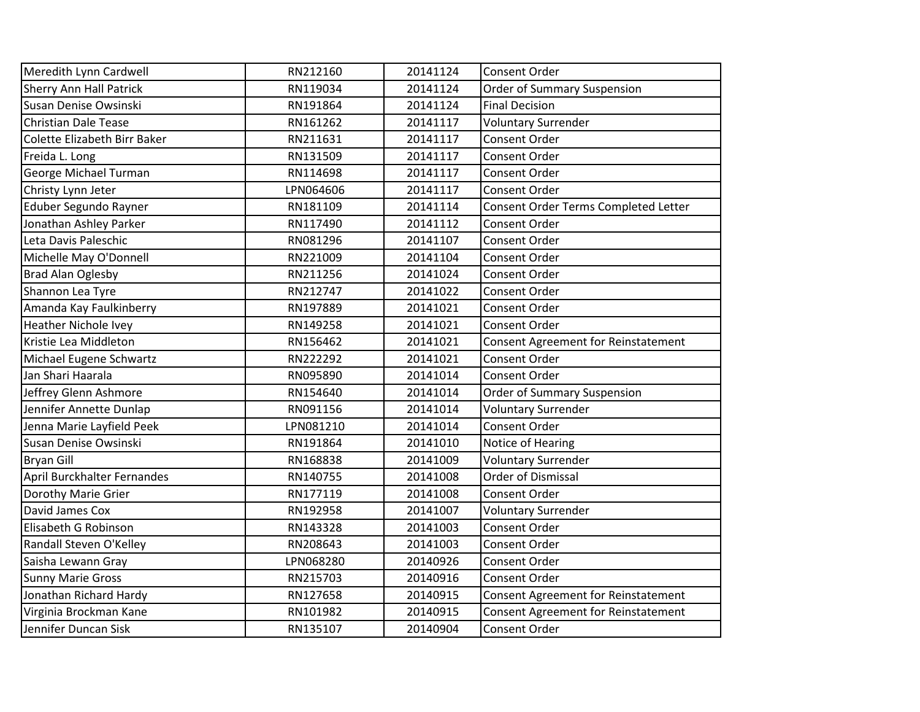| Meredith Lynn Cardwell         | RN212160  | 20141124 | Consent Order                              |
|--------------------------------|-----------|----------|--------------------------------------------|
| <b>Sherry Ann Hall Patrick</b> | RN119034  | 20141124 | Order of Summary Suspension                |
| Susan Denise Owsinski          | RN191864  | 20141124 | <b>Final Decision</b>                      |
| <b>Christian Dale Tease</b>    | RN161262  | 20141117 | <b>Voluntary Surrender</b>                 |
| Colette Elizabeth Birr Baker   | RN211631  | 20141117 | Consent Order                              |
| Freida L. Long                 | RN131509  | 20141117 | Consent Order                              |
| George Michael Turman          | RN114698  | 20141117 | Consent Order                              |
| Christy Lynn Jeter             | LPN064606 | 20141117 | Consent Order                              |
| Eduber Segundo Rayner          | RN181109  | 20141114 | Consent Order Terms Completed Letter       |
| Jonathan Ashley Parker         | RN117490  | 20141112 | Consent Order                              |
| Leta Davis Paleschic           | RN081296  | 20141107 | Consent Order                              |
| Michelle May O'Donnell         | RN221009  | 20141104 | Consent Order                              |
| <b>Brad Alan Oglesby</b>       | RN211256  | 20141024 | Consent Order                              |
| Shannon Lea Tyre               | RN212747  | 20141022 | <b>Consent Order</b>                       |
| Amanda Kay Faulkinberry        | RN197889  | 20141021 | Consent Order                              |
| <b>Heather Nichole Ivey</b>    | RN149258  | 20141021 | <b>Consent Order</b>                       |
| Kristie Lea Middleton          | RN156462  | 20141021 | Consent Agreement for Reinstatement        |
| Michael Eugene Schwartz        | RN222292  | 20141021 | Consent Order                              |
| Jan Shari Haarala              | RN095890  | 20141014 | Consent Order                              |
| Jeffrey Glenn Ashmore          | RN154640  | 20141014 | <b>Order of Summary Suspension</b>         |
| Jennifer Annette Dunlap        | RN091156  | 20141014 | <b>Voluntary Surrender</b>                 |
| Jenna Marie Layfield Peek      | LPN081210 | 20141014 | Consent Order                              |
| Susan Denise Owsinski          | RN191864  | 20141010 | Notice of Hearing                          |
| <b>Bryan Gill</b>              | RN168838  | 20141009 | <b>Voluntary Surrender</b>                 |
| April Burckhalter Fernandes    | RN140755  | 20141008 | <b>Order of Dismissal</b>                  |
| Dorothy Marie Grier            | RN177119  | 20141008 | Consent Order                              |
| David James Cox                | RN192958  | 20141007 | <b>Voluntary Surrender</b>                 |
| Elisabeth G Robinson           | RN143328  | 20141003 | Consent Order                              |
| Randall Steven O'Kelley        | RN208643  | 20141003 | Consent Order                              |
| Saisha Lewann Gray             | LPN068280 | 20140926 | Consent Order                              |
| <b>Sunny Marie Gross</b>       | RN215703  | 20140916 | Consent Order                              |
| Jonathan Richard Hardy         | RN127658  | 20140915 | <b>Consent Agreement for Reinstatement</b> |
| Virginia Brockman Kane         | RN101982  | 20140915 | Consent Agreement for Reinstatement        |
| Jennifer Duncan Sisk           | RN135107  | 20140904 | Consent Order                              |
|                                |           |          |                                            |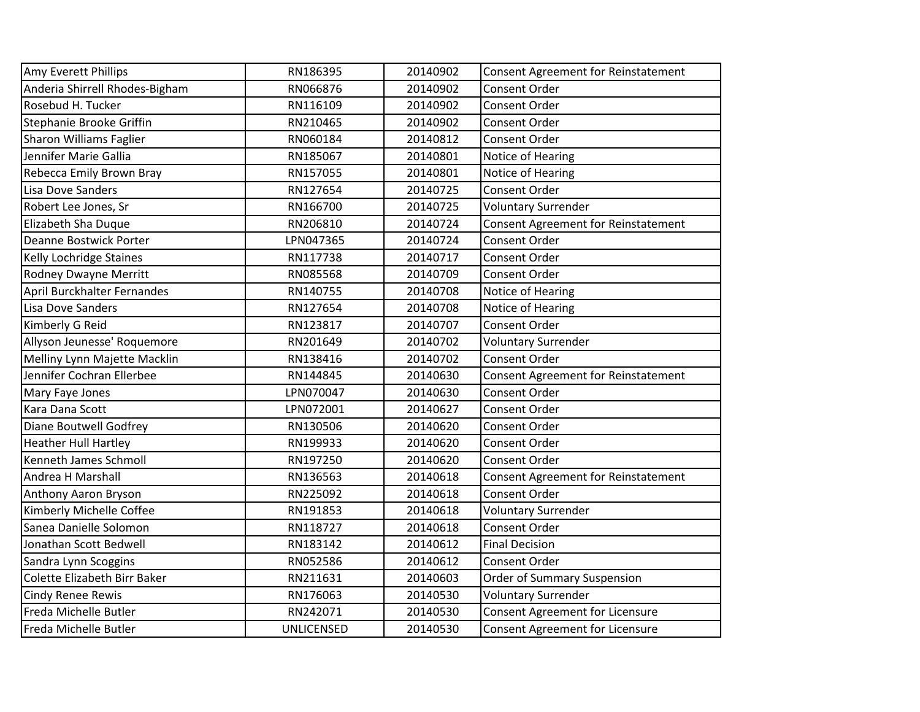| Amy Everett Phillips           | RN186395          | 20140902 | Consent Agreement for Reinstatement |
|--------------------------------|-------------------|----------|-------------------------------------|
| Anderia Shirrell Rhodes-Bigham | RN066876          | 20140902 | Consent Order                       |
| Rosebud H. Tucker              | RN116109          | 20140902 | <b>Consent Order</b>                |
| Stephanie Brooke Griffin       | RN210465          | 20140902 | <b>Consent Order</b>                |
| <b>Sharon Williams Faglier</b> | RN060184          | 20140812 | <b>Consent Order</b>                |
| Jennifer Marie Gallia          | RN185067          | 20140801 | Notice of Hearing                   |
| Rebecca Emily Brown Bray       | RN157055          | 20140801 | Notice of Hearing                   |
| Lisa Dove Sanders              | RN127654          | 20140725 | <b>Consent Order</b>                |
| Robert Lee Jones, Sr           | RN166700          | 20140725 | <b>Voluntary Surrender</b>          |
| Elizabeth Sha Duque            | RN206810          | 20140724 | Consent Agreement for Reinstatement |
| <b>Deanne Bostwick Porter</b>  | LPN047365         | 20140724 | Consent Order                       |
| Kelly Lochridge Staines        | RN117738          | 20140717 | Consent Order                       |
| <b>Rodney Dwayne Merritt</b>   | RN085568          | 20140709 | Consent Order                       |
| April Burckhalter Fernandes    | RN140755          | 20140708 | Notice of Hearing                   |
| Lisa Dove Sanders              | RN127654          | 20140708 | Notice of Hearing                   |
| Kimberly G Reid                | RN123817          | 20140707 | <b>Consent Order</b>                |
| Allyson Jeunesse' Roquemore    | RN201649          | 20140702 | <b>Voluntary Surrender</b>          |
| Melliny Lynn Majette Macklin   | RN138416          | 20140702 | <b>Consent Order</b>                |
| Jennifer Cochran Ellerbee      | RN144845          | 20140630 | Consent Agreement for Reinstatement |
| Mary Faye Jones                | LPN070047         | 20140630 | <b>Consent Order</b>                |
| Kara Dana Scott                | LPN072001         | 20140627 | Consent Order                       |
| <b>Diane Boutwell Godfrey</b>  | RN130506          | 20140620 | Consent Order                       |
| <b>Heather Hull Hartley</b>    | RN199933          | 20140620 | Consent Order                       |
| Kenneth James Schmoll          | RN197250          | 20140620 | <b>Consent Order</b>                |
| Andrea H Marshall              | RN136563          | 20140618 | Consent Agreement for Reinstatement |
| Anthony Aaron Bryson           | RN225092          | 20140618 | Consent Order                       |
| Kimberly Michelle Coffee       | RN191853          | 20140618 | <b>Voluntary Surrender</b>          |
| Sanea Danielle Solomon         | RN118727          | 20140618 | <b>Consent Order</b>                |
| Jonathan Scott Bedwell         | RN183142          | 20140612 | <b>Final Decision</b>               |
| Sandra Lynn Scoggins           | RN052586          | 20140612 | <b>Consent Order</b>                |
| Colette Elizabeth Birr Baker   | RN211631          | 20140603 | Order of Summary Suspension         |
| <b>Cindy Renee Rewis</b>       | RN176063          | 20140530 | <b>Voluntary Surrender</b>          |
| Freda Michelle Butler          | RN242071          | 20140530 | Consent Agreement for Licensure     |
| Freda Michelle Butler          | <b>UNLICENSED</b> | 20140530 | Consent Agreement for Licensure     |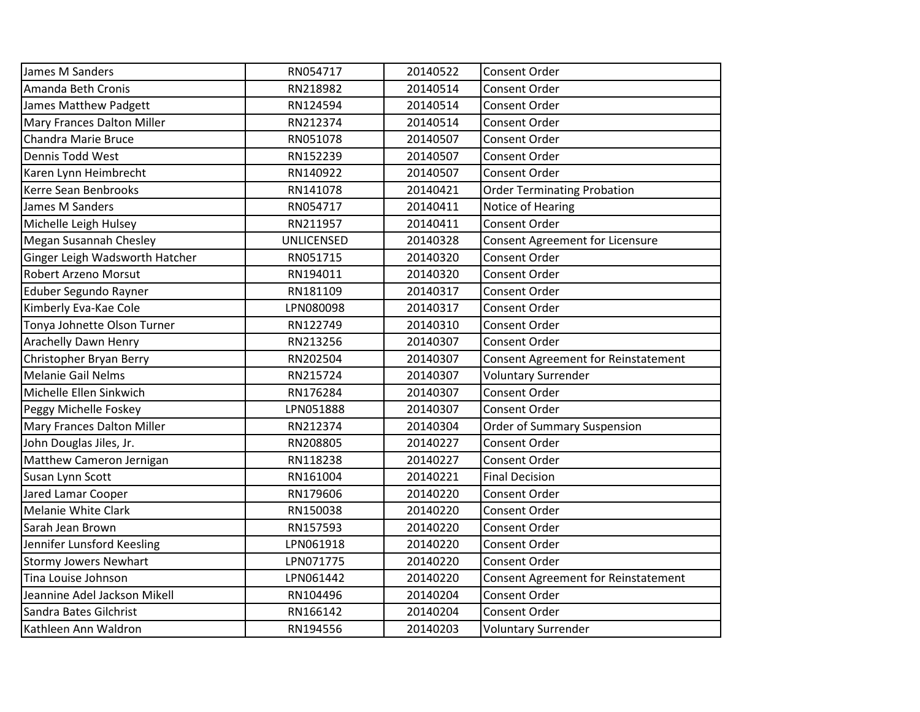| James M Sanders                | RN054717          | 20140522 | Consent Order                              |
|--------------------------------|-------------------|----------|--------------------------------------------|
| Amanda Beth Cronis             | RN218982          | 20140514 | Consent Order                              |
| James Matthew Padgett          | RN124594          | 20140514 | <b>Consent Order</b>                       |
| Mary Frances Dalton Miller     | RN212374          | 20140514 | <b>Consent Order</b>                       |
| Chandra Marie Bruce            | RN051078          | 20140507 | Consent Order                              |
| Dennis Todd West               | RN152239          | 20140507 | Consent Order                              |
| Karen Lynn Heimbrecht          | RN140922          | 20140507 | <b>Consent Order</b>                       |
| Kerre Sean Benbrooks           | RN141078          | 20140421 | <b>Order Terminating Probation</b>         |
| James M Sanders                | RN054717          | 20140411 | Notice of Hearing                          |
| Michelle Leigh Hulsey          | RN211957          | 20140411 | <b>Consent Order</b>                       |
| Megan Susannah Chesley         | <b>UNLICENSED</b> | 20140328 | Consent Agreement for Licensure            |
| Ginger Leigh Wadsworth Hatcher | RN051715          | 20140320 | Consent Order                              |
| <b>Robert Arzeno Morsut</b>    | RN194011          | 20140320 | <b>Consent Order</b>                       |
| Eduber Segundo Rayner          | RN181109          | 20140317 | <b>Consent Order</b>                       |
| Kimberly Eva-Kae Cole          | LPN080098         | 20140317 | <b>Consent Order</b>                       |
| Tonya Johnette Olson Turner    | RN122749          | 20140310 | Consent Order                              |
| <b>Arachelly Dawn Henry</b>    | RN213256          | 20140307 | Consent Order                              |
| Christopher Bryan Berry        | RN202504          | 20140307 | <b>Consent Agreement for Reinstatement</b> |
| <b>Melanie Gail Nelms</b>      | RN215724          | 20140307 | <b>Voluntary Surrender</b>                 |
| Michelle Ellen Sinkwich        | RN176284          | 20140307 | <b>Consent Order</b>                       |
| Peggy Michelle Foskey          | LPN051888         | 20140307 | Consent Order                              |
| Mary Frances Dalton Miller     | RN212374          | 20140304 | <b>Order of Summary Suspension</b>         |
| John Douglas Jiles, Jr.        | RN208805          | 20140227 | <b>Consent Order</b>                       |
| Matthew Cameron Jernigan       | RN118238          | 20140227 | <b>Consent Order</b>                       |
| Susan Lynn Scott               | RN161004          | 20140221 | <b>Final Decision</b>                      |
| Jared Lamar Cooper             | RN179606          | 20140220 | Consent Order                              |
| <b>Melanie White Clark</b>     | RN150038          | 20140220 | Consent Order                              |
| Sarah Jean Brown               | RN157593          | 20140220 | Consent Order                              |
| Jennifer Lunsford Keesling     | LPN061918         | 20140220 | <b>Consent Order</b>                       |
| <b>Stormy Jowers Newhart</b>   | LPN071775         | 20140220 | <b>Consent Order</b>                       |
| Tina Louise Johnson            | LPN061442         | 20140220 | <b>Consent Agreement for Reinstatement</b> |
| Jeannine Adel Jackson Mikell   | RN104496          | 20140204 | Consent Order                              |
| Sandra Bates Gilchrist         | RN166142          | 20140204 | Consent Order                              |
| Kathleen Ann Waldron           | RN194556          | 20140203 | <b>Voluntary Surrender</b>                 |
|                                |                   |          |                                            |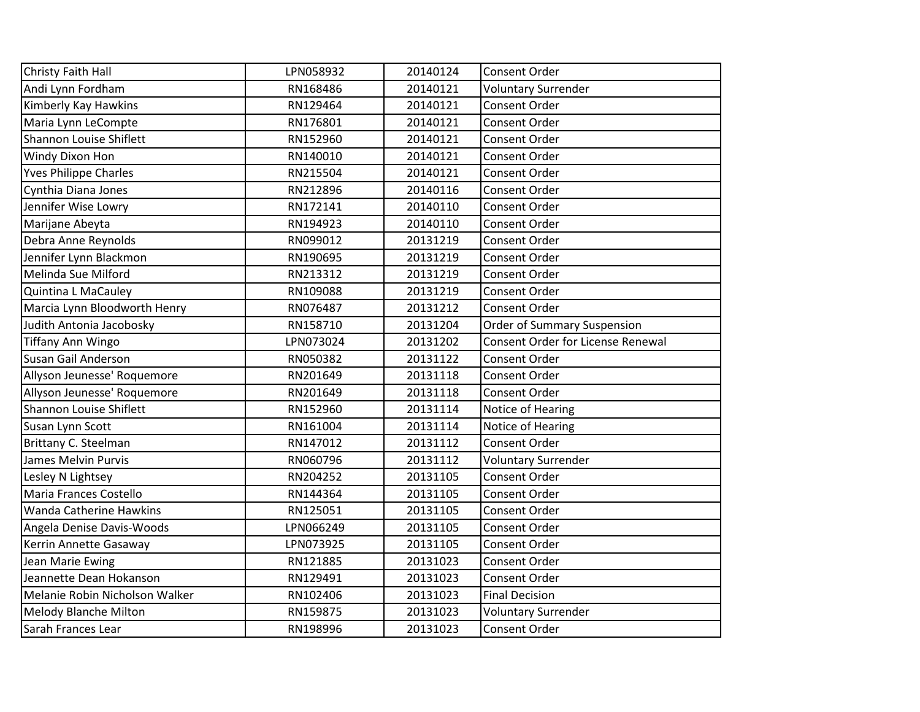| Christy Faith Hall             | LPN058932 | 20140124 | Consent Order                     |
|--------------------------------|-----------|----------|-----------------------------------|
| Andi Lynn Fordham              | RN168486  | 20140121 | <b>Voluntary Surrender</b>        |
| Kimberly Kay Hawkins           | RN129464  | 20140121 | Consent Order                     |
| Maria Lynn LeCompte            | RN176801  | 20140121 | Consent Order                     |
| Shannon Louise Shiflett        | RN152960  | 20140121 | Consent Order                     |
| Windy Dixon Hon                | RN140010  | 20140121 | <b>Consent Order</b>              |
| <b>Yves Philippe Charles</b>   | RN215504  | 20140121 | Consent Order                     |
| Cynthia Diana Jones            | RN212896  | 20140116 | Consent Order                     |
| Jennifer Wise Lowry            | RN172141  | 20140110 | Consent Order                     |
| Marijane Abeyta                | RN194923  | 20140110 | Consent Order                     |
| Debra Anne Reynolds            | RN099012  | 20131219 | <b>Consent Order</b>              |
| Jennifer Lynn Blackmon         | RN190695  | 20131219 | Consent Order                     |
| Melinda Sue Milford            | RN213312  | 20131219 | Consent Order                     |
| Quintina L MaCauley            | RN109088  | 20131219 | Consent Order                     |
| Marcia Lynn Bloodworth Henry   | RN076487  | 20131212 | Consent Order                     |
| Judith Antonia Jacobosky       | RN158710  | 20131204 | Order of Summary Suspension       |
| Tiffany Ann Wingo              | LPN073024 | 20131202 | Consent Order for License Renewal |
| Susan Gail Anderson            | RN050382  | 20131122 | Consent Order                     |
| Allyson Jeunesse' Roquemore    | RN201649  | 20131118 | Consent Order                     |
| Allyson Jeunesse' Roquemore    | RN201649  | 20131118 | <b>Consent Order</b>              |
| Shannon Louise Shiflett        | RN152960  | 20131114 | Notice of Hearing                 |
| Susan Lynn Scott               | RN161004  | 20131114 | Notice of Hearing                 |
| Brittany C. Steelman           | RN147012  | 20131112 | <b>Consent Order</b>              |
| James Melvin Purvis            | RN060796  | 20131112 | <b>Voluntary Surrender</b>        |
| Lesley N Lightsey              | RN204252  | 20131105 | Consent Order                     |
| Maria Frances Costello         | RN144364  | 20131105 | Consent Order                     |
| Wanda Catherine Hawkins        | RN125051  | 20131105 | <b>Consent Order</b>              |
| Angela Denise Davis-Woods      | LPN066249 | 20131105 | Consent Order                     |
| Kerrin Annette Gasaway         | LPN073925 | 20131105 | Consent Order                     |
| Jean Marie Ewing               | RN121885  | 20131023 | Consent Order                     |
| Jeannette Dean Hokanson        | RN129491  | 20131023 | Consent Order                     |
| Melanie Robin Nicholson Walker | RN102406  | 20131023 | <b>Final Decision</b>             |
| <b>Melody Blanche Milton</b>   | RN159875  | 20131023 | <b>Voluntary Surrender</b>        |
| Sarah Frances Lear             | RN198996  | 20131023 | Consent Order                     |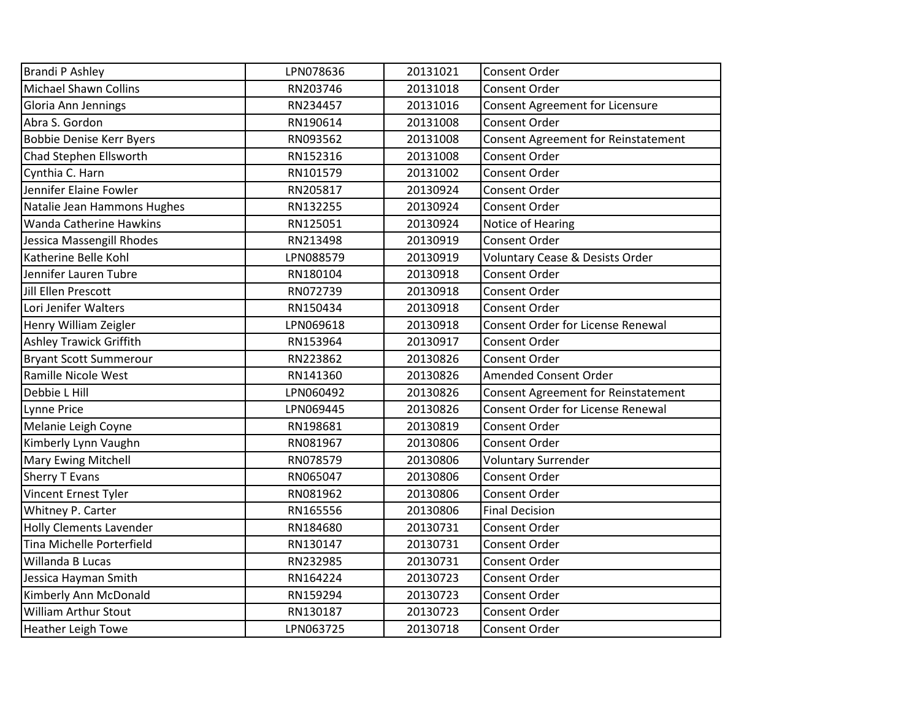| <b>Brandi P Ashley</b>          | LPN078636 | 20131021 | <b>Consent Order</b>                       |
|---------------------------------|-----------|----------|--------------------------------------------|
| <b>Michael Shawn Collins</b>    | RN203746  | 20131018 | <b>Consent Order</b>                       |
| Gloria Ann Jennings             | RN234457  | 20131016 | Consent Agreement for Licensure            |
| Abra S. Gordon                  | RN190614  | 20131008 | <b>Consent Order</b>                       |
| <b>Bobbie Denise Kerr Byers</b> | RN093562  | 20131008 | Consent Agreement for Reinstatement        |
| Chad Stephen Ellsworth          | RN152316  | 20131008 | Consent Order                              |
| Cynthia C. Harn                 | RN101579  | 20131002 | <b>Consent Order</b>                       |
| Jennifer Elaine Fowler          | RN205817  | 20130924 | <b>Consent Order</b>                       |
| Natalie Jean Hammons Hughes     | RN132255  | 20130924 | Consent Order                              |
| <b>Wanda Catherine Hawkins</b>  | RN125051  | 20130924 | Notice of Hearing                          |
| Jessica Massengill Rhodes       | RN213498  | 20130919 | Consent Order                              |
| Katherine Belle Kohl            | LPN088579 | 20130919 | <b>Voluntary Cease &amp; Desists Order</b> |
| Jennifer Lauren Tubre           | RN180104  | 20130918 | Consent Order                              |
| Jill Ellen Prescott             | RN072739  | 20130918 | <b>Consent Order</b>                       |
| Lori Jenifer Walters            | RN150434  | 20130918 | <b>Consent Order</b>                       |
| Henry William Zeigler           | LPN069618 | 20130918 | <b>Consent Order for License Renewal</b>   |
| <b>Ashley Trawick Griffith</b>  | RN153964  | 20130917 | Consent Order                              |
| <b>Bryant Scott Summerour</b>   | RN223862  | 20130826 | <b>Consent Order</b>                       |
| Ramille Nicole West             | RN141360  | 20130826 | <b>Amended Consent Order</b>               |
| Debbie L Hill                   | LPN060492 | 20130826 | Consent Agreement for Reinstatement        |
| <b>Lynne Price</b>              | LPN069445 | 20130826 | Consent Order for License Renewal          |
| Melanie Leigh Coyne             | RN198681  | 20130819 | Consent Order                              |
| Kimberly Lynn Vaughn            | RN081967  | 20130806 | <b>Consent Order</b>                       |
| <b>Mary Ewing Mitchell</b>      | RN078579  | 20130806 | <b>Voluntary Surrender</b>                 |
| Sherry T Evans                  | RN065047  | 20130806 | <b>Consent Order</b>                       |
| Vincent Ernest Tyler            | RN081962  | 20130806 | <b>Consent Order</b>                       |
| Whitney P. Carter               | RN165556  | 20130806 | <b>Final Decision</b>                      |
| <b>Holly Clements Lavender</b>  | RN184680  | 20130731 | <b>Consent Order</b>                       |
| Tina Michelle Porterfield       | RN130147  | 20130731 | <b>Consent Order</b>                       |
| Willanda B Lucas                | RN232985  | 20130731 | <b>Consent Order</b>                       |
| Jessica Hayman Smith            | RN164224  | 20130723 | Consent Order                              |
| Kimberly Ann McDonald           | RN159294  | 20130723 | Consent Order                              |
| <b>William Arthur Stout</b>     | RN130187  | 20130723 | <b>Consent Order</b>                       |
| <b>Heather Leigh Towe</b>       | LPN063725 | 20130718 | <b>Consent Order</b>                       |
|                                 |           |          |                                            |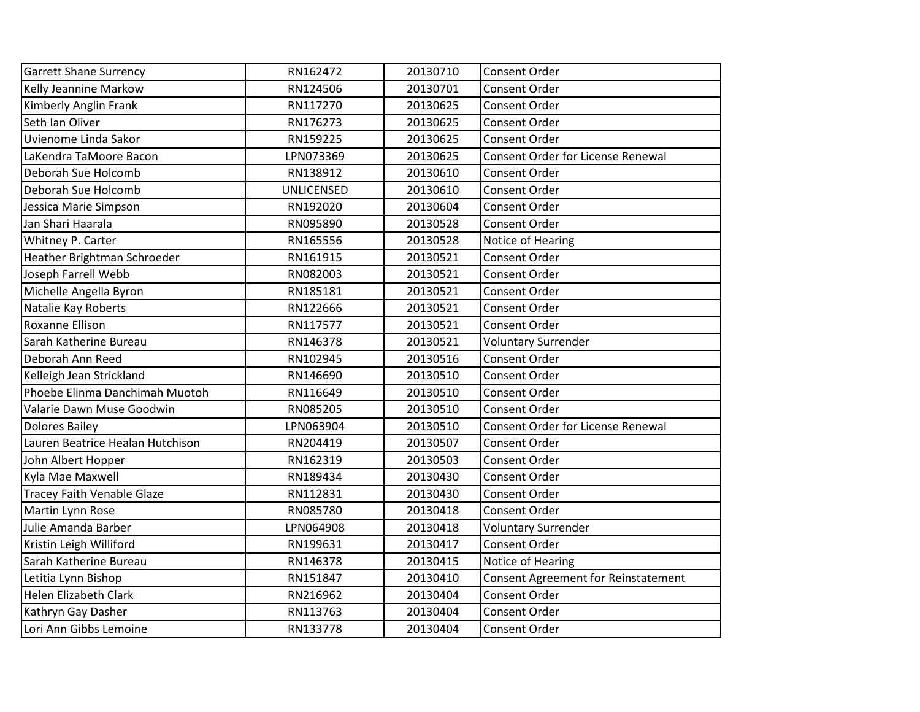| <b>Garrett Shane Surrency</b>     | RN162472          | 20130710 | <b>Consent Order</b>                     |
|-----------------------------------|-------------------|----------|------------------------------------------|
| Kelly Jeannine Markow             | RN124506          | 20130701 | <b>Consent Order</b>                     |
| Kimberly Anglin Frank             | RN117270          | 20130625 | <b>Consent Order</b>                     |
| Seth Ian Oliver                   | RN176273          | 20130625 | <b>Consent Order</b>                     |
| Uvienome Linda Sakor              | RN159225          | 20130625 | <b>Consent Order</b>                     |
| LaKendra TaMoore Bacon            | LPN073369         | 20130625 | <b>Consent Order for License Renewal</b> |
| Deborah Sue Holcomb               | RN138912          | 20130610 | Consent Order                            |
| Deborah Sue Holcomb               | <b>UNLICENSED</b> | 20130610 | <b>Consent Order</b>                     |
| Jessica Marie Simpson             | RN192020          | 20130604 | <b>Consent Order</b>                     |
| Jan Shari Haarala                 | RN095890          | 20130528 | <b>Consent Order</b>                     |
| Whitney P. Carter                 | RN165556          | 20130528 | Notice of Hearing                        |
| Heather Brightman Schroeder       | RN161915          | 20130521 | Consent Order                            |
| Joseph Farrell Webb               | RN082003          | 20130521 | <b>Consent Order</b>                     |
| Michelle Angella Byron            | RN185181          | 20130521 | <b>Consent Order</b>                     |
| Natalie Kay Roberts               | RN122666          | 20130521 | <b>Consent Order</b>                     |
| Roxanne Ellison                   | RN117577          | 20130521 | <b>Consent Order</b>                     |
| Sarah Katherine Bureau            | RN146378          | 20130521 | <b>Voluntary Surrender</b>               |
| Deborah Ann Reed                  | RN102945          | 20130516 | <b>Consent Order</b>                     |
| Kelleigh Jean Strickland          | RN146690          | 20130510 | <b>Consent Order</b>                     |
| Phoebe Elinma Danchimah Muotoh    | RN116649          | 20130510 | <b>Consent Order</b>                     |
| Valarie Dawn Muse Goodwin         | RN085205          | 20130510 | Consent Order                            |
| <b>Dolores Bailey</b>             | LPN063904         | 20130510 | <b>Consent Order for License Renewal</b> |
| Lauren Beatrice Healan Hutchison  | RN204419          | 20130507 | <b>Consent Order</b>                     |
| John Albert Hopper                | RN162319          | 20130503 | <b>Consent Order</b>                     |
| Kyla Mae Maxwell                  | RN189434          | 20130430 | <b>Consent Order</b>                     |
| <b>Tracey Faith Venable Glaze</b> | RN112831          | 20130430 | <b>Consent Order</b>                     |
| Martin Lynn Rose                  | RN085780          | 20130418 | Consent Order                            |
| Julie Amanda Barber               | LPN064908         | 20130418 | <b>Voluntary Surrender</b>               |
| Kristin Leigh Williford           | RN199631          | 20130417 | Consent Order                            |
| Sarah Katherine Bureau            | RN146378          | 20130415 | Notice of Hearing                        |
| Letitia Lynn Bishop               | RN151847          | 20130410 | Consent Agreement for Reinstatement      |
| <b>Helen Elizabeth Clark</b>      | RN216962          | 20130404 | Consent Order                            |
| Kathryn Gay Dasher                | RN113763          | 20130404 | Consent Order                            |
| Lori Ann Gibbs Lemoine            | RN133778          | 20130404 | <b>Consent Order</b>                     |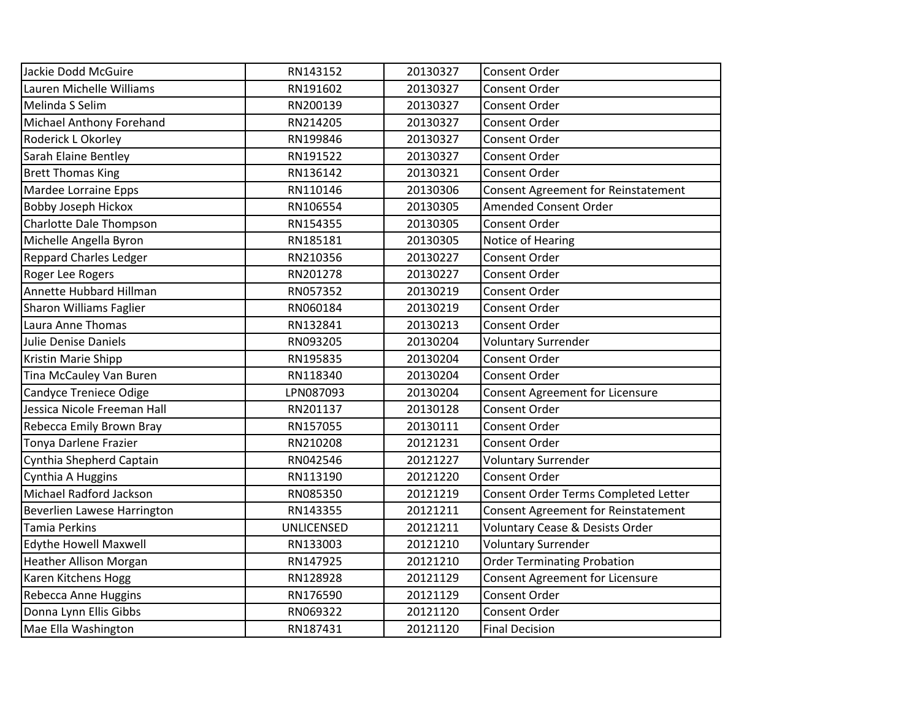| Jackie Dodd McGuire           | RN143152          | 20130327 | Consent Order                              |
|-------------------------------|-------------------|----------|--------------------------------------------|
| Lauren Michelle Williams      | RN191602          | 20130327 | Consent Order                              |
| Melinda S Selim               | RN200139          | 20130327 | <b>Consent Order</b>                       |
| Michael Anthony Forehand      | RN214205          | 20130327 | <b>Consent Order</b>                       |
| Roderick L Okorley            | RN199846          | 20130327 | Consent Order                              |
| Sarah Elaine Bentley          | RN191522          | 20130327 | Consent Order                              |
| <b>Brett Thomas King</b>      | RN136142          | 20130321 | <b>Consent Order</b>                       |
| Mardee Lorraine Epps          | RN110146          | 20130306 | <b>Consent Agreement for Reinstatement</b> |
| <b>Bobby Joseph Hickox</b>    | RN106554          | 20130305 | Amended Consent Order                      |
| Charlotte Dale Thompson       | RN154355          | 20130305 | <b>Consent Order</b>                       |
| Michelle Angella Byron        | RN185181          | 20130305 | Notice of Hearing                          |
| <b>Reppard Charles Ledger</b> | RN210356          | 20130227 | Consent Order                              |
| Roger Lee Rogers              | RN201278          | 20130227 | Consent Order                              |
| Annette Hubbard Hillman       | RN057352          | 20130219 | <b>Consent Order</b>                       |
| Sharon Williams Faglier       | RN060184          | 20130219 | Consent Order                              |
| Laura Anne Thomas             | RN132841          | 20130213 | Consent Order                              |
| Julie Denise Daniels          | RN093205          | 20130204 | <b>Voluntary Surrender</b>                 |
| Kristin Marie Shipp           | RN195835          | 20130204 | <b>Consent Order</b>                       |
| Tina McCauley Van Buren       | RN118340          | 20130204 | <b>Consent Order</b>                       |
| Candyce Treniece Odige        | LPN087093         | 20130204 | Consent Agreement for Licensure            |
| Jessica Nicole Freeman Hall   | RN201137          | 20130128 | Consent Order                              |
| Rebecca Emily Brown Bray      | RN157055          | 20130111 | <b>Consent Order</b>                       |
| Tonya Darlene Frazier         | RN210208          | 20121231 | <b>Consent Order</b>                       |
| Cynthia Shepherd Captain      | RN042546          | 20121227 | <b>Voluntary Surrender</b>                 |
| Cynthia A Huggins             | RN113190          | 20121220 | Consent Order                              |
| Michael Radford Jackson       | RN085350          | 20121219 | Consent Order Terms Completed Letter       |
| Beverlien Lawese Harrington   | RN143355          | 20121211 | <b>Consent Agreement for Reinstatement</b> |
| <b>Tamia Perkins</b>          | <b>UNLICENSED</b> | 20121211 | <b>Voluntary Cease &amp; Desists Order</b> |
| <b>Edythe Howell Maxwell</b>  | RN133003          | 20121210 | <b>Voluntary Surrender</b>                 |
| <b>Heather Allison Morgan</b> | RN147925          | 20121210 | <b>Order Terminating Probation</b>         |
| Karen Kitchens Hogg           | RN128928          | 20121129 | <b>Consent Agreement for Licensure</b>     |
| Rebecca Anne Huggins          | RN176590          | 20121129 | Consent Order                              |
| Donna Lynn Ellis Gibbs        | RN069322          | 20121120 | Consent Order                              |
| Mae Ella Washington           | RN187431          | 20121120 | <b>Final Decision</b>                      |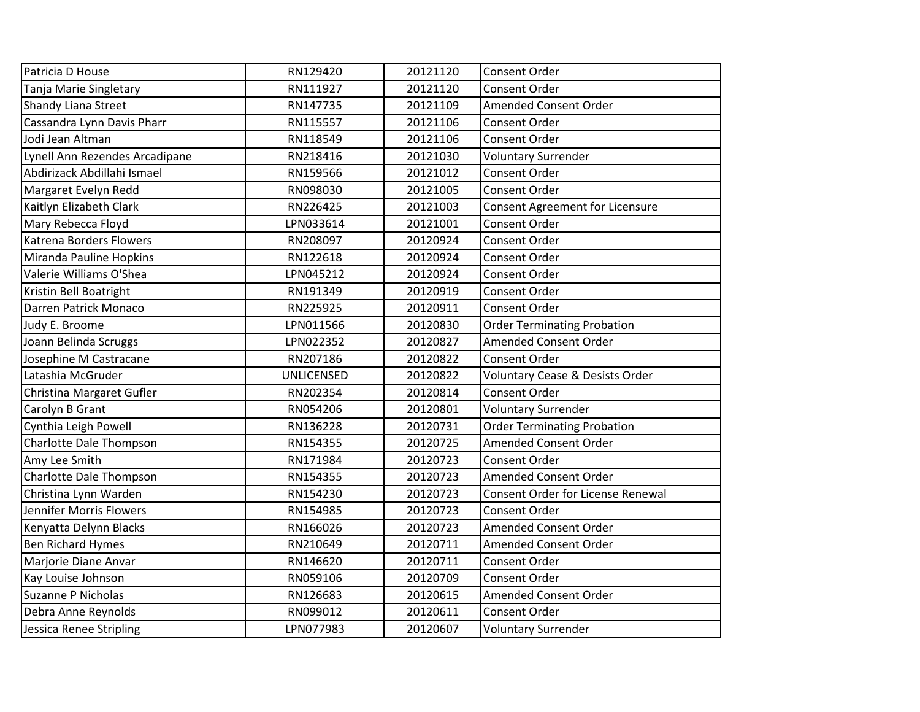| Patricia D House               | RN129420          | 20121120 | <b>Consent Order</b>                       |
|--------------------------------|-------------------|----------|--------------------------------------------|
| Tanja Marie Singletary         | RN111927          | 20121120 | <b>Consent Order</b>                       |
| <b>Shandy Liana Street</b>     | RN147735          | 20121109 | <b>Amended Consent Order</b>               |
| Cassandra Lynn Davis Pharr     | RN115557          | 20121106 | <b>Consent Order</b>                       |
| Jodi Jean Altman               | RN118549          | 20121106 | Consent Order                              |
| Lynell Ann Rezendes Arcadipane | RN218416          | 20121030 | <b>Voluntary Surrender</b>                 |
| Abdirizack Abdillahi Ismael    | RN159566          | 20121012 | Consent Order                              |
| Margaret Evelyn Redd           | RN098030          | 20121005 | Consent Order                              |
| Kaitlyn Elizabeth Clark        | RN226425          | 20121003 | <b>Consent Agreement for Licensure</b>     |
| Mary Rebecca Floyd             | LPN033614         | 20121001 | Consent Order                              |
| Katrena Borders Flowers        | RN208097          | 20120924 | Consent Order                              |
| Miranda Pauline Hopkins        | RN122618          | 20120924 | Consent Order                              |
| Valerie Williams O'Shea        | LPN045212         | 20120924 | <b>Consent Order</b>                       |
| Kristin Bell Boatright         | RN191349          | 20120919 | <b>Consent Order</b>                       |
| Darren Patrick Monaco          | RN225925          | 20120911 | <b>Consent Order</b>                       |
| Judy E. Broome                 | LPN011566         | 20120830 | <b>Order Terminating Probation</b>         |
| Joann Belinda Scruggs          | LPN022352         | 20120827 | <b>Amended Consent Order</b>               |
| Josephine M Castracane         | RN207186          | 20120822 | <b>Consent Order</b>                       |
| Latashia McGruder              | <b>UNLICENSED</b> | 20120822 | <b>Voluntary Cease &amp; Desists Order</b> |
| Christina Margaret Gufler      | RN202354          | 20120814 | <b>Consent Order</b>                       |
| Carolyn B Grant                | RN054206          | 20120801 | <b>Voluntary Surrender</b>                 |
| Cynthia Leigh Powell           | RN136228          | 20120731 | <b>Order Terminating Probation</b>         |
| Charlotte Dale Thompson        | RN154355          | 20120725 | <b>Amended Consent Order</b>               |
| Amy Lee Smith                  | RN171984          | 20120723 | <b>Consent Order</b>                       |
| Charlotte Dale Thompson        | RN154355          | 20120723 | <b>Amended Consent Order</b>               |
| Christina Lynn Warden          | RN154230          | 20120723 | <b>Consent Order for License Renewal</b>   |
| Jennifer Morris Flowers        | RN154985          | 20120723 | Consent Order                              |
| Kenyatta Delynn Blacks         | RN166026          | 20120723 | <b>Amended Consent Order</b>               |
| <b>Ben Richard Hymes</b>       | RN210649          | 20120711 | Amended Consent Order                      |
| Marjorie Diane Anvar           | RN146620          | 20120711 | <b>Consent Order</b>                       |
| Kay Louise Johnson             | RN059106          | 20120709 | Consent Order                              |
| Suzanne P Nicholas             | RN126683          | 20120615 | <b>Amended Consent Order</b>               |
| Debra Anne Reynolds            | RN099012          | 20120611 | Consent Order                              |
| Jessica Renee Stripling        | LPN077983         | 20120607 | <b>Voluntary Surrender</b>                 |
|                                |                   |          |                                            |